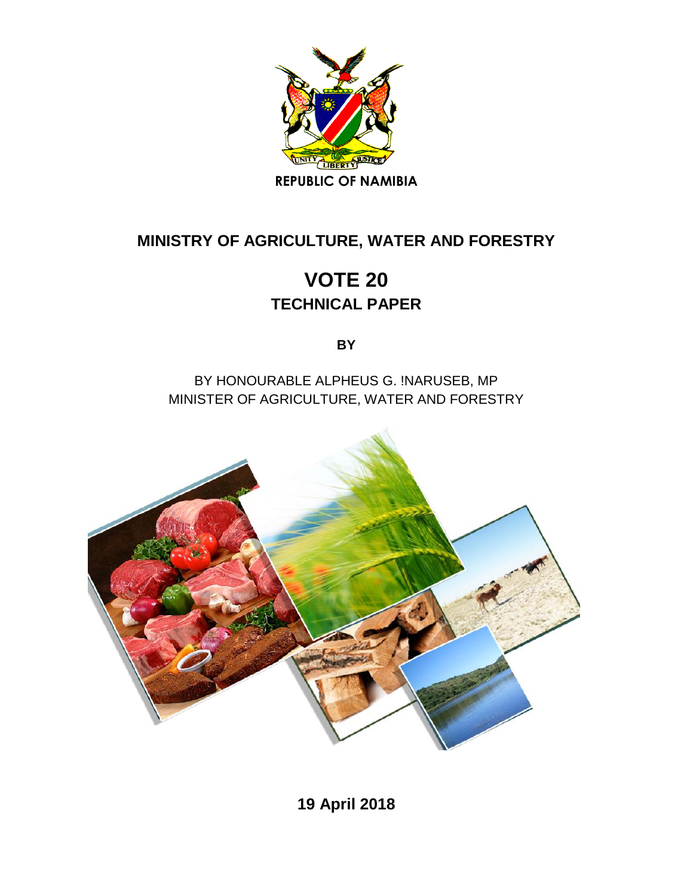

# **MINISTRY OF AGRICULTURE, WATER AND FORESTRY**

# **VOTE 20 TECHNICAL PAPER**

**BY** 

BY HONOURABLE ALPHEUS G. !NARUSEB, MP MINISTER OF AGRICULTURE, WATER AND FORESTRY



**19 April 2018**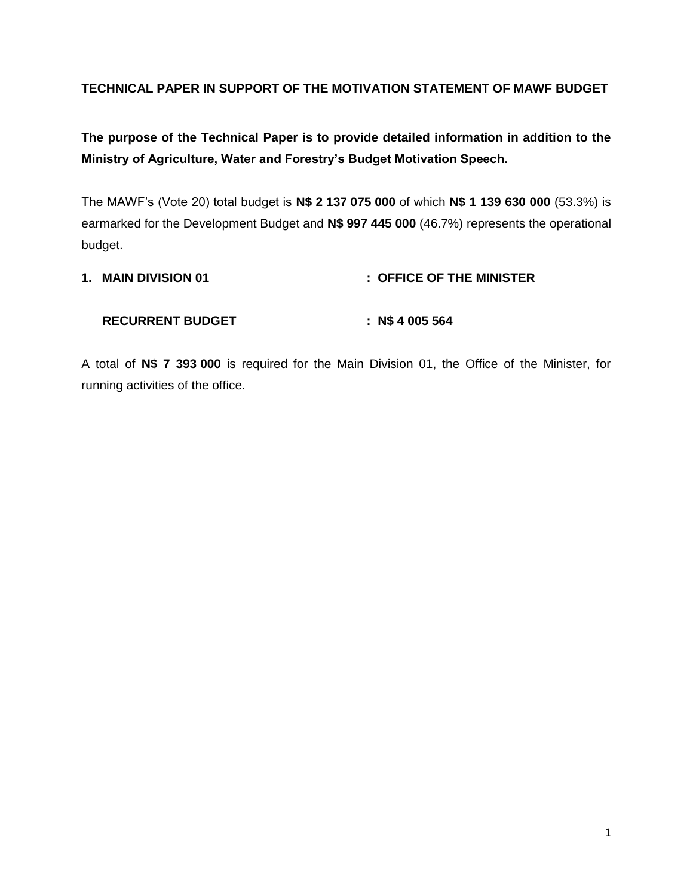# **TECHNICAL PAPER IN SUPPORT OF THE MOTIVATION STATEMENT OF MAWF BUDGET**

# **The purpose of the Technical Paper is to provide detailed information in addition to the Ministry of Agriculture, Water and Forestry's Budget Motivation Speech.**

The MAWF's (Vote 20) total budget is **N\$ 2 137 075 000** of which **N\$ 1 139 630 000** (53.3%) is earmarked for the Development Budget and **N\$ 997 445 000** (46.7%) represents the operational budget.

| 1. MAIN DIVISION 01 | : OFFICE OF THE MINISTER |
|---------------------|--------------------------|
|                     |                          |

# **RECURRENT BUDGET : N\$ 4 005 564**

A total of **N\$ 7 393 000** is required for the Main Division 01, the Office of the Minister, for running activities of the office.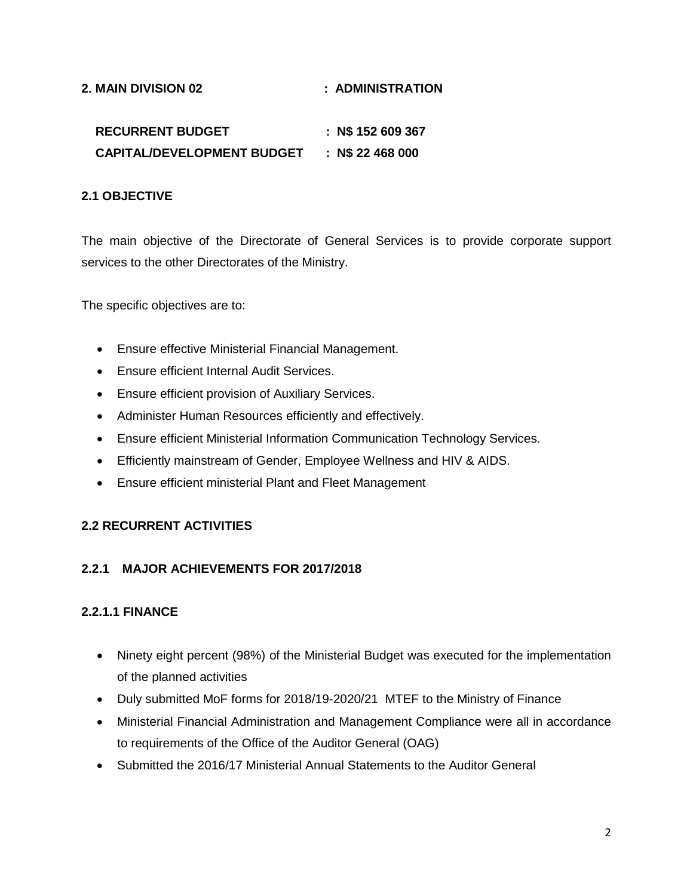#### **2. MAIN DIVISION 02 : ADMINISTRATION**

| <b>RECURRENT BUDGET</b>           | : N\$ 152 609 367 |
|-----------------------------------|-------------------|
| <b>CAPITAL/DEVELOPMENT BUDGET</b> | : N\$ 22 468 000  |

#### **2.1 OBJECTIVE**

The main objective of the Directorate of General Services is to provide corporate support services to the other Directorates of the Ministry.

The specific objectives are to:

- Ensure effective Ministerial Financial Management.
- Ensure efficient Internal Audit Services.
- Ensure efficient provision of Auxiliary Services.
- Administer Human Resources efficiently and effectively.
- Ensure efficient Ministerial Information Communication Technology Services.
- Efficiently mainstream of Gender, Employee Wellness and HIV & AIDS.
- Ensure efficient ministerial Plant and Fleet Management

# **2.2 RECURRENT ACTIVITIES**

#### **2.2.1 MAJOR ACHIEVEMENTS FOR 2017/2018**

#### **2.2.1.1 FINANCE**

- Ninety eight percent (98%) of the Ministerial Budget was executed for the implementation of the planned activities
- Duly submitted MoF forms for 2018/19-2020/21 MTEF to the Ministry of Finance
- Ministerial Financial Administration and Management Compliance were all in accordance to requirements of the Office of the Auditor General (OAG)
- Submitted the 2016/17 Ministerial Annual Statements to the Auditor General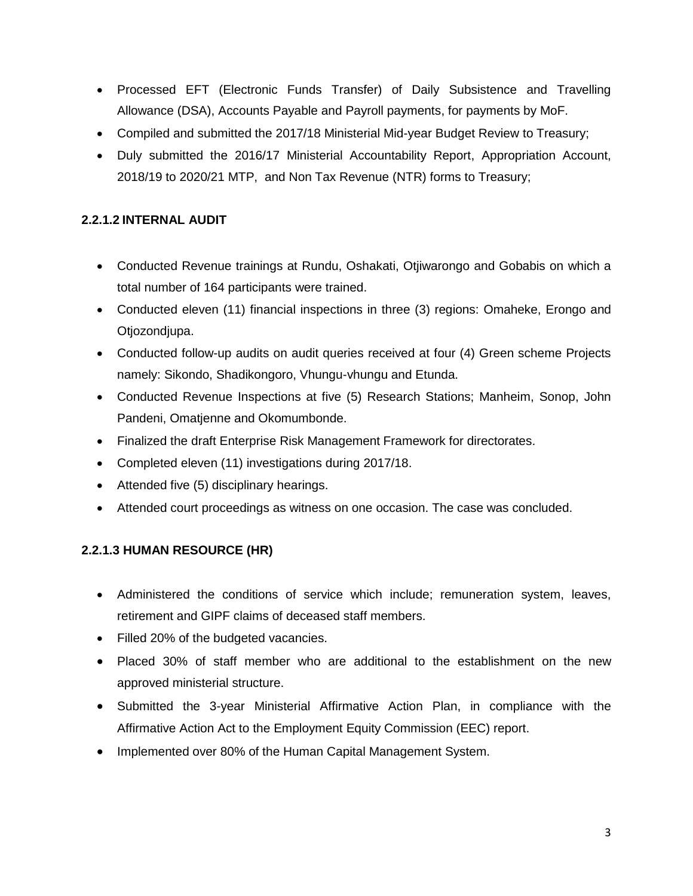- Processed EFT (Electronic Funds Transfer) of Daily Subsistence and Travelling Allowance (DSA), Accounts Payable and Payroll payments, for payments by MoF.
- Compiled and submitted the 2017/18 Ministerial Mid-year Budget Review to Treasury;
- Duly submitted the 2016/17 Ministerial Accountability Report, Appropriation Account, 2018/19 to 2020/21 MTP, and Non Tax Revenue (NTR) forms to Treasury;

# **2.2.1.2 INTERNAL AUDIT**

- Conducted Revenue trainings at Rundu, Oshakati, Otjiwarongo and Gobabis on which a total number of 164 participants were trained.
- Conducted eleven (11) financial inspections in three (3) regions: Omaheke, Erongo and Otjozondjupa.
- Conducted follow-up audits on audit queries received at four (4) Green scheme Projects namely: Sikondo, Shadikongoro, Vhungu-vhungu and Etunda.
- Conducted Revenue Inspections at five (5) Research Stations; Manheim, Sonop, John Pandeni, Omatjenne and Okomumbonde.
- Finalized the draft Enterprise Risk Management Framework for directorates.
- Completed eleven (11) investigations during 2017/18.
- Attended five (5) disciplinary hearings.
- Attended court proceedings as witness on one occasion. The case was concluded.

# **2.2.1.3 HUMAN RESOURCE (HR)**

- Administered the conditions of service which include; remuneration system, leaves, retirement and GIPF claims of deceased staff members.
- Filled 20% of the budgeted vacancies.
- Placed 30% of staff member who are additional to the establishment on the new approved ministerial structure.
- Submitted the 3-year Ministerial Affirmative Action Plan, in compliance with the Affirmative Action Act to the Employment Equity Commission (EEC) report.
- Implemented over 80% of the Human Capital Management System.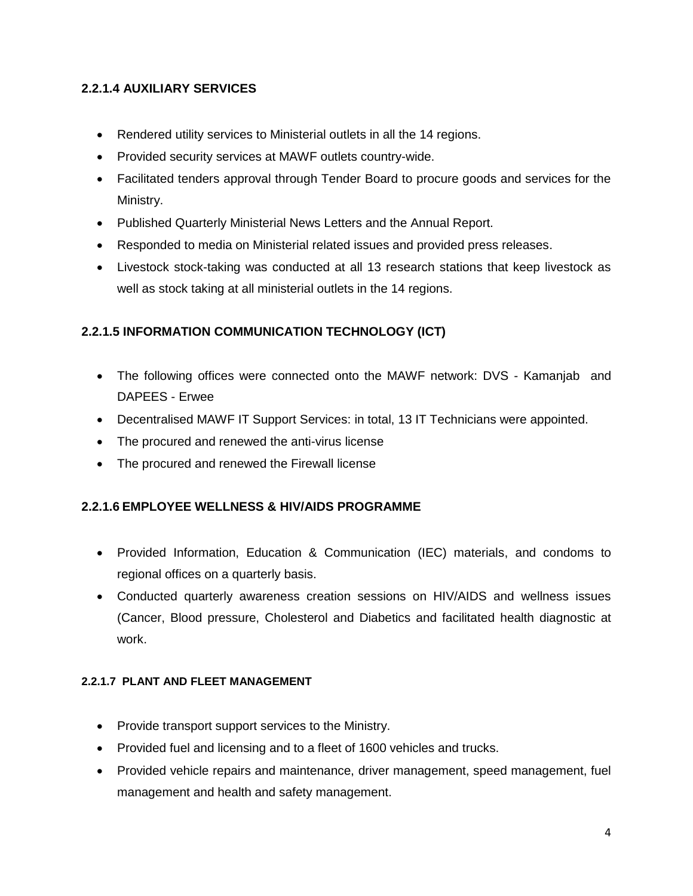# **2.2.1.4 AUXILIARY SERVICES**

- Rendered utility services to Ministerial outlets in all the 14 regions.
- Provided security services at MAWF outlets country-wide.
- Facilitated tenders approval through Tender Board to procure goods and services for the Ministry.
- Published Quarterly Ministerial News Letters and the Annual Report.
- Responded to media on Ministerial related issues and provided press releases.
- Livestock stock-taking was conducted at all 13 research stations that keep livestock as well as stock taking at all ministerial outlets in the 14 regions.

# **2.2.1.5 INFORMATION COMMUNICATION TECHNOLOGY (ICT)**

- The following offices were connected onto the MAWF network: DVS Kamanjab and DAPEES - Erwee
- Decentralised MAWF IT Support Services: in total, 13 IT Technicians were appointed.
- The procured and renewed the anti-virus license
- The procured and renewed the Firewall license

# **2.2.1.6 EMPLOYEE WELLNESS & HIV/AIDS PROGRAMME**

- Provided Information, Education & Communication (IEC) materials, and condoms to regional offices on a quarterly basis.
- Conducted quarterly awareness creation sessions on HIV/AIDS and wellness issues (Cancer, Blood pressure, Cholesterol and Diabetics and facilitated health diagnostic at work.

# **2.2.1.7 PLANT AND FLEET MANAGEMENT**

- Provide transport support services to the Ministry.
- Provided fuel and licensing and to a fleet of 1600 vehicles and trucks.
- Provided vehicle repairs and maintenance, driver management, speed management, fuel management and health and safety management.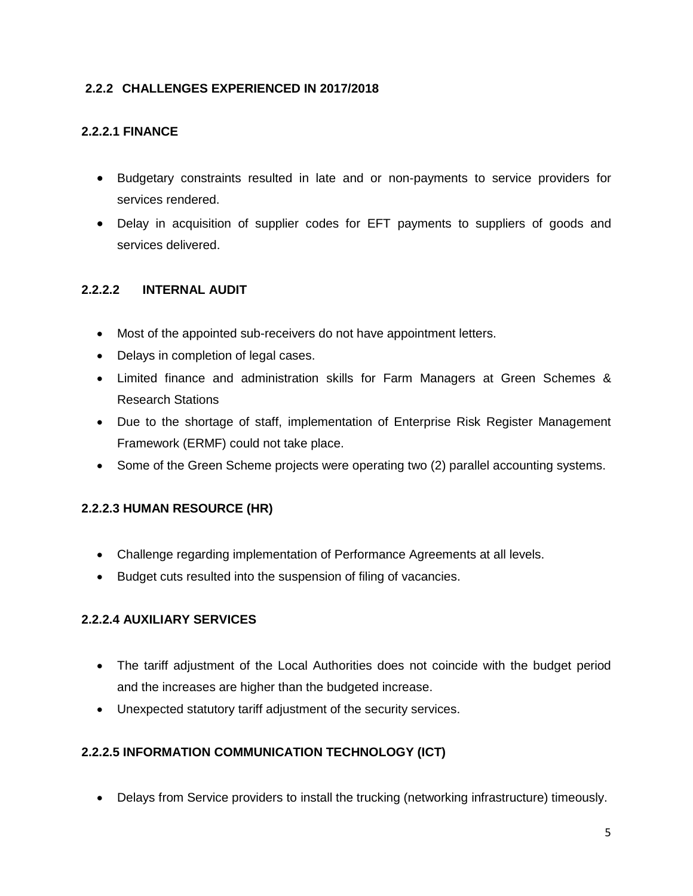# **2.2.2 CHALLENGES EXPERIENCED IN 2017/2018**

# **2.2.2.1 FINANCE**

- Budgetary constraints resulted in late and or non-payments to service providers for services rendered.
- Delay in acquisition of supplier codes for EFT payments to suppliers of goods and services delivered.

#### **2.2.2.2 INTERNAL AUDIT**

- Most of the appointed sub-receivers do not have appointment letters.
- Delays in completion of legal cases.
- Limited finance and administration skills for Farm Managers at Green Schemes & Research Stations
- Due to the shortage of staff, implementation of Enterprise Risk Register Management Framework (ERMF) could not take place.
- Some of the Green Scheme projects were operating two (2) parallel accounting systems.

# **2.2.2.3 HUMAN RESOURCE (HR)**

- Challenge regarding implementation of Performance Agreements at all levels.
- Budget cuts resulted into the suspension of filing of vacancies.

# **2.2.2.4 AUXILIARY SERVICES**

- The tariff adjustment of the Local Authorities does not coincide with the budget period and the increases are higher than the budgeted increase.
- Unexpected statutory tariff adjustment of the security services.

# **2.2.2.5 INFORMATION COMMUNICATION TECHNOLOGY (ICT)**

Delays from Service providers to install the trucking (networking infrastructure) timeously.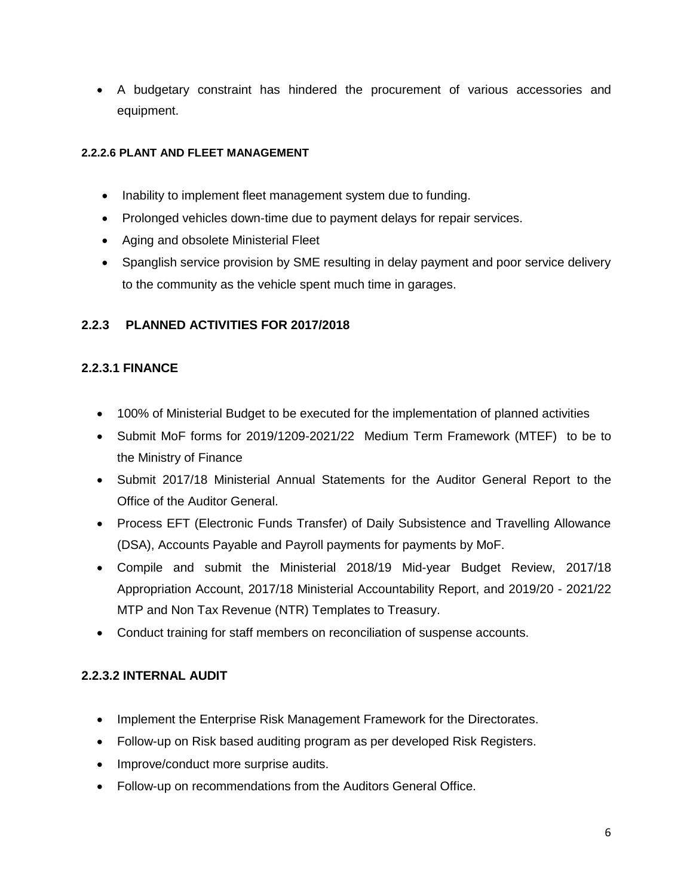A budgetary constraint has hindered the procurement of various accessories and equipment.

#### **2.2.2.6 PLANT AND FLEET MANAGEMENT**

- Inability to implement fleet management system due to funding.
- Prolonged vehicles down-time due to payment delays for repair services.
- Aging and obsolete Ministerial Fleet
- Spanglish service provision by SME resulting in delay payment and poor service delivery to the community as the vehicle spent much time in garages.

#### **2.2.3 PLANNED ACTIVITIES FOR 2017/2018**

#### **2.2.3.1 FINANCE**

- 100% of Ministerial Budget to be executed for the implementation of planned activities
- Submit MoF forms for 2019/1209-2021/22 Medium Term Framework (MTEF) to be to the Ministry of Finance
- Submit 2017/18 Ministerial Annual Statements for the Auditor General Report to the Office of the Auditor General.
- Process EFT (Electronic Funds Transfer) of Daily Subsistence and Travelling Allowance (DSA), Accounts Payable and Payroll payments for payments by MoF.
- Compile and submit the Ministerial 2018/19 Mid-year Budget Review, 2017/18 Appropriation Account, 2017/18 Ministerial Accountability Report, and 2019/20 - 2021/22 MTP and Non Tax Revenue (NTR) Templates to Treasury.
- Conduct training for staff members on reconciliation of suspense accounts.

# **2.2.3.2 INTERNAL AUDIT**

- Implement the Enterprise Risk Management Framework for the Directorates.
- Follow-up on Risk based auditing program as per developed Risk Registers.
- Improve/conduct more surprise audits.
- Follow-up on recommendations from the Auditors General Office.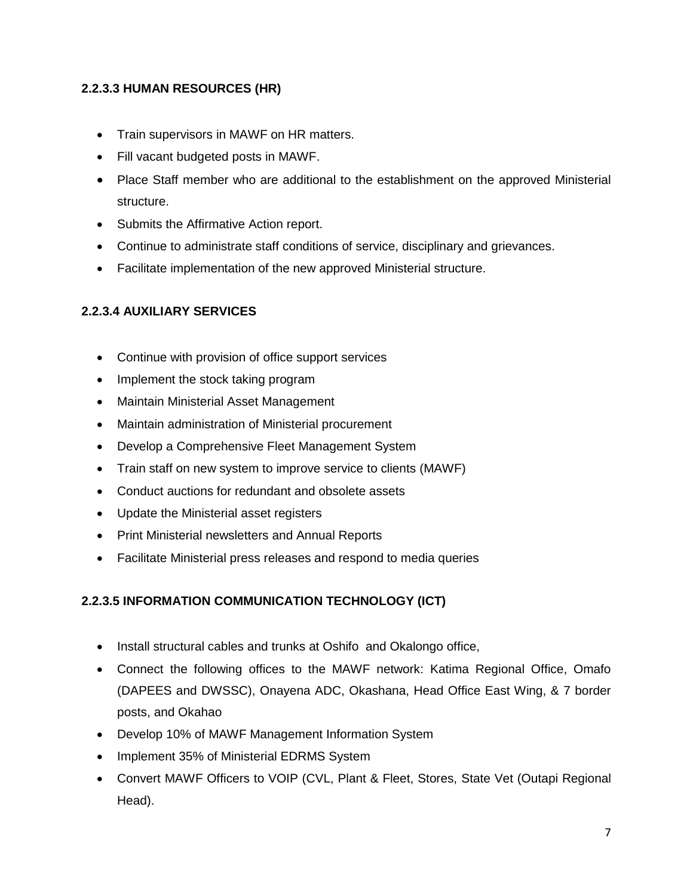# **2.2.3.3 HUMAN RESOURCES (HR)**

- Train supervisors in MAWF on HR matters.
- Fill vacant budgeted posts in MAWF.
- Place Staff member who are additional to the establishment on the approved Ministerial structure.
- Submits the Affirmative Action report.
- Continue to administrate staff conditions of service, disciplinary and grievances.
- Facilitate implementation of the new approved Ministerial structure.

# **2.2.3.4 AUXILIARY SERVICES**

- Continue with provision of office support services
- Implement the stock taking program
- Maintain Ministerial Asset Management
- Maintain administration of Ministerial procurement
- Develop a Comprehensive Fleet Management System
- Train staff on new system to improve service to clients (MAWF)
- Conduct auctions for redundant and obsolete assets
- Update the Ministerial asset registers
- Print Ministerial newsletters and Annual Reports
- Facilitate Ministerial press releases and respond to media queries

# **2.2.3.5 INFORMATION COMMUNICATION TECHNOLOGY (ICT)**

- Install structural cables and trunks at Oshifo and Okalongo office,
- Connect the following offices to the MAWF network: Katima Regional Office, Omafo (DAPEES and DWSSC), Onayena ADC, Okashana, Head Office East Wing, & 7 border posts, and Okahao
- Develop 10% of MAWF Management Information System
- Implement 35% of Ministerial EDRMS System
- Convert MAWF Officers to VOIP (CVL, Plant & Fleet, Stores, State Vet (Outapi Regional Head).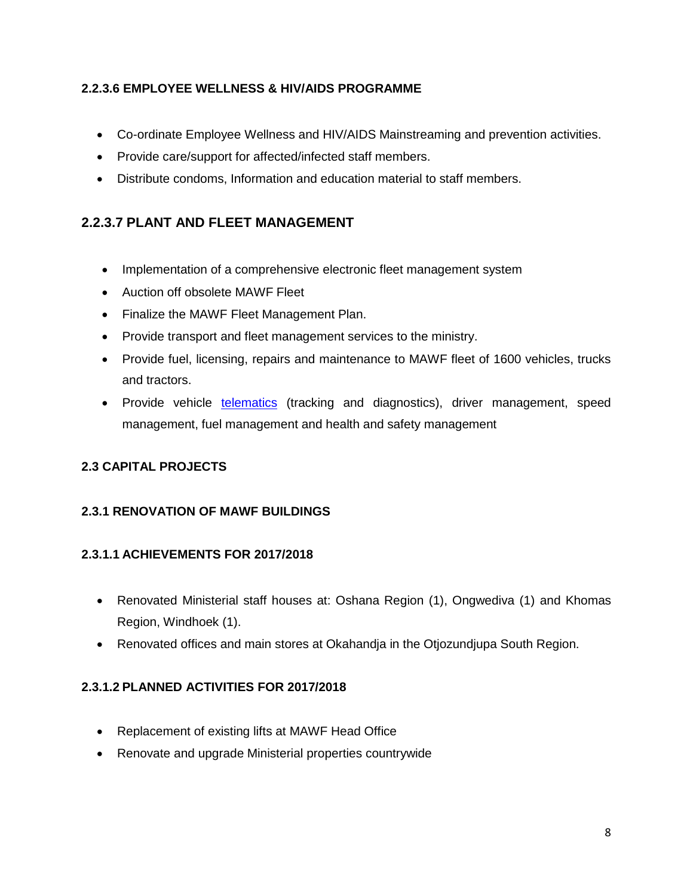# **2.2.3.6 EMPLOYEE WELLNESS & HIV/AIDS PROGRAMME**

- Co-ordinate Employee Wellness and HIV/AIDS Mainstreaming and prevention activities.
- Provide care/support for affected/infected staff members.
- Distribute condoms, Information and education material to staff members.

# **2.2.3.7 PLANT AND FLEET MANAGEMENT**

- Implementation of a comprehensive electronic fleet management system
- Auction off obsolete MAWF Fleet
- Finalize the MAWF Fleet Management Plan.
- Provide transport and fleet management services to the ministry.
- Provide fuel, licensing, repairs and maintenance to MAWF fleet of 1600 vehicles, trucks and tractors.
- Provide vehicle [telematics](https://en.wikipedia.org/wiki/Telematics) (tracking and diagnostics), driver management, speed management, fuel management and health and safety management

# **2.3 CAPITAL PROJECTS**

# **2.3.1 RENOVATION OF MAWF BUILDINGS**

# **2.3.1.1 ACHIEVEMENTS FOR 2017/2018**

- Renovated Ministerial staff houses at: Oshana Region (1), Ongwediva (1) and Khomas Region, Windhoek (1).
- Renovated offices and main stores at Okahandja in the Otjozundjupa South Region.

# **2.3.1.2 PLANNED ACTIVITIES FOR 2017/2018**

- Replacement of existing lifts at MAWF Head Office
- Renovate and upgrade Ministerial properties countrywide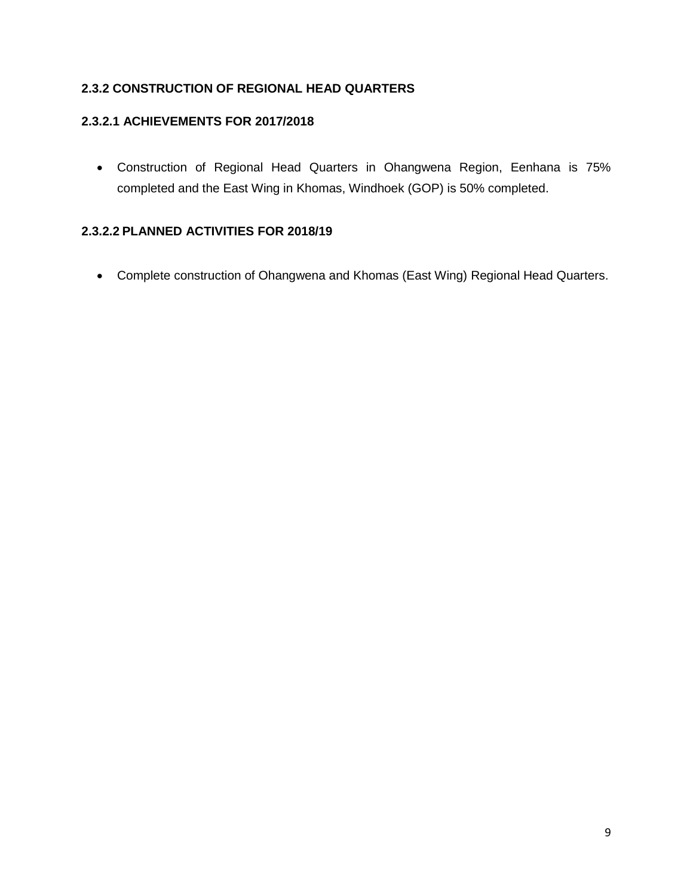# **2.3.2 CONSTRUCTION OF REGIONAL HEAD QUARTERS**

# **2.3.2.1 ACHIEVEMENTS FOR 2017/2018**

 Construction of Regional Head Quarters in Ohangwena Region, Eenhana is 75% completed and the East Wing in Khomas, Windhoek (GOP) is 50% completed.

# **2.3.2.2 PLANNED ACTIVITIES FOR 2018/19**

Complete construction of Ohangwena and Khomas (East Wing) Regional Head Quarters.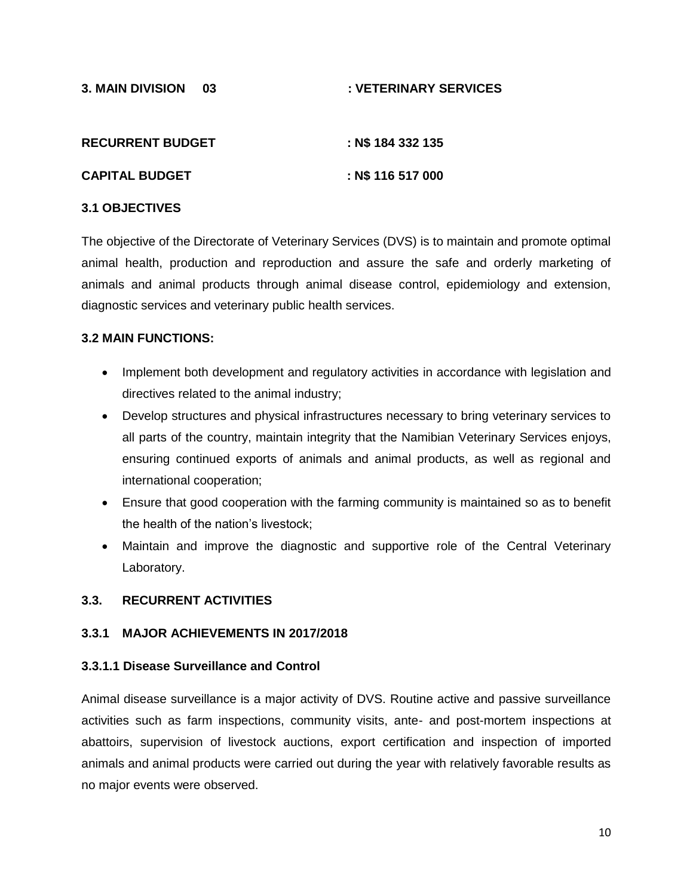#### **3. MAIN DIVISION 03 : VETERINARY SERVICES**

| <b>RECURRENT BUDGET</b> | : N\$ 184 332 135 |
|-------------------------|-------------------|
| <b>CAPITAL BUDGET</b>   | : N\$ 116 517 000 |

#### **3.1 OBJECTIVES**

The objective of the Directorate of Veterinary Services (DVS) is to maintain and promote optimal animal health, production and reproduction and assure the safe and orderly marketing of animals and animal products through animal disease control, epidemiology and extension, diagnostic services and veterinary public health services.

#### **3.2 MAIN FUNCTIONS:**

- Implement both development and regulatory activities in accordance with legislation and directives related to the animal industry;
- Develop structures and physical infrastructures necessary to bring veterinary services to all parts of the country, maintain integrity that the Namibian Veterinary Services enjoys, ensuring continued exports of animals and animal products, as well as regional and international cooperation;
- Ensure that good cooperation with the farming community is maintained so as to benefit the health of the nation's livestock;
- Maintain and improve the diagnostic and supportive role of the Central Veterinary Laboratory.

#### **3.3. RECURRENT ACTIVITIES**

#### **3.3.1 MAJOR ACHIEVEMENTS IN 2017/2018**

#### **3.3.1.1 Disease Surveillance and Control**

Animal disease surveillance is a major activity of DVS. Routine active and passive surveillance activities such as farm inspections, community visits, ante- and post-mortem inspections at abattoirs, supervision of livestock auctions, export certification and inspection of imported animals and animal products were carried out during the year with relatively favorable results as no major events were observed.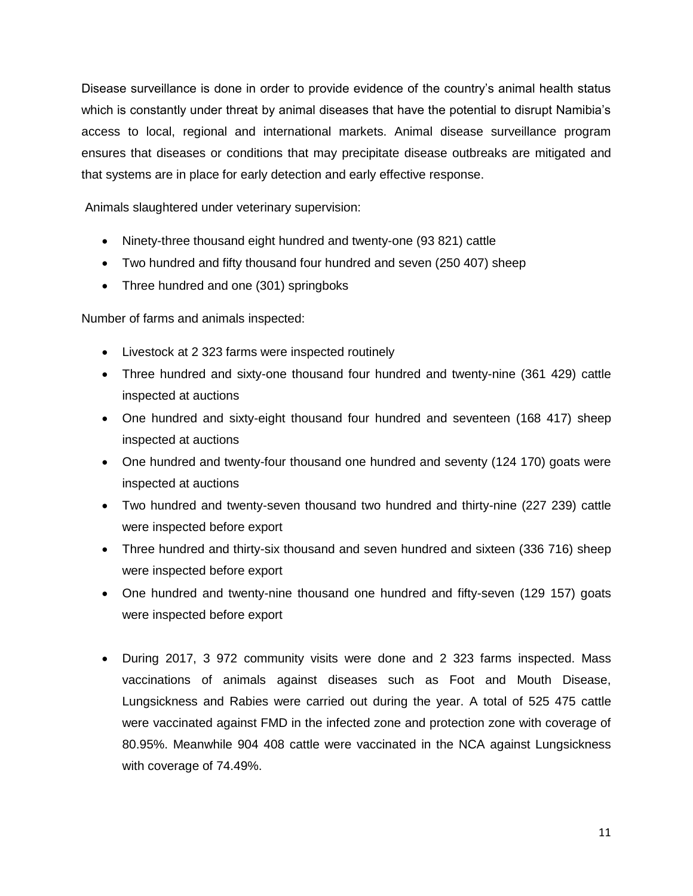Disease surveillance is done in order to provide evidence of the country's animal health status which is constantly under threat by animal diseases that have the potential to disrupt Namibia's access to local, regional and international markets. Animal disease surveillance program ensures that diseases or conditions that may precipitate disease outbreaks are mitigated and that systems are in place for early detection and early effective response.

Animals slaughtered under veterinary supervision:

- Ninety-three thousand eight hundred and twenty-one (93 821) cattle
- Two hundred and fifty thousand four hundred and seven (250 407) sheep
- Three hundred and one (301) springboks

Number of farms and animals inspected:

- Livestock at 2 323 farms were inspected routinely
- Three hundred and sixty-one thousand four hundred and twenty-nine (361 429) cattle inspected at auctions
- One hundred and sixty-eight thousand four hundred and seventeen (168 417) sheep inspected at auctions
- One hundred and twenty-four thousand one hundred and seventy (124 170) goats were inspected at auctions
- Two hundred and twenty-seven thousand two hundred and thirty-nine (227 239) cattle were inspected before export
- Three hundred and thirty-six thousand and seven hundred and sixteen (336 716) sheep were inspected before export
- One hundred and twenty-nine thousand one hundred and fifty-seven (129 157) goats were inspected before export
- During 2017, 3 972 community visits were done and 2 323 farms inspected. Mass vaccinations of animals against diseases such as Foot and Mouth Disease, Lungsickness and Rabies were carried out during the year. A total of 525 475 cattle were vaccinated against FMD in the infected zone and protection zone with coverage of 80.95%. Meanwhile 904 408 cattle were vaccinated in the NCA against Lungsickness with coverage of 74.49%.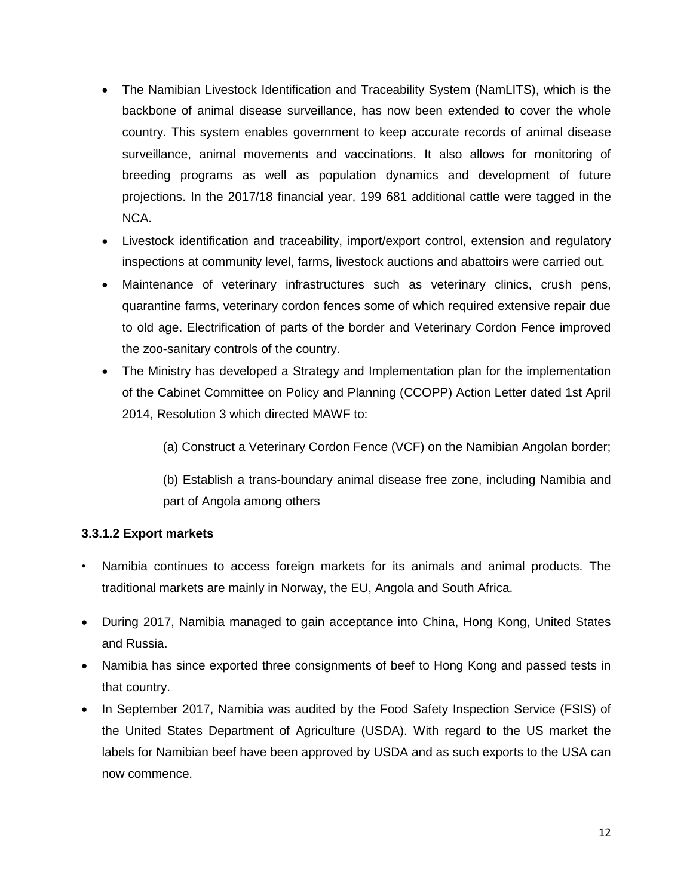- The Namibian Livestock Identification and Traceability System (NamLITS), which is the backbone of animal disease surveillance, has now been extended to cover the whole country. This system enables government to keep accurate records of animal disease surveillance, animal movements and vaccinations. It also allows for monitoring of breeding programs as well as population dynamics and development of future projections. In the 2017/18 financial year, 199 681 additional cattle were tagged in the NCA.
- Livestock identification and traceability, import/export control, extension and regulatory inspections at community level, farms, livestock auctions and abattoirs were carried out.
- Maintenance of veterinary infrastructures such as veterinary clinics, crush pens, quarantine farms, veterinary cordon fences some of which required extensive repair due to old age. Electrification of parts of the border and Veterinary Cordon Fence improved the zoo-sanitary controls of the country.
- The Ministry has developed a Strategy and Implementation plan for the implementation of the Cabinet Committee on Policy and Planning (CCOPP) Action Letter dated 1st April 2014, Resolution 3 which directed MAWF to:

(a) Construct a Veterinary Cordon Fence (VCF) on the Namibian Angolan border;

(b) Establish a trans-boundary animal disease free zone, including Namibia and part of Angola among others

# **3.3.1.2 Export markets**

- Namibia continues to access foreign markets for its animals and animal products. The traditional markets are mainly in Norway, the EU, Angola and South Africa.
- During 2017, Namibia managed to gain acceptance into China, Hong Kong, United States and Russia.
- Namibia has since exported three consignments of beef to Hong Kong and passed tests in that country.
- In September 2017, Namibia was audited by the Food Safety Inspection Service (FSIS) of the United States Department of Agriculture (USDA). With regard to the US market the labels for Namibian beef have been approved by USDA and as such exports to the USA can now commence.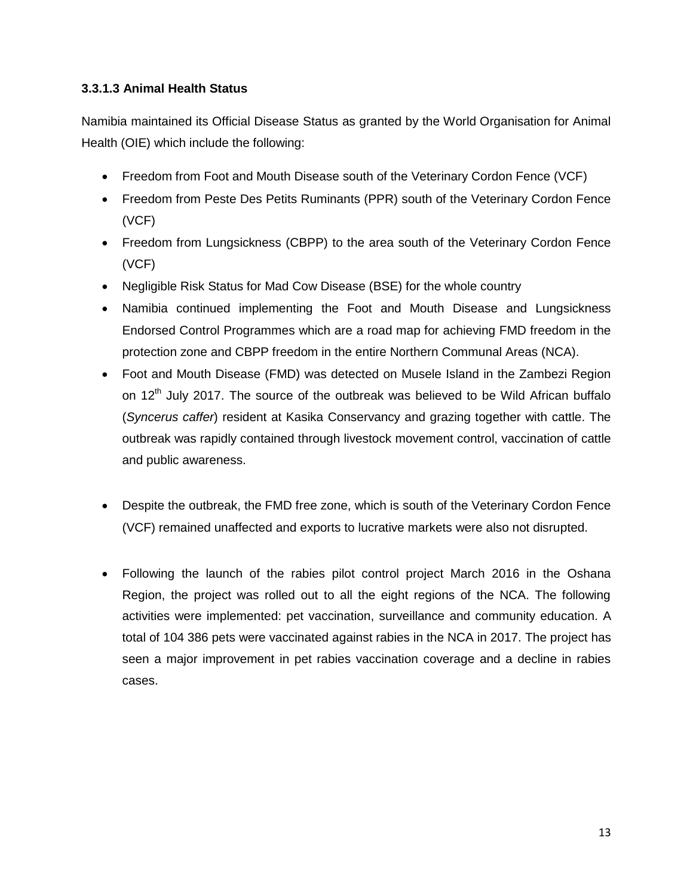# **3.3.1.3 Animal Health Status**

Namibia maintained its Official Disease Status as granted by the World Organisation for Animal Health (OIE) which include the following:

- Freedom from Foot and Mouth Disease south of the Veterinary Cordon Fence (VCF)
- Freedom from Peste Des Petits Ruminants (PPR) south of the Veterinary Cordon Fence (VCF)
- Freedom from Lungsickness (CBPP) to the area south of the Veterinary Cordon Fence (VCF)
- Negligible Risk Status for Mad Cow Disease (BSE) for the whole country
- Namibia continued implementing the Foot and Mouth Disease and Lungsickness Endorsed Control Programmes which are a road map for achieving FMD freedom in the protection zone and CBPP freedom in the entire Northern Communal Areas (NCA).
- Foot and Mouth Disease (FMD) was detected on Musele Island in the Zambezi Region on  $12<sup>th</sup>$  July 2017. The source of the outbreak was believed to be Wild African buffalo (*Syncerus caffer*) resident at Kasika Conservancy and grazing together with cattle. The outbreak was rapidly contained through livestock movement control, vaccination of cattle and public awareness.
- Despite the outbreak, the FMD free zone, which is south of the Veterinary Cordon Fence (VCF) remained unaffected and exports to lucrative markets were also not disrupted.
- Following the launch of the rabies pilot control project March 2016 in the Oshana Region, the project was rolled out to all the eight regions of the NCA. The following activities were implemented: pet vaccination, surveillance and community education. A total of 104 386 pets were vaccinated against rabies in the NCA in 2017. The project has seen a major improvement in pet rabies vaccination coverage and a decline in rabies cases.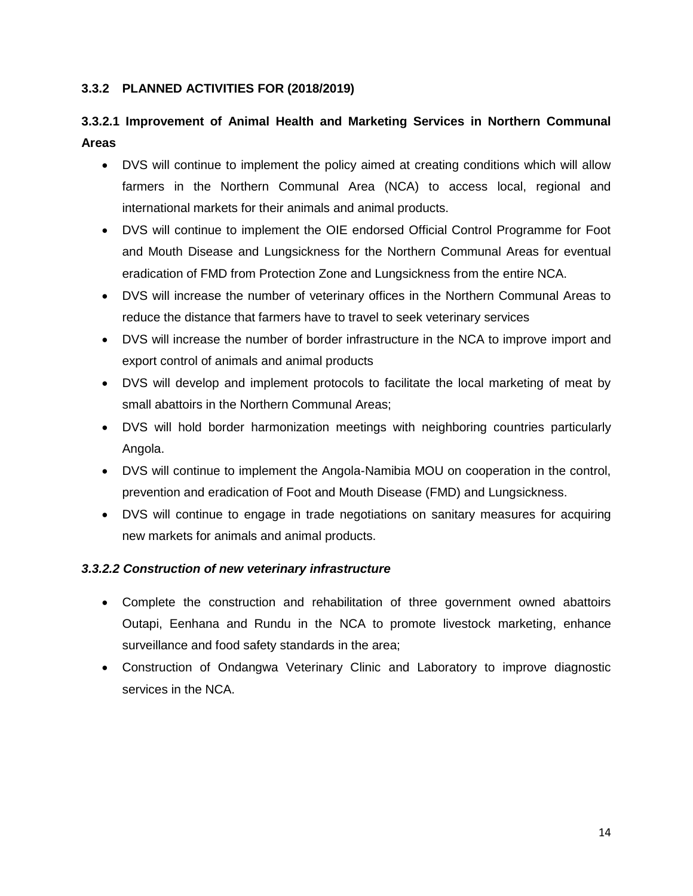#### **3.3.2 PLANNED ACTIVITIES FOR (2018/2019)**

# **3.3.2.1 Improvement of Animal Health and Marketing Services in Northern Communal Areas**

- DVS will continue to implement the policy aimed at creating conditions which will allow farmers in the Northern Communal Area (NCA) to access local, regional and international markets for their animals and animal products.
- DVS will continue to implement the OIE endorsed Official Control Programme for Foot and Mouth Disease and Lungsickness for the Northern Communal Areas for eventual eradication of FMD from Protection Zone and Lungsickness from the entire NCA.
- DVS will increase the number of veterinary offices in the Northern Communal Areas to reduce the distance that farmers have to travel to seek veterinary services
- DVS will increase the number of border infrastructure in the NCA to improve import and export control of animals and animal products
- DVS will develop and implement protocols to facilitate the local marketing of meat by small abattoirs in the Northern Communal Areas;
- DVS will hold border harmonization meetings with neighboring countries particularly Angola.
- DVS will continue to implement the Angola-Namibia MOU on cooperation in the control, prevention and eradication of Foot and Mouth Disease (FMD) and Lungsickness.
- DVS will continue to engage in trade negotiations on sanitary measures for acquiring new markets for animals and animal products.

#### *3.3.2.2 Construction of new veterinary infrastructure*

- Complete the construction and rehabilitation of three government owned abattoirs Outapi, Eenhana and Rundu in the NCA to promote livestock marketing, enhance surveillance and food safety standards in the area;
- Construction of Ondangwa Veterinary Clinic and Laboratory to improve diagnostic services in the NCA.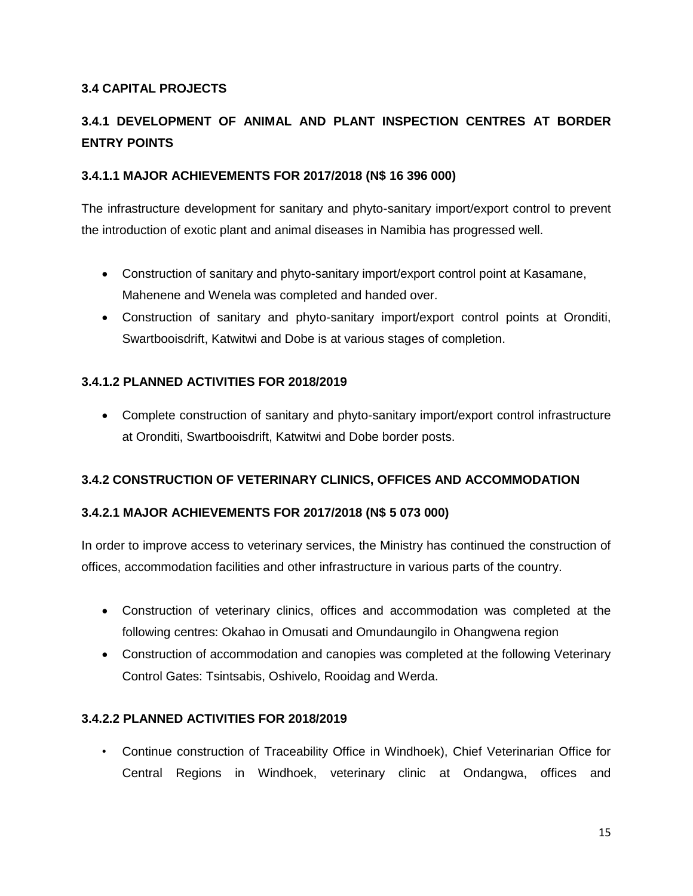# **3.4 CAPITAL PROJECTS**

# **3.4.1 DEVELOPMENT OF ANIMAL AND PLANT INSPECTION CENTRES AT BORDER ENTRY POINTS**

#### **3.4.1.1 MAJOR ACHIEVEMENTS FOR 2017/2018 (N\$ 16 396 000)**

The infrastructure development for sanitary and phyto-sanitary import/export control to prevent the introduction of exotic plant and animal diseases in Namibia has progressed well.

- Construction of sanitary and phyto-sanitary import/export control point at Kasamane, Mahenene and Wenela was completed and handed over.
- Construction of sanitary and phyto-sanitary import/export control points at Oronditi, Swartbooisdrift, Katwitwi and Dobe is at various stages of completion.

#### **3.4.1.2 PLANNED ACTIVITIES FOR 2018/2019**

 Complete construction of sanitary and phyto-sanitary import/export control infrastructure at Oronditi, Swartbooisdrift, Katwitwi and Dobe border posts.

# **3.4.2 CONSTRUCTION OF VETERINARY CLINICS, OFFICES AND ACCOMMODATION**

#### **3.4.2.1 MAJOR ACHIEVEMENTS FOR 2017/2018 (N\$ 5 073 000)**

In order to improve access to veterinary services, the Ministry has continued the construction of offices, accommodation facilities and other infrastructure in various parts of the country.

- Construction of veterinary clinics, offices and accommodation was completed at the following centres: Okahao in Omusati and Omundaungilo in Ohangwena region
- Construction of accommodation and canopies was completed at the following Veterinary Control Gates: Tsintsabis, Oshivelo, Rooidag and Werda.

#### **3.4.2.2 PLANNED ACTIVITIES FOR 2018/2019**

• Continue construction of Traceability Office in Windhoek), Chief Veterinarian Office for Central Regions in Windhoek, veterinary clinic at Ondangwa, offices and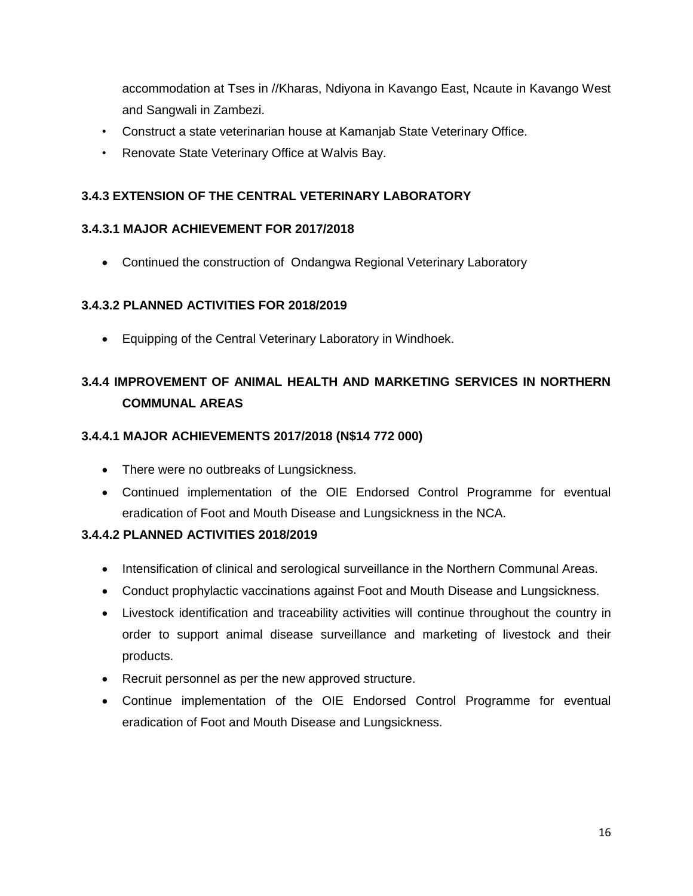accommodation at Tses in //Kharas, Ndiyona in Kavango East, Ncaute in Kavango West and Sangwali in Zambezi.

- Construct a state veterinarian house at Kamanjab State Veterinary Office.
- Renovate State Veterinary Office at Walvis Bay.

# **3.4.3 EXTENSION OF THE CENTRAL VETERINARY LABORATORY**

#### **3.4.3.1 MAJOR ACHIEVEMENT FOR 2017/2018**

Continued the construction of Ondangwa Regional Veterinary Laboratory

# **3.4.3.2 PLANNED ACTIVITIES FOR 2018/2019**

Equipping of the Central Veterinary Laboratory in Windhoek.

# **3.4.4 IMPROVEMENT OF ANIMAL HEALTH AND MARKETING SERVICES IN NORTHERN COMMUNAL AREAS**

#### **3.4.4.1 MAJOR ACHIEVEMENTS 2017/2018 (N\$14 772 000)**

- There were no outbreaks of Lungsickness.
- Continued implementation of the OIE Endorsed Control Programme for eventual eradication of Foot and Mouth Disease and Lungsickness in the NCA.

# **3.4.4.2 PLANNED ACTIVITIES 2018/2019**

- Intensification of clinical and serological surveillance in the Northern Communal Areas.
- Conduct prophylactic vaccinations against Foot and Mouth Disease and Lungsickness.
- Livestock identification and traceability activities will continue throughout the country in order to support animal disease surveillance and marketing of livestock and their products.
- Recruit personnel as per the new approved structure.
- Continue implementation of the OIE Endorsed Control Programme for eventual eradication of Foot and Mouth Disease and Lungsickness.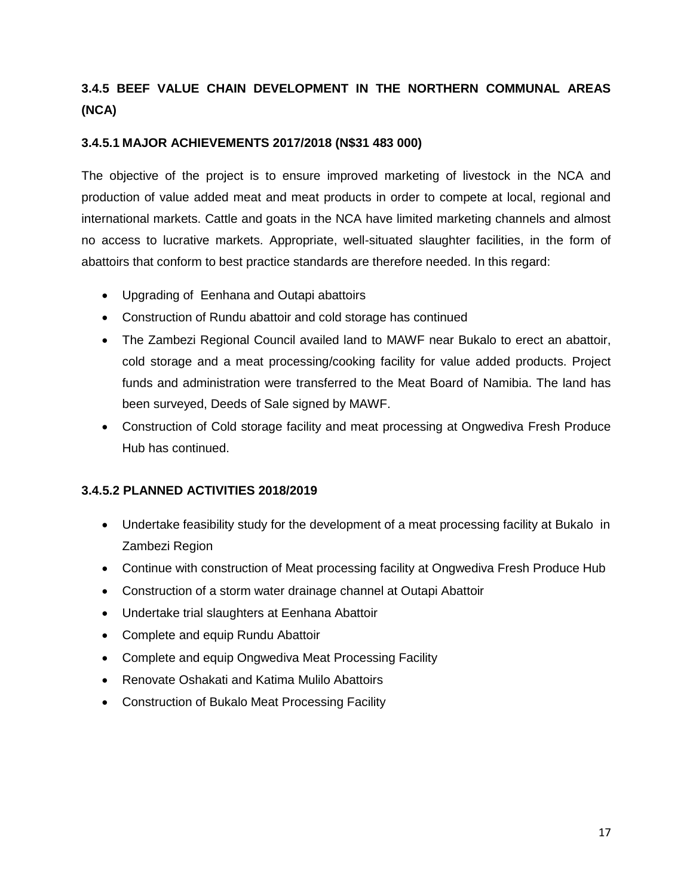# **3.4.5 BEEF VALUE CHAIN DEVELOPMENT IN THE NORTHERN COMMUNAL AREAS (NCA)**

#### **3.4.5.1 MAJOR ACHIEVEMENTS 2017/2018 (N\$31 483 000)**

The objective of the project is to ensure improved marketing of livestock in the NCA and production of value added meat and meat products in order to compete at local, regional and international markets. Cattle and goats in the NCA have limited marketing channels and almost no access to lucrative markets. Appropriate, well-situated slaughter facilities, in the form of abattoirs that conform to best practice standards are therefore needed. In this regard:

- Upgrading of Eenhana and Outapi abattoirs
- Construction of Rundu abattoir and cold storage has continued
- The Zambezi Regional Council availed land to MAWF near Bukalo to erect an abattoir, cold storage and a meat processing/cooking facility for value added products. Project funds and administration were transferred to the Meat Board of Namibia. The land has been surveyed, Deeds of Sale signed by MAWF.
- Construction of Cold storage facility and meat processing at Ongwediva Fresh Produce Hub has continued.

# **3.4.5.2 PLANNED ACTIVITIES 2018/2019**

- Undertake feasibility study for the development of a meat processing facility at Bukalo in Zambezi Region
- Continue with construction of Meat processing facility at Ongwediva Fresh Produce Hub
- Construction of a storm water drainage channel at Outapi Abattoir
- Undertake trial slaughters at Eenhana Abattoir
- Complete and equip Rundu Abattoir
- Complete and equip Ongwediva Meat Processing Facility
- Renovate Oshakati and Katima Mulilo Abattoirs
- Construction of Bukalo Meat Processing Facility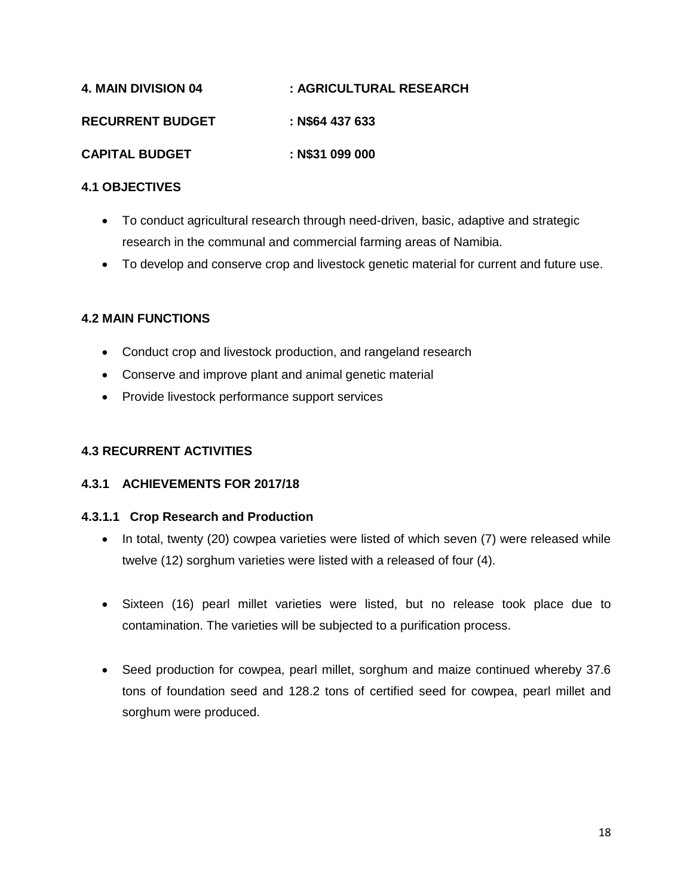| <b>4. MAIN DIVISION 04</b> | : AGRICULTURAL RESEARCH |
|----------------------------|-------------------------|
| <b>RECURRENT BUDGET</b>    | : N\$64 437 633         |
| <b>CAPITAL BUDGET</b>      | : N\$31 099 000         |

# **4.1 OBJECTIVES**

- To conduct agricultural research through need-driven, basic, adaptive and strategic research in the communal and commercial farming areas of Namibia.
- To develop and conserve crop and livestock genetic material for current and future use.

# **4.2 MAIN FUNCTIONS**

- Conduct crop and livestock production, and rangeland research
- Conserve and improve plant and animal genetic material
- Provide livestock performance support services

# **4.3 RECURRENT ACTIVITIES**

# **4.3.1 ACHIEVEMENTS FOR 2017/18**

# **4.3.1.1 Crop Research and Production**

- In total, twenty (20) cowpea varieties were listed of which seven (7) were released while twelve (12) sorghum varieties were listed with a released of four (4).
- Sixteen (16) pearl millet varieties were listed, but no release took place due to contamination. The varieties will be subjected to a purification process.
- Seed production for cowpea, pearl millet, sorghum and maize continued whereby 37.6 tons of foundation seed and 128.2 tons of certified seed for cowpea, pearl millet and sorghum were produced.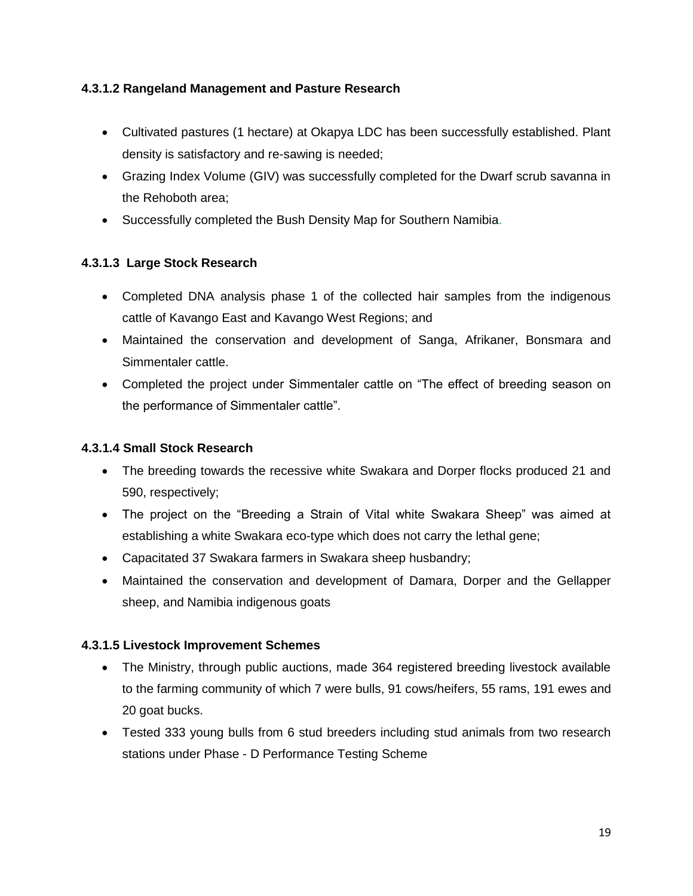# **4.3.1.2 Rangeland Management and Pasture Research**

- Cultivated pastures (1 hectare) at Okapya LDC has been successfully established. Plant density is satisfactory and re-sawing is needed;
- Grazing Index Volume (GIV) was successfully completed for the Dwarf scrub savanna in the Rehoboth area;
- Successfully completed the Bush Density Map for Southern Namibia.

# **4.3.1.3 Large Stock Research**

- Completed DNA analysis phase 1 of the collected hair samples from the indigenous cattle of Kavango East and Kavango West Regions; and
- Maintained the conservation and development of Sanga, Afrikaner, Bonsmara and Simmentaler cattle.
- Completed the project under Simmentaler cattle on "The effect of breeding season on the performance of Simmentaler cattle".

# **4.3.1.4 Small Stock Research**

- The breeding towards the recessive white Swakara and Dorper flocks produced 21 and 590, respectively;
- The project on the "Breeding a Strain of Vital white Swakara Sheep" was aimed at establishing a white Swakara eco-type which does not carry the lethal gene;
- Capacitated 37 Swakara farmers in Swakara sheep husbandry;
- Maintained the conservation and development of Damara, Dorper and the Gellapper sheep, and Namibia indigenous goats

# **4.3.1.5 Livestock Improvement Schemes**

- The Ministry, through public auctions, made 364 registered breeding livestock available to the farming community of which 7 were bulls, 91 cows/heifers, 55 rams, 191 ewes and 20 goat bucks.
- Tested 333 young bulls from 6 stud breeders including stud animals from two research stations under Phase - D Performance Testing Scheme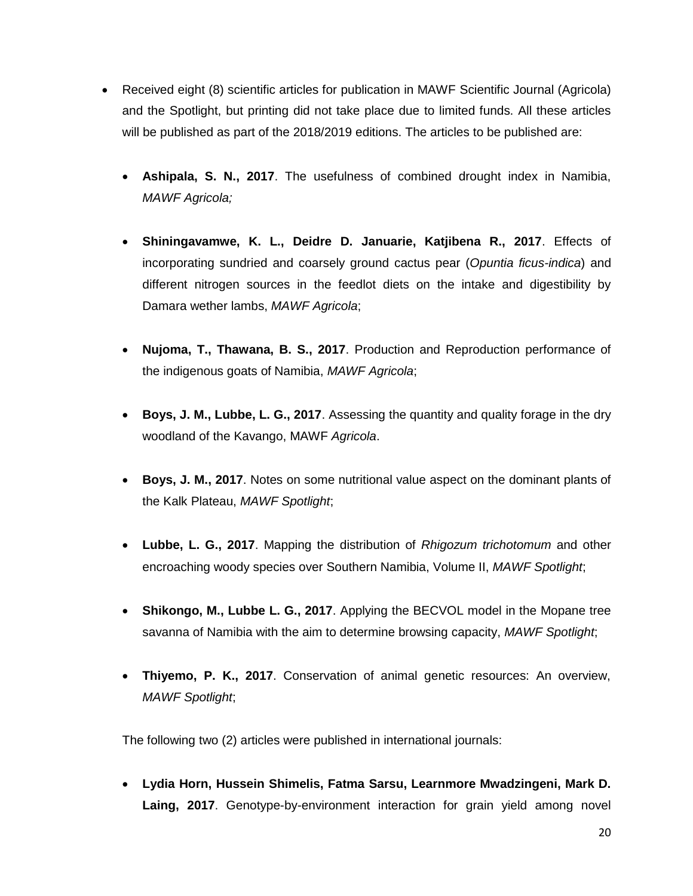- Received eight (8) scientific articles for publication in MAWF Scientific Journal (Agricola) and the Spotlight, but printing did not take place due to limited funds. All these articles will be published as part of the 2018/2019 editions. The articles to be published are:
	- **Ashipala, S. N., 2017**. The usefulness of combined drought index in Namibia, *MAWF Agricola;*
	- **Shiningavamwe, K. L., Deidre D. Januarie, Katjibena R., 2017**. Effects of incorporating sundried and coarsely ground cactus pear (*Opuntia ficus-indica*) and different nitrogen sources in the feedlot diets on the intake and digestibility by Damara wether lambs, *MAWF Agricola*;
	- **Nujoma, T., Thawana, B. S., 2017**. Production and Reproduction performance of the indigenous goats of Namibia, *MAWF Agricola*;
	- **Boys, J. M., Lubbe, L. G., 2017**. Assessing the quantity and quality forage in the dry woodland of the Kavango, MAWF *Agricola*.
	- **Boys, J. M., 2017**. Notes on some nutritional value aspect on the dominant plants of the Kalk Plateau, *MAWF Spotlight*;
	- **Lubbe, L. G., 2017**. Mapping the distribution of *Rhigozum trichotomum* and other encroaching woody species over Southern Namibia, Volume II, *MAWF Spotlight*;
	- **Shikongo, M., Lubbe L. G., 2017**. Applying the BECVOL model in the Mopane tree savanna of Namibia with the aim to determine browsing capacity, *MAWF Spotlight*;
	- **Thiyemo, P. K., 2017**. Conservation of animal genetic resources: An overview, *MAWF Spotlight*;

The following two (2) articles were published in international journals:

 **Lydia Horn, Hussein Shimelis, Fatma Sarsu, Learnmore Mwadzingeni, Mark D. Laing, 2017**. Genotype-by-environment interaction for grain yield among novel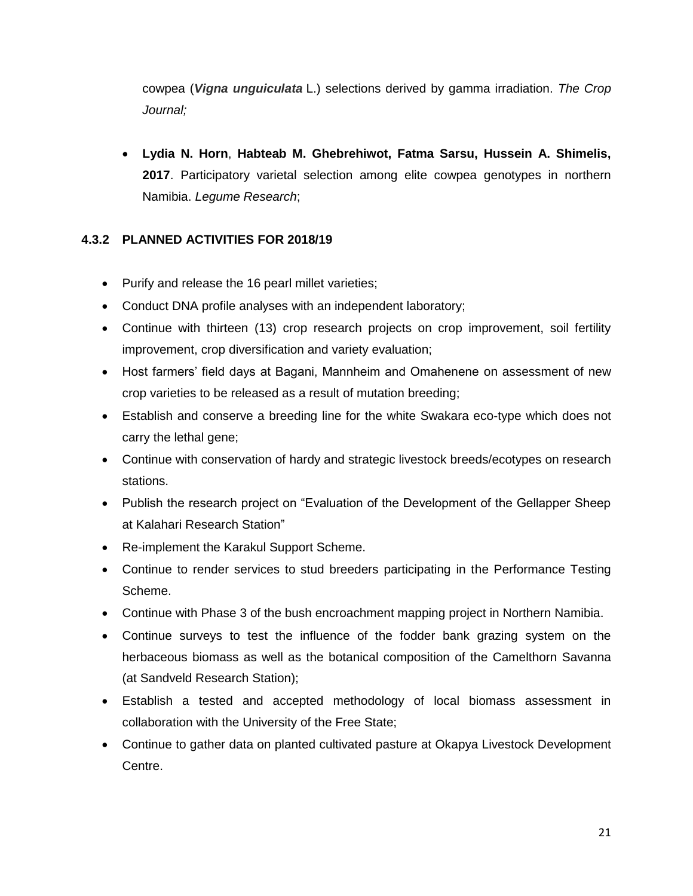cowpea (*Vigna unguiculata* L.) selections derived by gamma irradiation. *The Crop Journal;*

 **Lydia N. Horn**, **Habteab M. Ghebrehiwot, Fatma Sarsu, Hussein A. Shimelis, 2017**. Participatory varietal selection among elite cowpea genotypes in northern Namibia. *Legume Research*;

# **4.3.2 PLANNED ACTIVITIES FOR 2018/19**

- Purify and release the 16 pearl millet varieties;
- Conduct DNA profile analyses with an independent laboratory;
- Continue with thirteen (13) crop research projects on crop improvement, soil fertility improvement, crop diversification and variety evaluation;
- Host farmers' field days at Bagani, Mannheim and Omahenene on assessment of new crop varieties to be released as a result of mutation breeding;
- Establish and conserve a breeding line for the white Swakara eco-type which does not carry the lethal gene;
- Continue with conservation of hardy and strategic livestock breeds/ecotypes on research stations.
- Publish the research project on "Evaluation of the Development of the Gellapper Sheep at Kalahari Research Station"
- Re-implement the Karakul Support Scheme.
- Continue to render services to stud breeders participating in the Performance Testing Scheme.
- Continue with Phase 3 of the bush encroachment mapping project in Northern Namibia.
- Continue surveys to test the influence of the fodder bank grazing system on the herbaceous biomass as well as the botanical composition of the Camelthorn Savanna (at Sandveld Research Station);
- Establish a tested and accepted methodology of local biomass assessment in collaboration with the University of the Free State;
- Continue to gather data on planted cultivated pasture at Okapya Livestock Development Centre.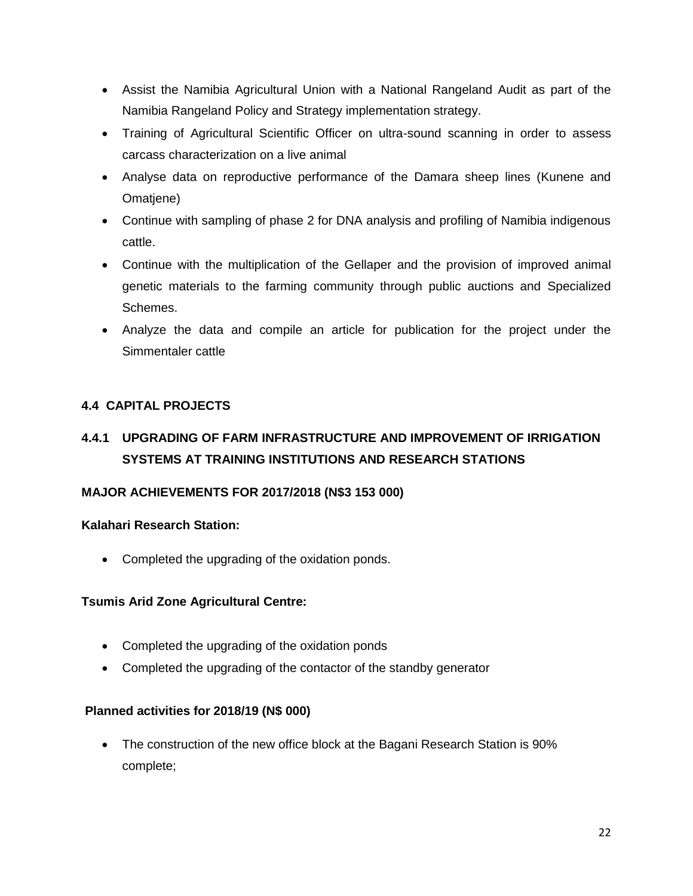- Assist the Namibia Agricultural Union with a National Rangeland Audit as part of the Namibia Rangeland Policy and Strategy implementation strategy.
- Training of Agricultural Scientific Officer on ultra-sound scanning in order to assess carcass characterization on a live animal
- Analyse data on reproductive performance of the Damara sheep lines (Kunene and Omatjene)
- Continue with sampling of phase 2 for DNA analysis and profiling of Namibia indigenous cattle.
- Continue with the multiplication of the Gellaper and the provision of improved animal genetic materials to the farming community through public auctions and Specialized Schemes.
- Analyze the data and compile an article for publication for the project under the Simmentaler cattle

# **4.4 CAPITAL PROJECTS**

# **4.4.1 UPGRADING OF FARM INFRASTRUCTURE AND IMPROVEMENT OF IRRIGATION SYSTEMS AT TRAINING INSTITUTIONS AND RESEARCH STATIONS**

# **MAJOR ACHIEVEMENTS FOR 2017/2018 (N\$3 153 000)**

#### **Kalahari Research Station:**

• Completed the upgrading of the oxidation ponds.

# **Tsumis Arid Zone Agricultural Centre:**

- Completed the upgrading of the oxidation ponds
- Completed the upgrading of the contactor of the standby generator

#### **Planned activities for 2018/19 (N\$ 000)**

 The construction of the new office block at the Bagani Research Station is 90% complete;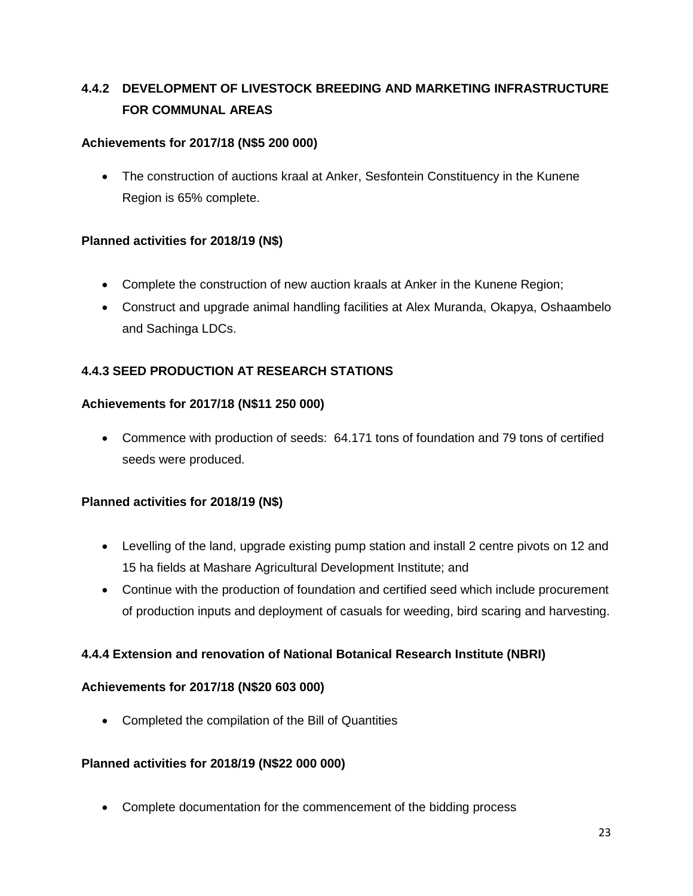# **4.4.2 DEVELOPMENT OF LIVESTOCK BREEDING AND MARKETING INFRASTRUCTURE FOR COMMUNAL AREAS**

#### **Achievements for 2017/18 (N\$5 200 000)**

 The construction of auctions kraal at Anker, Sesfontein Constituency in the Kunene Region is 65% complete.

#### **Planned activities for 2018/19 (N\$)**

- Complete the construction of new auction kraals at Anker in the Kunene Region;
- Construct and upgrade animal handling facilities at Alex Muranda, Okapya, Oshaambelo and Sachinga LDCs.

# **4.4.3 SEED PRODUCTION AT RESEARCH STATIONS**

#### **Achievements for 2017/18 (N\$11 250 000)**

 Commence with production of seeds: 64.171 tons of foundation and 79 tons of certified seeds were produced.

#### **Planned activities for 2018/19 (N\$)**

- Levelling of the land, upgrade existing pump station and install 2 centre pivots on 12 and 15 ha fields at Mashare Agricultural Development Institute; and
- Continue with the production of foundation and certified seed which include procurement of production inputs and deployment of casuals for weeding, bird scaring and harvesting.

# **4.4.4 Extension and renovation of National Botanical Research Institute (NBRI)**

#### **Achievements for 2017/18 (N\$20 603 000)**

Completed the compilation of the Bill of Quantities

#### **Planned activities for 2018/19 (N\$22 000 000)**

Complete documentation for the commencement of the bidding process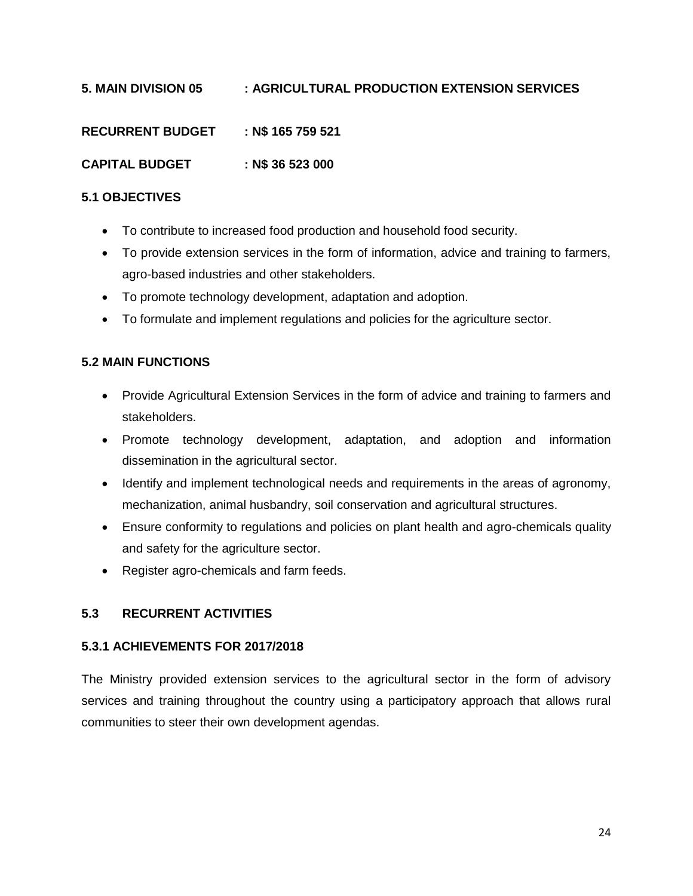**5. MAIN DIVISION 05 : AGRICULTURAL PRODUCTION EXTENSION SERVICES RECURRENT BUDGET : N\$ 165 759 521** 

**CAPITAL BUDGET : N\$ 36 523 000**

# **5.1 OBJECTIVES**

- To contribute to increased food production and household food security.
- To provide extension services in the form of information, advice and training to farmers, agro-based industries and other stakeholders.
- To promote technology development, adaptation and adoption.
- To formulate and implement regulations and policies for the agriculture sector.

# **5.2 MAIN FUNCTIONS**

- Provide Agricultural Extension Services in the form of advice and training to farmers and stakeholders.
- Promote technology development, adaptation, and adoption and information dissemination in the agricultural sector.
- Identify and implement technological needs and requirements in the areas of agronomy, mechanization, animal husbandry, soil conservation and agricultural structures.
- Ensure conformity to regulations and policies on plant health and agro-chemicals quality and safety for the agriculture sector.
- Register agro-chemicals and farm feeds.

# **5.3 RECURRENT ACTIVITIES**

# **5.3.1 ACHIEVEMENTS FOR 2017/2018**

The Ministry provided extension services to the agricultural sector in the form of advisory services and training throughout the country using a participatory approach that allows rural communities to steer their own development agendas.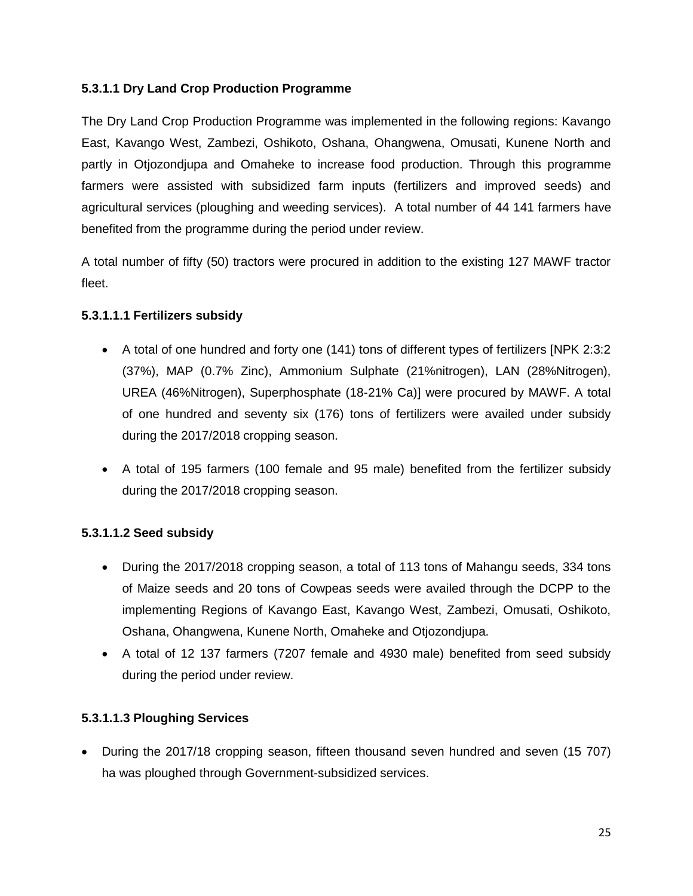# **5.3.1.1 Dry Land Crop Production Programme**

The Dry Land Crop Production Programme was implemented in the following regions: Kavango East, Kavango West, Zambezi, Oshikoto, Oshana, Ohangwena, Omusati, Kunene North and partly in Otjozondjupa and Omaheke to increase food production. Through this programme farmers were assisted with subsidized farm inputs (fertilizers and improved seeds) and agricultural services (ploughing and weeding services). A total number of 44 141 farmers have benefited from the programme during the period under review.

A total number of fifty (50) tractors were procured in addition to the existing 127 MAWF tractor fleet.

#### **5.3.1.1.1 Fertilizers subsidy**

- A total of one hundred and forty one (141) tons of different types of fertilizers [NPK 2:3:2 (37%), MAP (0.7% Zinc), Ammonium Sulphate (21%nitrogen), LAN (28%Nitrogen), UREA (46%Nitrogen), Superphosphate (18-21% Ca)] were procured by MAWF. A total of one hundred and seventy six (176) tons of fertilizers were availed under subsidy during the 2017/2018 cropping season.
- A total of 195 farmers (100 female and 95 male) benefited from the fertilizer subsidy during the 2017/2018 cropping season.

# **5.3.1.1.2 Seed subsidy**

- During the 2017/2018 cropping season, a total of 113 tons of Mahangu seeds, 334 tons of Maize seeds and 20 tons of Cowpeas seeds were availed through the DCPP to the implementing Regions of Kavango East, Kavango West, Zambezi, Omusati, Oshikoto, Oshana, Ohangwena, Kunene North, Omaheke and Otjozondjupa.
- A total of 12 137 farmers (7207 female and 4930 male) benefited from seed subsidy during the period under review.

# **5.3.1.1.3 Ploughing Services**

 During the 2017/18 cropping season, fifteen thousand seven hundred and seven (15 707) ha was ploughed through Government-subsidized services.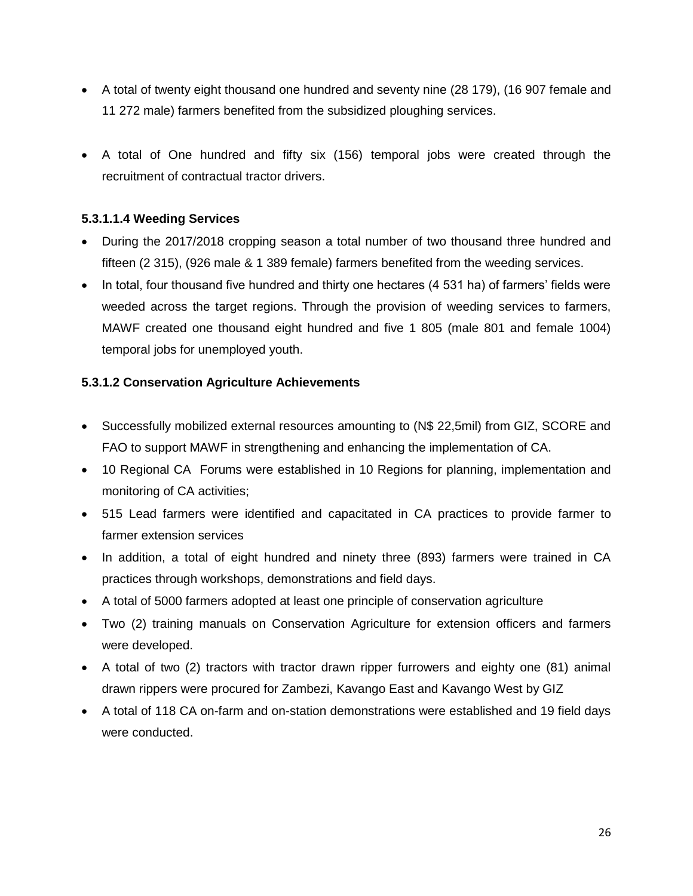- A total of twenty eight thousand one hundred and seventy nine (28 179), (16 907 female and 11 272 male) farmers benefited from the subsidized ploughing services.
- A total of One hundred and fifty six (156) temporal jobs were created through the recruitment of contractual tractor drivers.

#### **5.3.1.1.4 Weeding Services**

- During the 2017/2018 cropping season a total number of two thousand three hundred and fifteen (2 315), (926 male & 1 389 female) farmers benefited from the weeding services.
- In total, four thousand five hundred and thirty one hectares (4 531 ha) of farmers' fields were weeded across the target regions. Through the provision of weeding services to farmers, MAWF created one thousand eight hundred and five 1 805 (male 801 and female 1004) temporal jobs for unemployed youth.

#### **5.3.1.2 Conservation Agriculture Achievements**

- Successfully mobilized external resources amounting to (N\$ 22,5mil) from GIZ, SCORE and FAO to support MAWF in strengthening and enhancing the implementation of CA.
- 10 Regional CA Forums were established in 10 Regions for planning, implementation and monitoring of CA activities;
- 515 Lead farmers were identified and capacitated in CA practices to provide farmer to farmer extension services
- In addition, a total of eight hundred and ninety three (893) farmers were trained in CA practices through workshops, demonstrations and field days.
- A total of 5000 farmers adopted at least one principle of conservation agriculture
- Two (2) training manuals on Conservation Agriculture for extension officers and farmers were developed.
- A total of two (2) tractors with tractor drawn ripper furrowers and eighty one (81) animal drawn rippers were procured for Zambezi, Kavango East and Kavango West by GIZ
- A total of 118 CA on-farm and on-station demonstrations were established and 19 field days were conducted.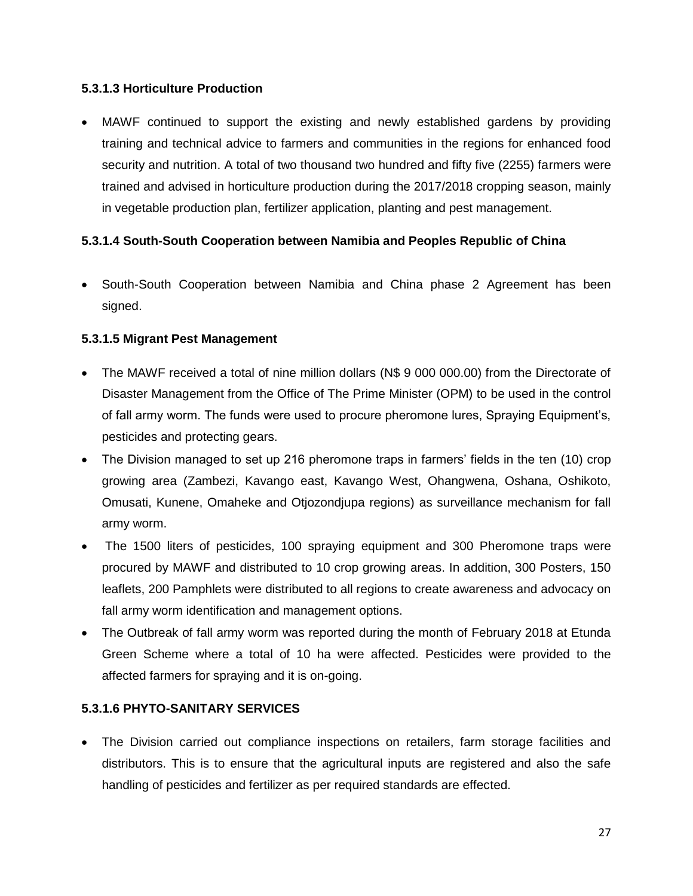#### **5.3.1.3 Horticulture Production**

 MAWF continued to support the existing and newly established gardens by providing training and technical advice to farmers and communities in the regions for enhanced food security and nutrition. A total of two thousand two hundred and fifty five (2255) farmers were trained and advised in horticulture production during the 2017/2018 cropping season, mainly in vegetable production plan, fertilizer application, planting and pest management.

# **5.3.1.4 South-South Cooperation between Namibia and Peoples Republic of China**

 South-South Cooperation between Namibia and China phase 2 Agreement has been signed.

# **5.3.1.5 Migrant Pest Management**

- The MAWF received a total of nine million dollars (N\$ 9 000 000.00) from the Directorate of Disaster Management from the Office of The Prime Minister (OPM) to be used in the control of fall army worm. The funds were used to procure pheromone lures, Spraying Equipment's, pesticides and protecting gears.
- The Division managed to set up 216 pheromone traps in farmers' fields in the ten (10) crop growing area (Zambezi, Kavango east, Kavango West, Ohangwena, Oshana, Oshikoto, Omusati, Kunene, Omaheke and Otjozondjupa regions) as surveillance mechanism for fall army worm.
- The 1500 liters of pesticides, 100 spraying equipment and 300 Pheromone traps were procured by MAWF and distributed to 10 crop growing areas. In addition, 300 Posters, 150 leaflets, 200 Pamphlets were distributed to all regions to create awareness and advocacy on fall army worm identification and management options.
- The Outbreak of fall army worm was reported during the month of February 2018 at Etunda Green Scheme where a total of 10 ha were affected. Pesticides were provided to the affected farmers for spraying and it is on-going.

# **5.3.1.6 PHYTO-SANITARY SERVICES**

 The Division carried out compliance inspections on retailers, farm storage facilities and distributors. This is to ensure that the agricultural inputs are registered and also the safe handling of pesticides and fertilizer as per required standards are effected.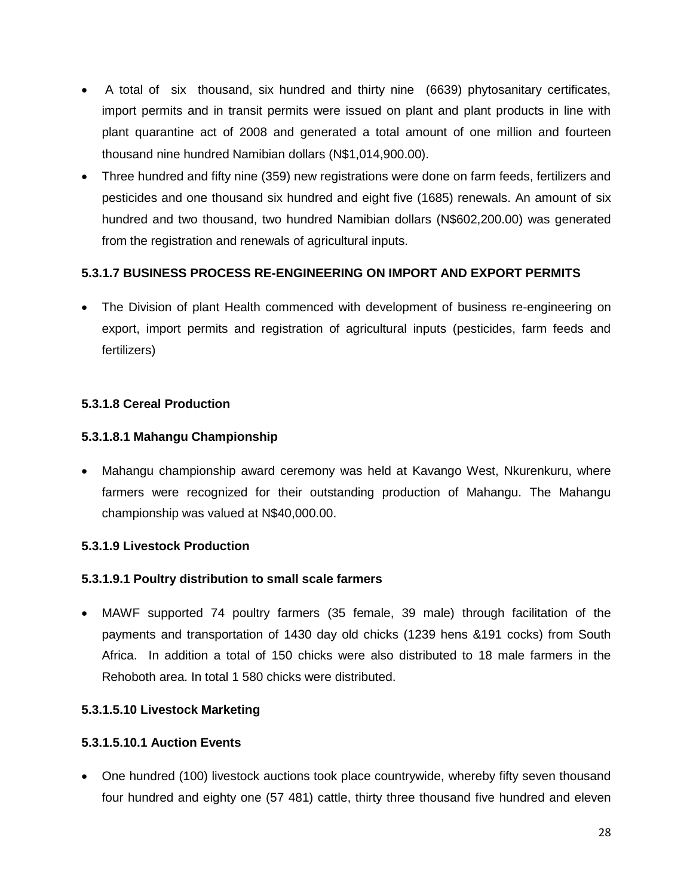- A total of six thousand, six hundred and thirty nine (6639) phytosanitary certificates, import permits and in transit permits were issued on plant and plant products in line with plant quarantine act of 2008 and generated a total amount of one million and fourteen thousand nine hundred Namibian dollars (N\$1,014,900.00).
- Three hundred and fifty nine (359) new registrations were done on farm feeds, fertilizers and pesticides and one thousand six hundred and eight five (1685) renewals. An amount of six hundred and two thousand, two hundred Namibian dollars (N\$602,200.00) was generated from the registration and renewals of agricultural inputs.

# **5.3.1.7 BUSINESS PROCESS RE-ENGINEERING ON IMPORT AND EXPORT PERMITS**

 The Division of plant Health commenced with development of business re-engineering on export, import permits and registration of agricultural inputs (pesticides, farm feeds and fertilizers)

# **5.3.1.8 Cereal Production**

# **5.3.1.8.1 Mahangu Championship**

 Mahangu championship award ceremony was held at Kavango West, Nkurenkuru, where farmers were recognized for their outstanding production of Mahangu. The Mahangu championship was valued at N\$40,000.00.

# **5.3.1.9 Livestock Production**

# **5.3.1.9.1 Poultry distribution to small scale farmers**

 MAWF supported 74 poultry farmers (35 female, 39 male) through facilitation of the payments and transportation of 1430 day old chicks (1239 hens &191 cocks) from South Africa. In addition a total of 150 chicks were also distributed to 18 male farmers in the Rehoboth area. In total 1 580 chicks were distributed.

# **5.3.1.5.10 Livestock Marketing**

#### **5.3.1.5.10.1 Auction Events**

• One hundred (100) livestock auctions took place countrywide, whereby fifty seven thousand four hundred and eighty one (57 481) cattle, thirty three thousand five hundred and eleven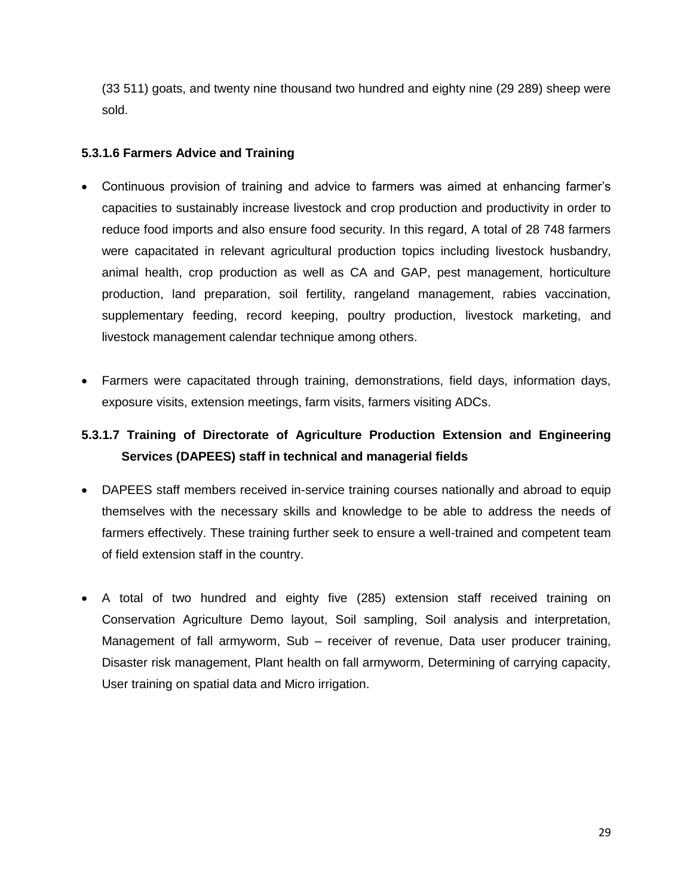(33 511) goats, and twenty nine thousand two hundred and eighty nine (29 289) sheep were sold.

#### **5.3.1.6 Farmers Advice and Training**

- Continuous provision of training and advice to farmers was aimed at enhancing farmer's capacities to sustainably increase livestock and crop production and productivity in order to reduce food imports and also ensure food security. In this regard, A total of 28 748 farmers were capacitated in relevant agricultural production topics including livestock husbandry, animal health, crop production as well as CA and GAP, pest management, horticulture production, land preparation, soil fertility, rangeland management, rabies vaccination, supplementary feeding, record keeping, poultry production, livestock marketing, and livestock management calendar technique among others.
- Farmers were capacitated through training, demonstrations, field days, information days, exposure visits, extension meetings, farm visits, farmers visiting ADCs.

# **5.3.1.7 Training of Directorate of Agriculture Production Extension and Engineering Services (DAPEES) staff in technical and managerial fields**

- DAPEES staff members received in-service training courses nationally and abroad to equip themselves with the necessary skills and knowledge to be able to address the needs of farmers effectively. These training further seek to ensure a well-trained and competent team of field extension staff in the country.
- A total of two hundred and eighty five (285) extension staff received training on Conservation Agriculture Demo layout, Soil sampling, Soil analysis and interpretation, Management of fall armyworm, Sub – receiver of revenue, Data user producer training, Disaster risk management, Plant health on fall armyworm, Determining of carrying capacity, User training on spatial data and Micro irrigation.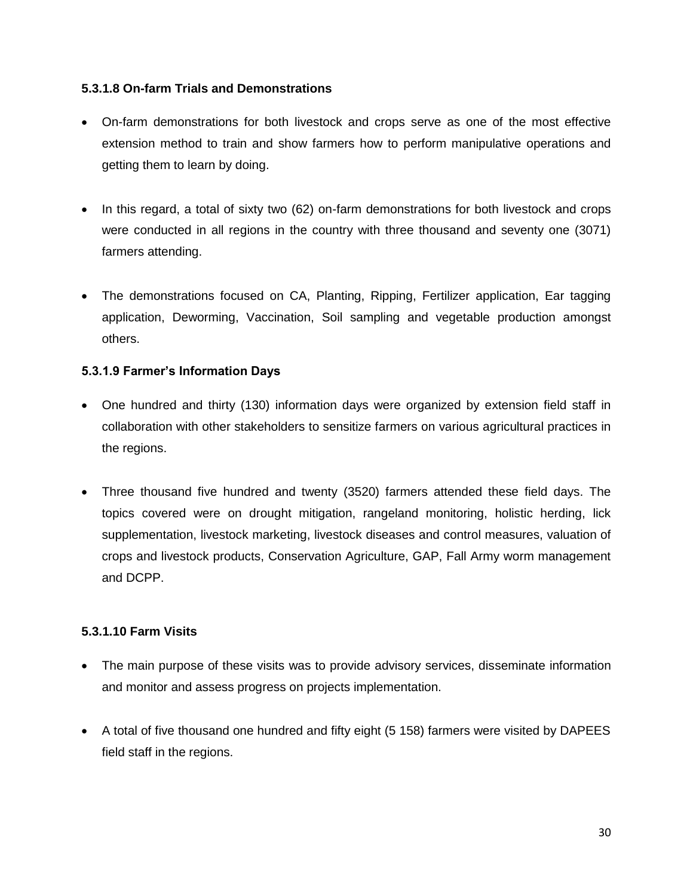#### **5.3.1.8 On-farm Trials and Demonstrations**

- On-farm demonstrations for both livestock and crops serve as one of the most effective extension method to train and show farmers how to perform manipulative operations and getting them to learn by doing.
- In this regard, a total of sixty two (62) on-farm demonstrations for both livestock and crops were conducted in all regions in the country with three thousand and seventy one (3071) farmers attending.
- The demonstrations focused on CA, Planting, Ripping, Fertilizer application, Ear tagging application, Deworming, Vaccination, Soil sampling and vegetable production amongst others.

# **5.3.1.9 Farmer's Information Days**

- One hundred and thirty (130) information days were organized by extension field staff in collaboration with other stakeholders to sensitize farmers on various agricultural practices in the regions.
- Three thousand five hundred and twenty (3520) farmers attended these field days. The topics covered were on drought mitigation, rangeland monitoring, holistic herding, lick supplementation, livestock marketing, livestock diseases and control measures, valuation of crops and livestock products, Conservation Agriculture, GAP, Fall Army worm management and DCPP.

# **5.3.1.10 Farm Visits**

- The main purpose of these visits was to provide advisory services, disseminate information and monitor and assess progress on projects implementation.
- A total of five thousand one hundred and fifty eight (5 158) farmers were visited by DAPEES field staff in the regions.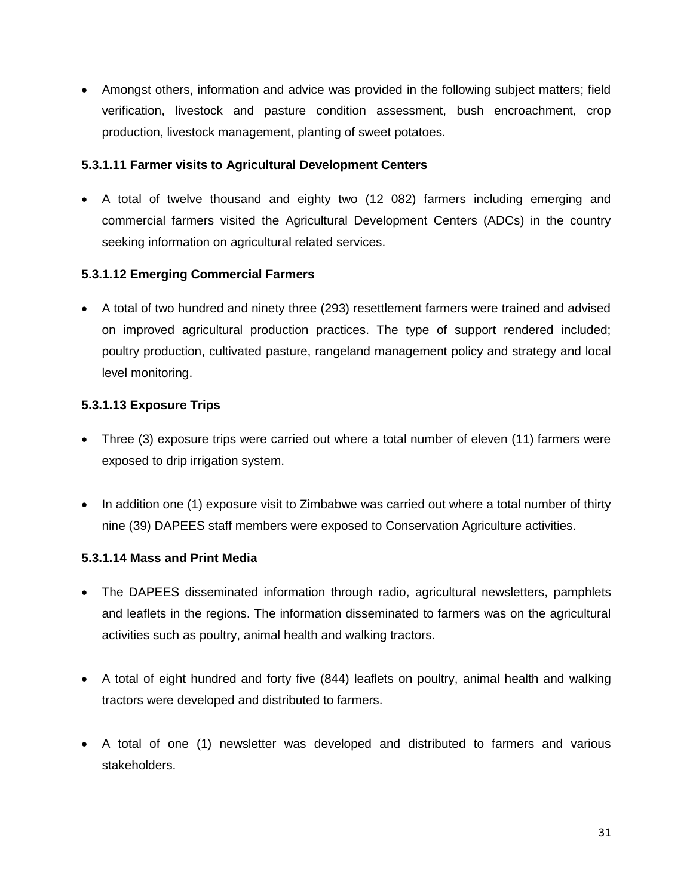Amongst others, information and advice was provided in the following subject matters; field verification, livestock and pasture condition assessment, bush encroachment, crop production, livestock management, planting of sweet potatoes.

#### **5.3.1.11 Farmer visits to Agricultural Development Centers**

 A total of twelve thousand and eighty two (12 082) farmers including emerging and commercial farmers visited the Agricultural Development Centers (ADCs) in the country seeking information on agricultural related services.

#### **5.3.1.12 Emerging Commercial Farmers**

 A total of two hundred and ninety three (293) resettlement farmers were trained and advised on improved agricultural production practices. The type of support rendered included; poultry production, cultivated pasture, rangeland management policy and strategy and local level monitoring.

#### **5.3.1.13 Exposure Trips**

- Three (3) exposure trips were carried out where a total number of eleven (11) farmers were exposed to drip irrigation system.
- In addition one (1) exposure visit to Zimbabwe was carried out where a total number of thirty nine (39) DAPEES staff members were exposed to Conservation Agriculture activities.

#### **5.3.1.14 Mass and Print Media**

- The DAPEES disseminated information through radio, agricultural newsletters, pamphlets and leaflets in the regions. The information disseminated to farmers was on the agricultural activities such as poultry, animal health and walking tractors.
- A total of eight hundred and forty five (844) leaflets on poultry, animal health and walking tractors were developed and distributed to farmers.
- A total of one (1) newsletter was developed and distributed to farmers and various stakeholders.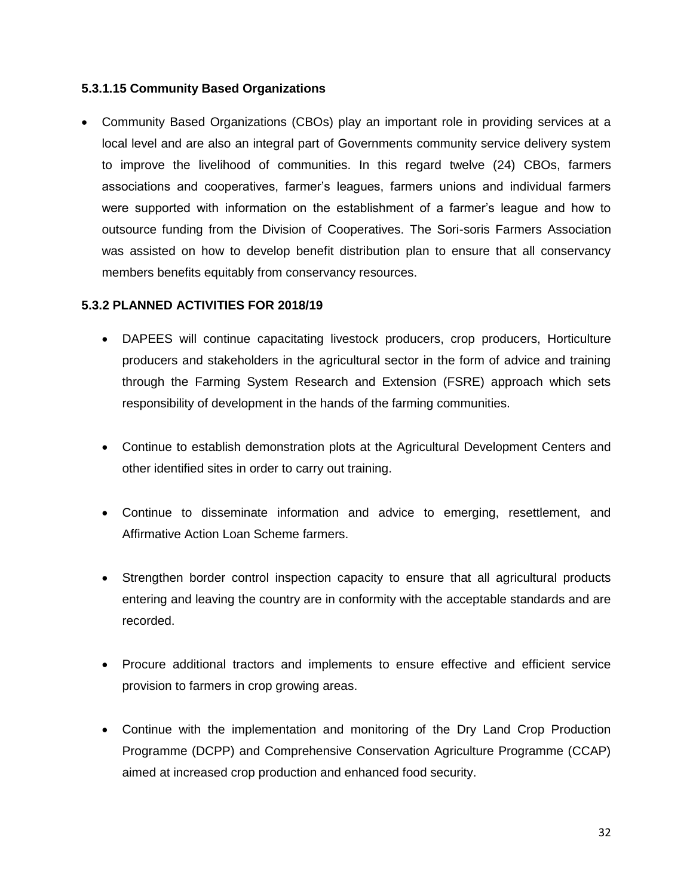#### **5.3.1.15 Community Based Organizations**

 Community Based Organizations (CBOs) play an important role in providing services at a local level and are also an integral part of Governments community service delivery system to improve the livelihood of communities. In this regard twelve (24) CBOs, farmers associations and cooperatives, farmer's leagues, farmers unions and individual farmers were supported with information on the establishment of a farmer's league and how to outsource funding from the Division of Cooperatives. The Sori-soris Farmers Association was assisted on how to develop benefit distribution plan to ensure that all conservancy members benefits equitably from conservancy resources.

#### **5.3.2 PLANNED ACTIVITIES FOR 2018/19**

- DAPEES will continue capacitating livestock producers, crop producers, Horticulture producers and stakeholders in the agricultural sector in the form of advice and training through the Farming System Research and Extension (FSRE) approach which sets responsibility of development in the hands of the farming communities.
- Continue to establish demonstration plots at the Agricultural Development Centers and other identified sites in order to carry out training.
- Continue to disseminate information and advice to emerging, resettlement, and Affirmative Action Loan Scheme farmers.
- Strengthen border control inspection capacity to ensure that all agricultural products entering and leaving the country are in conformity with the acceptable standards and are recorded.
- Procure additional tractors and implements to ensure effective and efficient service provision to farmers in crop growing areas.
- Continue with the implementation and monitoring of the Dry Land Crop Production Programme (DCPP) and Comprehensive Conservation Agriculture Programme (CCAP) aimed at increased crop production and enhanced food security.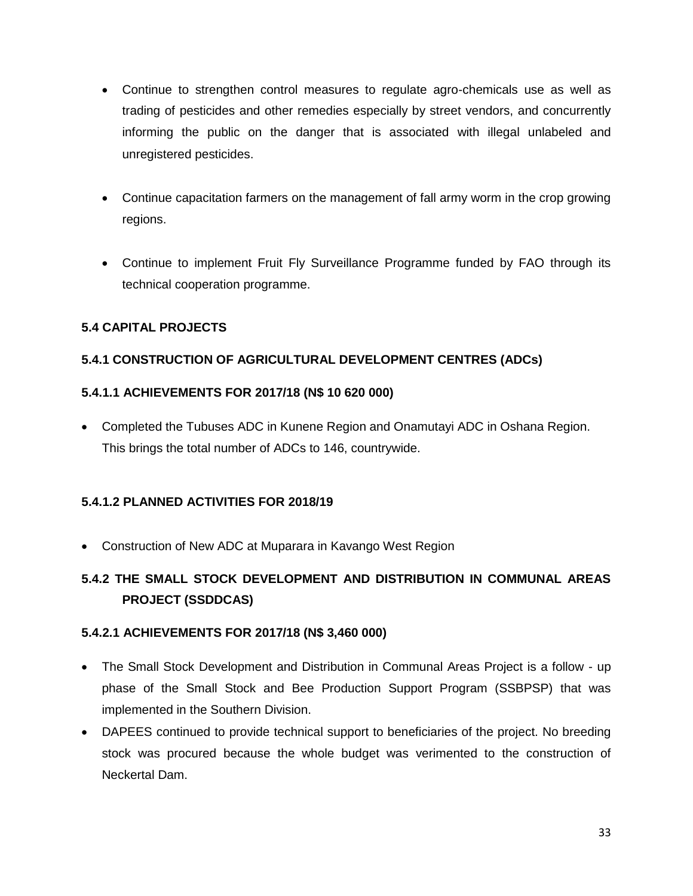- Continue to strengthen control measures to regulate agro-chemicals use as well as trading of pesticides and other remedies especially by street vendors, and concurrently informing the public on the danger that is associated with illegal unlabeled and unregistered pesticides.
- Continue capacitation farmers on the management of fall army worm in the crop growing regions.
- Continue to implement Fruit Fly Surveillance Programme funded by FAO through its technical cooperation programme.

# **5.4 CAPITAL PROJECTS**

# **5.4.1 CONSTRUCTION OF AGRICULTURAL DEVELOPMENT CENTRES (ADCs)**

#### **5.4.1.1 ACHIEVEMENTS FOR 2017/18 (N\$ 10 620 000)**

 Completed the Tubuses ADC in Kunene Region and Onamutayi ADC in Oshana Region. This brings the total number of ADCs to 146, countrywide.

# **5.4.1.2 PLANNED ACTIVITIES FOR 2018/19**

Construction of New ADC at Muparara in Kavango West Region

# **5.4.2 THE SMALL STOCK DEVELOPMENT AND DISTRIBUTION IN COMMUNAL AREAS PROJECT (SSDDCAS)**

#### **5.4.2.1 ACHIEVEMENTS FOR 2017/18 (N\$ 3,460 000)**

- The Small Stock Development and Distribution in Communal Areas Project is a follow up phase of the Small Stock and Bee Production Support Program (SSBPSP) that was implemented in the Southern Division.
- DAPEES continued to provide technical support to beneficiaries of the project. No breeding stock was procured because the whole budget was verimented to the construction of Neckertal Dam.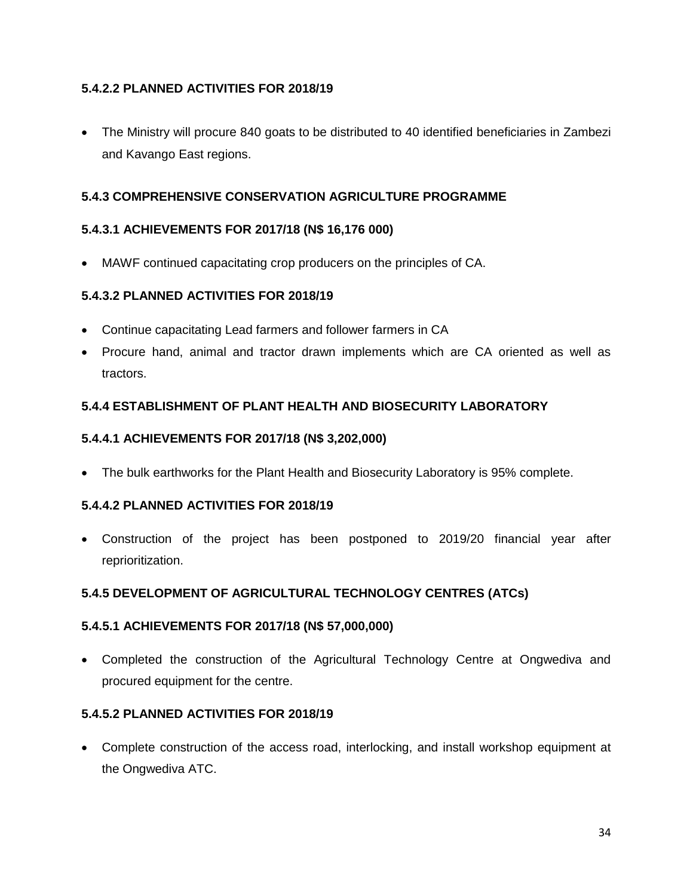# **5.4.2.2 PLANNED ACTIVITIES FOR 2018/19**

• The Ministry will procure 840 goats to be distributed to 40 identified beneficiaries in Zambezi and Kavango East regions.

#### **5.4.3 COMPREHENSIVE CONSERVATION AGRICULTURE PROGRAMME**

#### **5.4.3.1 ACHIEVEMENTS FOR 2017/18 (N\$ 16,176 000)**

MAWF continued capacitating crop producers on the principles of CA.

#### **5.4.3.2 PLANNED ACTIVITIES FOR 2018/19**

- Continue capacitating Lead farmers and follower farmers in CA
- Procure hand, animal and tractor drawn implements which are CA oriented as well as tractors.

#### **5.4.4 ESTABLISHMENT OF PLANT HEALTH AND BIOSECURITY LABORATORY**

#### **5.4.4.1 ACHIEVEMENTS FOR 2017/18 (N\$ 3,202,000)**

The bulk earthworks for the Plant Health and Biosecurity Laboratory is 95% complete.

#### **5.4.4.2 PLANNED ACTIVITIES FOR 2018/19**

 Construction of the project has been postponed to 2019/20 financial year after reprioritization.

# **5.4.5 DEVELOPMENT OF AGRICULTURAL TECHNOLOGY CENTRES (ATCs)**

#### **5.4.5.1 ACHIEVEMENTS FOR 2017/18 (N\$ 57,000,000)**

 Completed the construction of the Agricultural Technology Centre at Ongwediva and procured equipment for the centre.

#### **5.4.5.2 PLANNED ACTIVITIES FOR 2018/19**

 Complete construction of the access road, interlocking, and install workshop equipment at the Ongwediva ATC.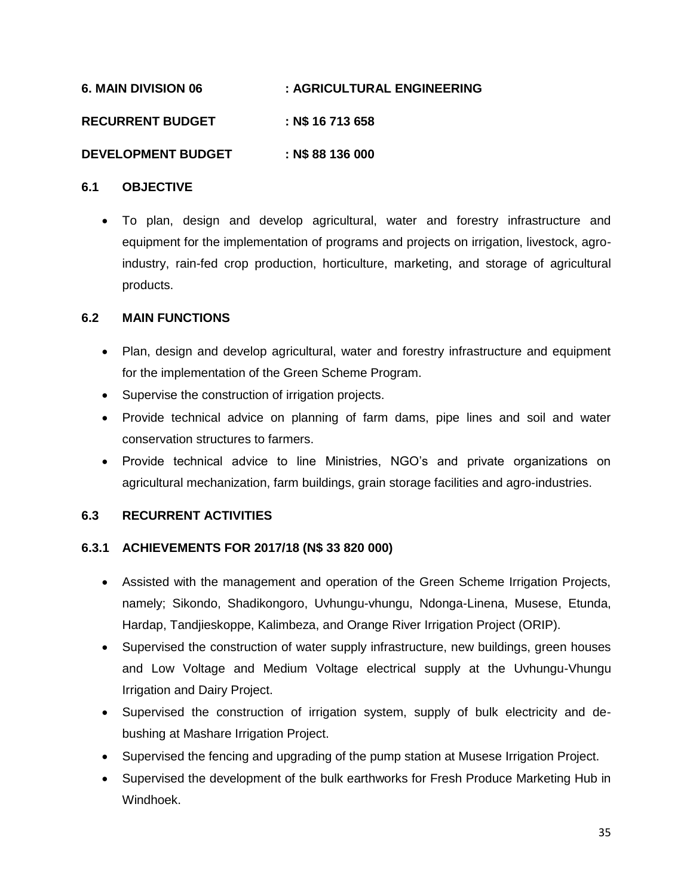| 6. MAIN DIVISION 06       | : AGRICULTURAL ENGINEERING |
|---------------------------|----------------------------|
| <b>RECURRENT BUDGET</b>   | : N\$ 16 713 658           |
| <b>DEVELOPMENT BUDGET</b> | : N\$ 88 136 000           |

#### **6.1 OBJECTIVE**

 To plan, design and develop agricultural, water and forestry infrastructure and equipment for the implementation of programs and projects on irrigation, livestock, agroindustry, rain-fed crop production, horticulture, marketing, and storage of agricultural products.

#### **6.2 MAIN FUNCTIONS**

- Plan, design and develop agricultural, water and forestry infrastructure and equipment for the implementation of the Green Scheme Program.
- Supervise the construction of irrigation projects.
- Provide technical advice on planning of farm dams, pipe lines and soil and water conservation structures to farmers.
- Provide technical advice to line Ministries, NGO's and private organizations on agricultural mechanization, farm buildings, grain storage facilities and agro-industries.

# **6.3 RECURRENT ACTIVITIES**

# **6.3.1 ACHIEVEMENTS FOR 2017/18 (N\$ 33 820 000)**

- Assisted with the management and operation of the Green Scheme Irrigation Projects, namely; Sikondo, Shadikongoro, Uvhungu-vhungu, Ndonga-Linena, Musese, Etunda, Hardap, Tandjieskoppe, Kalimbeza, and Orange River Irrigation Project (ORIP).
- Supervised the construction of water supply infrastructure, new buildings, green houses and Low Voltage and Medium Voltage electrical supply at the Uvhungu-Vhungu Irrigation and Dairy Project.
- Supervised the construction of irrigation system, supply of bulk electricity and debushing at Mashare Irrigation Project.
- Supervised the fencing and upgrading of the pump station at Musese Irrigation Project.
- Supervised the development of the bulk earthworks for Fresh Produce Marketing Hub in Windhoek.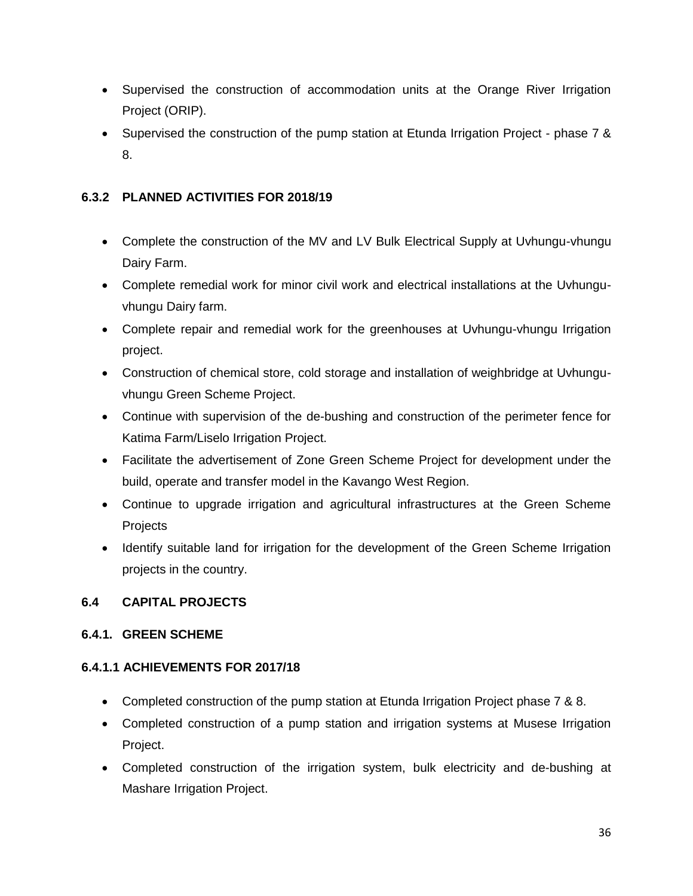- Supervised the construction of accommodation units at the Orange River Irrigation Project (ORIP).
- Supervised the construction of the pump station at Etunda Irrigation Project phase 7 & 8.

# **6.3.2 PLANNED ACTIVITIES FOR 2018/19**

- Complete the construction of the MV and LV Bulk Electrical Supply at Uvhungu-vhungu Dairy Farm.
- Complete remedial work for minor civil work and electrical installations at the Uvhunguvhungu Dairy farm.
- Complete repair and remedial work for the greenhouses at Uvhungu-vhungu Irrigation project.
- Construction of chemical store, cold storage and installation of weighbridge at Uvhunguvhungu Green Scheme Project.
- Continue with supervision of the de-bushing and construction of the perimeter fence for Katima Farm/Liselo Irrigation Project.
- Facilitate the advertisement of Zone Green Scheme Project for development under the build, operate and transfer model in the Kavango West Region.
- Continue to upgrade irrigation and agricultural infrastructures at the Green Scheme **Projects**
- Identify suitable land for irrigation for the development of the Green Scheme Irrigation projects in the country.

# **6.4 CAPITAL PROJECTS**

# **6.4.1. GREEN SCHEME**

# **6.4.1.1 ACHIEVEMENTS FOR 2017/18**

- Completed construction of the pump station at Etunda Irrigation Project phase 7 & 8.
- Completed construction of a pump station and irrigation systems at Musese Irrigation Project.
- Completed construction of the irrigation system, bulk electricity and de-bushing at Mashare Irrigation Project.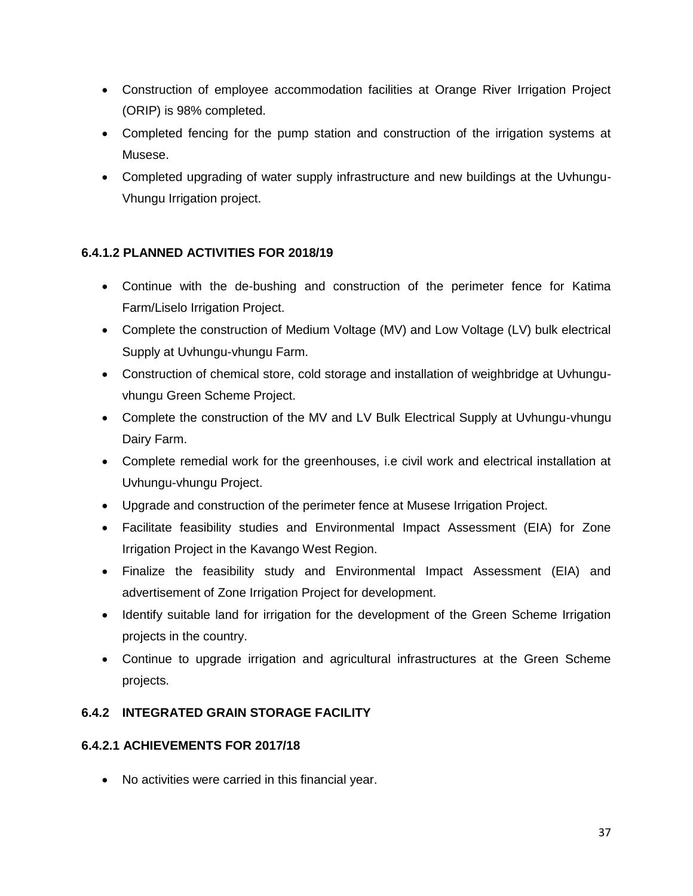- Construction of employee accommodation facilities at Orange River Irrigation Project (ORIP) is 98% completed.
- Completed fencing for the pump station and construction of the irrigation systems at Musese.
- Completed upgrading of water supply infrastructure and new buildings at the Uvhungu-Vhungu Irrigation project.

# **6.4.1.2 PLANNED ACTIVITIES FOR 2018/19**

- Continue with the de-bushing and construction of the perimeter fence for Katima Farm/Liselo Irrigation Project.
- Complete the construction of Medium Voltage (MV) and Low Voltage (LV) bulk electrical Supply at Uvhungu-vhungu Farm.
- Construction of chemical store, cold storage and installation of weighbridge at Uvhunguvhungu Green Scheme Project.
- Complete the construction of the MV and LV Bulk Electrical Supply at Uvhungu-vhungu Dairy Farm.
- Complete remedial work for the greenhouses, i.e civil work and electrical installation at Uvhungu-vhungu Project.
- Upgrade and construction of the perimeter fence at Musese Irrigation Project.
- Facilitate feasibility studies and Environmental Impact Assessment (EIA) for Zone Irrigation Project in the Kavango West Region.
- Finalize the feasibility study and Environmental Impact Assessment (EIA) and advertisement of Zone Irrigation Project for development.
- Identify suitable land for irrigation for the development of the Green Scheme Irrigation projects in the country.
- Continue to upgrade irrigation and agricultural infrastructures at the Green Scheme projects.

# **6.4.2 INTEGRATED GRAIN STORAGE FACILITY**

# **6.4.2.1 ACHIEVEMENTS FOR 2017/18**

No activities were carried in this financial year.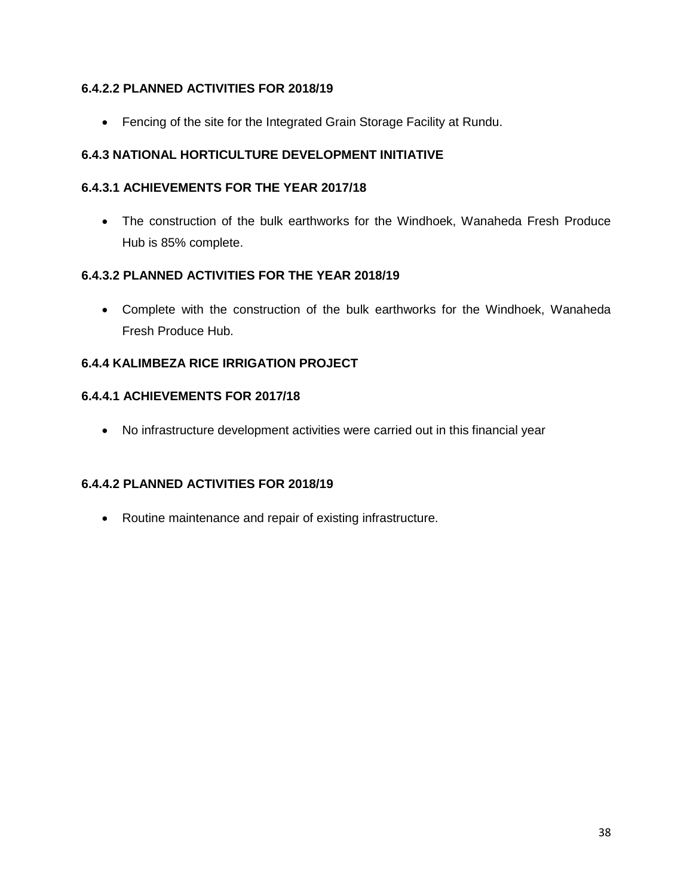# **6.4.2.2 PLANNED ACTIVITIES FOR 2018/19**

Fencing of the site for the Integrated Grain Storage Facility at Rundu.

# **6.4.3 NATIONAL HORTICULTURE DEVELOPMENT INITIATIVE**

# **6.4.3.1 ACHIEVEMENTS FOR THE YEAR 2017/18**

 The construction of the bulk earthworks for the Windhoek, Wanaheda Fresh Produce Hub is 85% complete.

# **6.4.3.2 PLANNED ACTIVITIES FOR THE YEAR 2018/19**

 Complete with the construction of the bulk earthworks for the Windhoek, Wanaheda Fresh Produce Hub.

# **6.4.4 KALIMBEZA RICE IRRIGATION PROJECT**

# **6.4.4.1 ACHIEVEMENTS FOR 2017/18**

No infrastructure development activities were carried out in this financial year

# **6.4.4.2 PLANNED ACTIVITIES FOR 2018/19**

Routine maintenance and repair of existing infrastructure.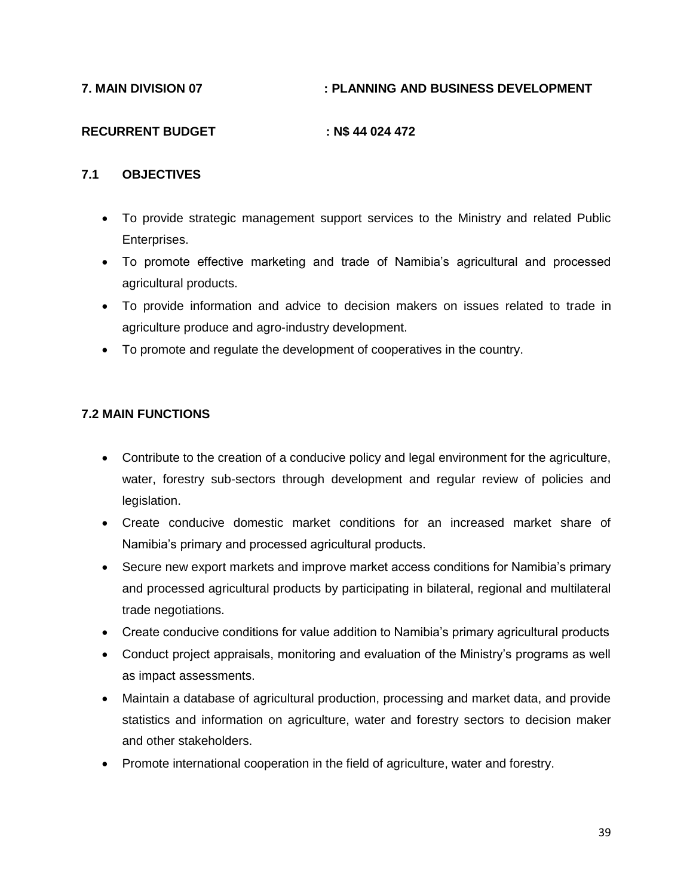# **7. MAIN DIVISION 07** : PLANNING AND BUSINESS DEVELOPMENT

# **RECURRENT BUDGET : N\$ 44 024 472**

# **7.1 OBJECTIVES**

- To provide strategic management support services to the Ministry and related Public Enterprises.
- To promote effective marketing and trade of Namibia's agricultural and processed agricultural products.
- To provide information and advice to decision makers on issues related to trade in agriculture produce and agro-industry development.
- To promote and regulate the development of cooperatives in the country.

# **7.2 MAIN FUNCTIONS**

- Contribute to the creation of a conducive policy and legal environment for the agriculture, water, forestry sub-sectors through development and regular review of policies and legislation.
- Create conducive domestic market conditions for an increased market share of Namibia's primary and processed agricultural products.
- Secure new export markets and improve market access conditions for Namibia's primary and processed agricultural products by participating in bilateral, regional and multilateral trade negotiations.
- Create conducive conditions for value addition to Namibia's primary agricultural products
- Conduct project appraisals, monitoring and evaluation of the Ministry's programs as well as impact assessments.
- Maintain a database of agricultural production, processing and market data, and provide statistics and information on agriculture, water and forestry sectors to decision maker and other stakeholders.
- Promote international cooperation in the field of agriculture, water and forestry.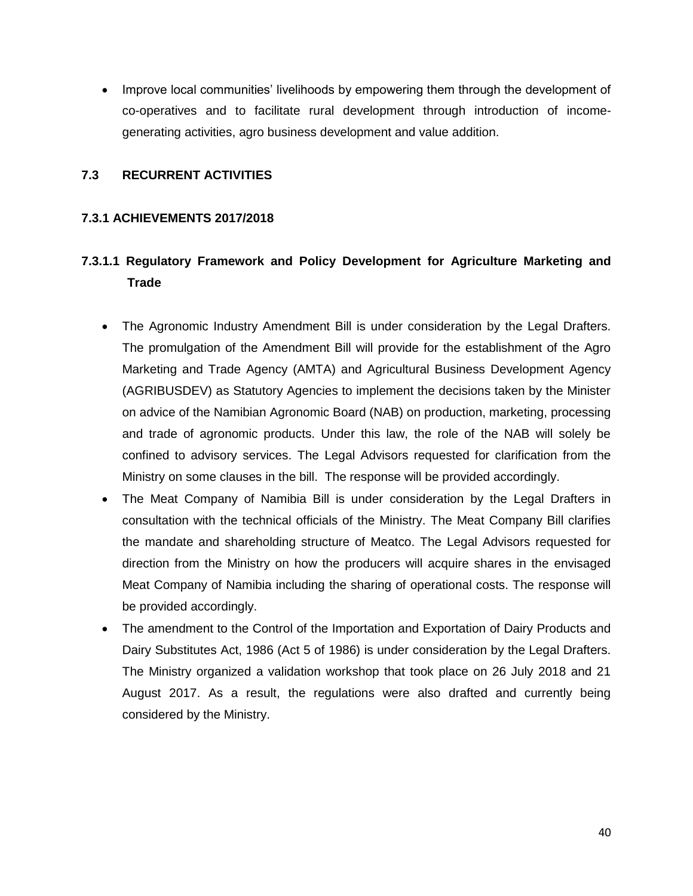• Improve local communities' livelihoods by empowering them through the development of co-operatives and to facilitate rural development through introduction of incomegenerating activities, agro business development and value addition.

### **7.3 RECURRENT ACTIVITIES**

### **7.3.1 ACHIEVEMENTS 2017/2018**

# **7.3.1.1 Regulatory Framework and Policy Development for Agriculture Marketing and Trade**

- The Agronomic Industry Amendment Bill is under consideration by the Legal Drafters. The promulgation of the Amendment Bill will provide for the establishment of the Agro Marketing and Trade Agency (AMTA) and Agricultural Business Development Agency (AGRIBUSDEV) as Statutory Agencies to implement the decisions taken by the Minister on advice of the Namibian Agronomic Board (NAB) on production, marketing, processing and trade of agronomic products. Under this law, the role of the NAB will solely be confined to advisory services. The Legal Advisors requested for clarification from the Ministry on some clauses in the bill. The response will be provided accordingly.
- The Meat Company of Namibia Bill is under consideration by the Legal Drafters in consultation with the technical officials of the Ministry. The Meat Company Bill clarifies the mandate and shareholding structure of Meatco. The Legal Advisors requested for direction from the Ministry on how the producers will acquire shares in the envisaged Meat Company of Namibia including the sharing of operational costs. The response will be provided accordingly.
- The amendment to the Control of the Importation and Exportation of Dairy Products and Dairy Substitutes Act, 1986 (Act 5 of 1986) is under consideration by the Legal Drafters. The Ministry organized a validation workshop that took place on 26 July 2018 and 21 August 2017. As a result, the regulations were also drafted and currently being considered by the Ministry.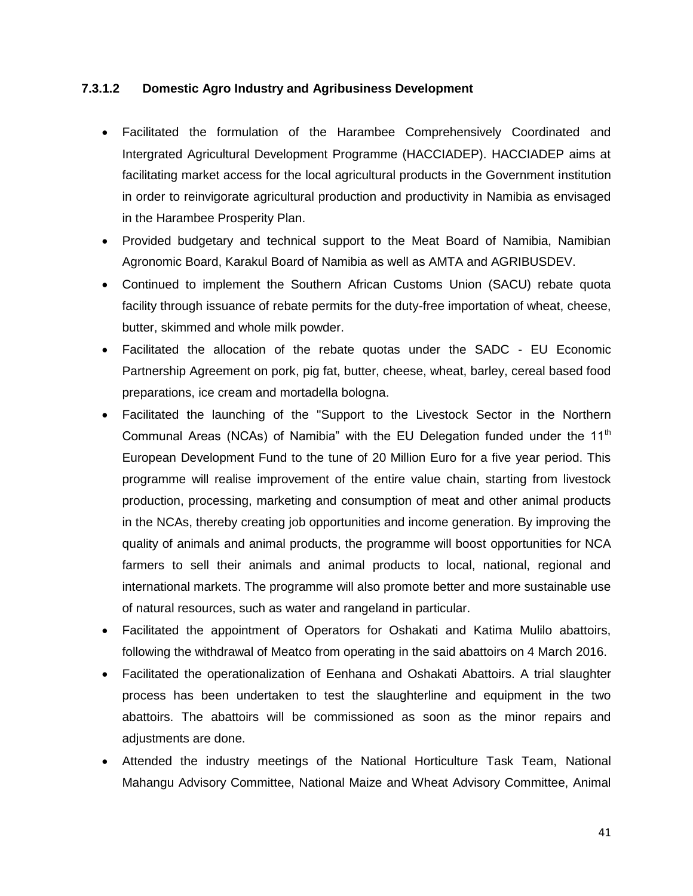#### **7.3.1.2 Domestic Agro Industry and Agribusiness Development**

- Facilitated the formulation of the Harambee Comprehensively Coordinated and Intergrated Agricultural Development Programme (HACCIADEP). HACCIADEP aims at facilitating market access for the local agricultural products in the Government institution in order to reinvigorate agricultural production and productivity in Namibia as envisaged in the Harambee Prosperity Plan.
- Provided budgetary and technical support to the Meat Board of Namibia, Namibian Agronomic Board, Karakul Board of Namibia as well as AMTA and AGRIBUSDEV.
- Continued to implement the Southern African Customs Union (SACU) rebate quota facility through issuance of rebate permits for the duty-free importation of wheat, cheese, butter, skimmed and whole milk powder.
- Facilitated the allocation of the rebate quotas under the SADC EU Economic Partnership Agreement on pork, pig fat, butter, cheese, wheat, barley, cereal based food preparations, ice cream and mortadella bologna.
- Facilitated the launching of the "Support to the Livestock Sector in the Northern Communal Areas (NCAs) of Namibia" with the EU Delegation funded under the  $11<sup>th</sup>$ European Development Fund to the tune of 20 Million Euro for a five year period. This programme will realise improvement of the entire value chain, starting from livestock production, processing, marketing and consumption of meat and other animal products in the NCAs, thereby creating job opportunities and income generation. By improving the quality of animals and animal products, the programme will boost opportunities for NCA farmers to sell their animals and animal products to local, national, regional and international markets. The programme will also promote better and more sustainable use of natural resources, such as water and rangeland in particular.
- Facilitated the appointment of Operators for Oshakati and Katima Mulilo abattoirs, following the withdrawal of Meatco from operating in the said abattoirs on 4 March 2016.
- Facilitated the operationalization of Eenhana and Oshakati Abattoirs. A trial slaughter process has been undertaken to test the slaughterline and equipment in the two abattoirs. The abattoirs will be commissioned as soon as the minor repairs and adjustments are done.
- Attended the industry meetings of the National Horticulture Task Team, National Mahangu Advisory Committee, National Maize and Wheat Advisory Committee, Animal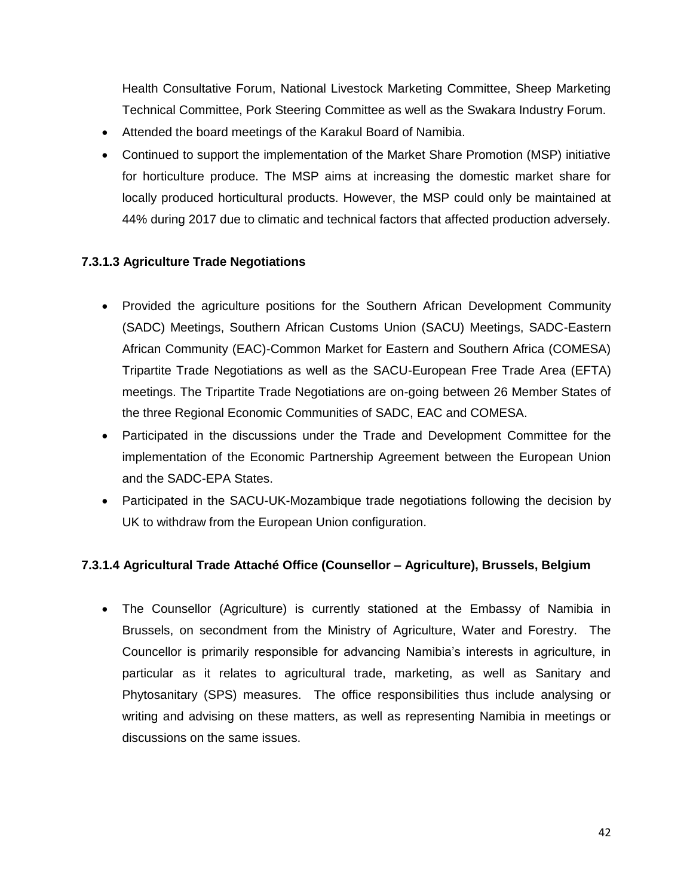Health Consultative Forum, National Livestock Marketing Committee, Sheep Marketing Technical Committee, Pork Steering Committee as well as the Swakara Industry Forum.

- Attended the board meetings of the Karakul Board of Namibia.
- Continued to support the implementation of the Market Share Promotion (MSP) initiative for horticulture produce. The MSP aims at increasing the domestic market share for locally produced horticultural products. However, the MSP could only be maintained at 44% during 2017 due to climatic and technical factors that affected production adversely.

# **7.3.1.3 Agriculture Trade Negotiations**

- Provided the agriculture positions for the Southern African Development Community (SADC) Meetings, Southern African Customs Union (SACU) Meetings, SADC-Eastern African Community (EAC)-Common Market for Eastern and Southern Africa (COMESA) Tripartite Trade Negotiations as well as the SACU-European Free Trade Area (EFTA) meetings. The Tripartite Trade Negotiations are on-going between 26 Member States of the three Regional Economic Communities of SADC, EAC and COMESA.
- Participated in the discussions under the Trade and Development Committee for the implementation of the Economic Partnership Agreement between the European Union and the SADC-EPA States.
- Participated in the SACU-UK-Mozambique trade negotiations following the decision by UK to withdraw from the European Union configuration.

# **7.3.1.4 Agricultural Trade Attaché Office (Counsellor – Agriculture), Brussels, Belgium**

 The Counsellor (Agriculture) is currently stationed at the Embassy of Namibia in Brussels, on secondment from the Ministry of Agriculture, Water and Forestry. The Councellor is primarily responsible for advancing Namibia's interests in agriculture, in particular as it relates to agricultural trade, marketing, as well as Sanitary and Phytosanitary (SPS) measures. The office responsibilities thus include analysing or writing and advising on these matters, as well as representing Namibia in meetings or discussions on the same issues.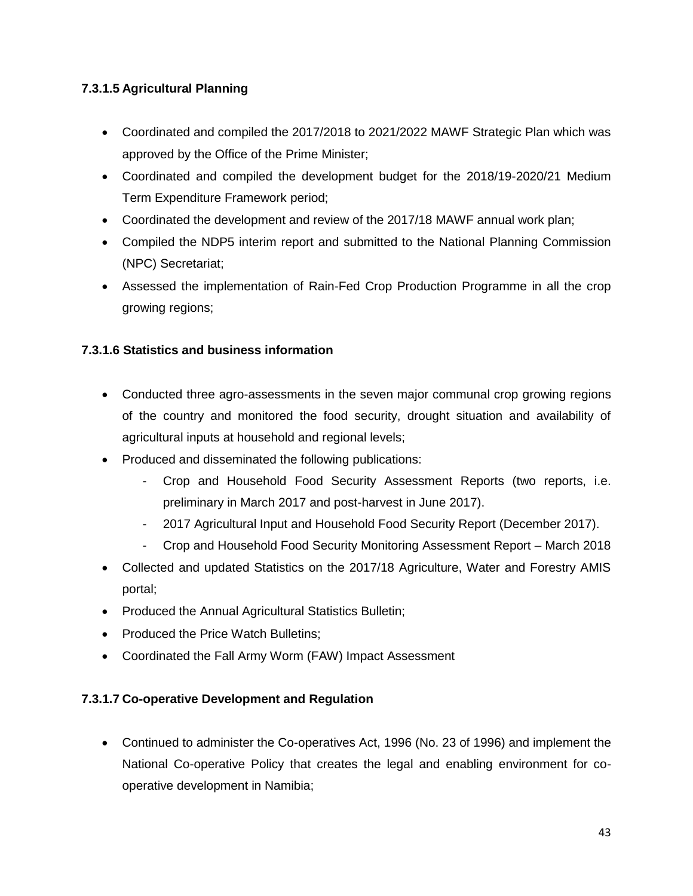# **7.3.1.5 Agricultural Planning**

- Coordinated and compiled the 2017/2018 to 2021/2022 MAWF Strategic Plan which was approved by the Office of the Prime Minister;
- Coordinated and compiled the development budget for the 2018/19-2020/21 Medium Term Expenditure Framework period;
- Coordinated the development and review of the 2017/18 MAWF annual work plan;
- Compiled the NDP5 interim report and submitted to the National Planning Commission (NPC) Secretariat;
- Assessed the implementation of Rain-Fed Crop Production Programme in all the crop growing regions;

# **7.3.1.6 Statistics and business information**

- Conducted three agro-assessments in the seven major communal crop growing regions of the country and monitored the food security, drought situation and availability of agricultural inputs at household and regional levels;
- Produced and disseminated the following publications:
	- Crop and Household Food Security Assessment Reports (two reports, i.e. preliminary in March 2017 and post-harvest in June 2017).
	- 2017 Agricultural Input and Household Food Security Report (December 2017).
	- Crop and Household Food Security Monitoring Assessment Report March 2018
- Collected and updated Statistics on the 2017/18 Agriculture, Water and Forestry AMIS portal;
- Produced the Annual Agricultural Statistics Bulletin;
- Produced the Price Watch Bulletins;
- Coordinated the Fall Army Worm (FAW) Impact Assessment

# **7.3.1.7 Co-operative Development and Regulation**

 Continued to administer the Co-operatives Act, 1996 (No. 23 of 1996) and implement the National Co-operative Policy that creates the legal and enabling environment for cooperative development in Namibia;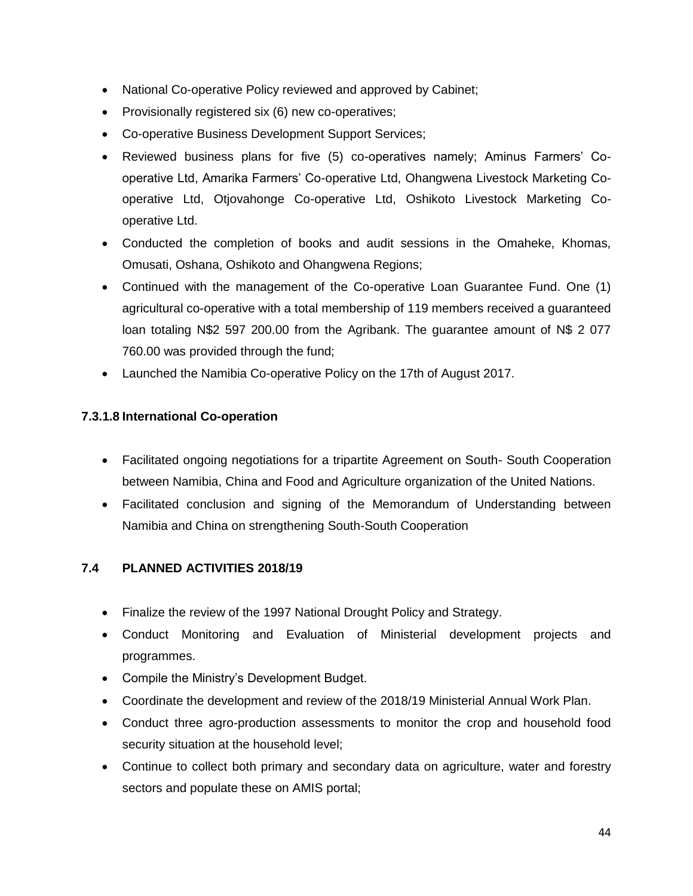- National Co-operative Policy reviewed and approved by Cabinet;
- Provisionally registered six (6) new co-operatives;
- Co-operative Business Development Support Services;
- Reviewed business plans for five (5) co-operatives namely; Aminus Farmers' Cooperative Ltd, Amarika Farmers' Co-operative Ltd, Ohangwena Livestock Marketing Cooperative Ltd, Otjovahonge Co-operative Ltd, Oshikoto Livestock Marketing Cooperative Ltd.
- Conducted the completion of books and audit sessions in the Omaheke, Khomas, Omusati, Oshana, Oshikoto and Ohangwena Regions;
- Continued with the management of the Co-operative Loan Guarantee Fund. One (1) agricultural co-operative with a total membership of 119 members received a guaranteed loan totaling N\$2 597 200.00 from the Agribank. The guarantee amount of N\$ 2 077 760.00 was provided through the fund;
- Launched the Namibia Co-operative Policy on the 17th of August 2017.

# **7.3.1.8 International Co-operation**

- Facilitated ongoing negotiations for a tripartite Agreement on South- South Cooperation between Namibia, China and Food and Agriculture organization of the United Nations.
- Facilitated conclusion and signing of the Memorandum of Understanding between Namibia and China on strengthening South-South Cooperation

# **7.4 PLANNED ACTIVITIES 2018/19**

- Finalize the review of the 1997 National Drought Policy and Strategy.
- Conduct Monitoring and Evaluation of Ministerial development projects and programmes.
- Compile the Ministry's Development Budget.
- Coordinate the development and review of the 2018/19 Ministerial Annual Work Plan.
- Conduct three agro-production assessments to monitor the crop and household food security situation at the household level;
- Continue to collect both primary and secondary data on agriculture, water and forestry sectors and populate these on AMIS portal;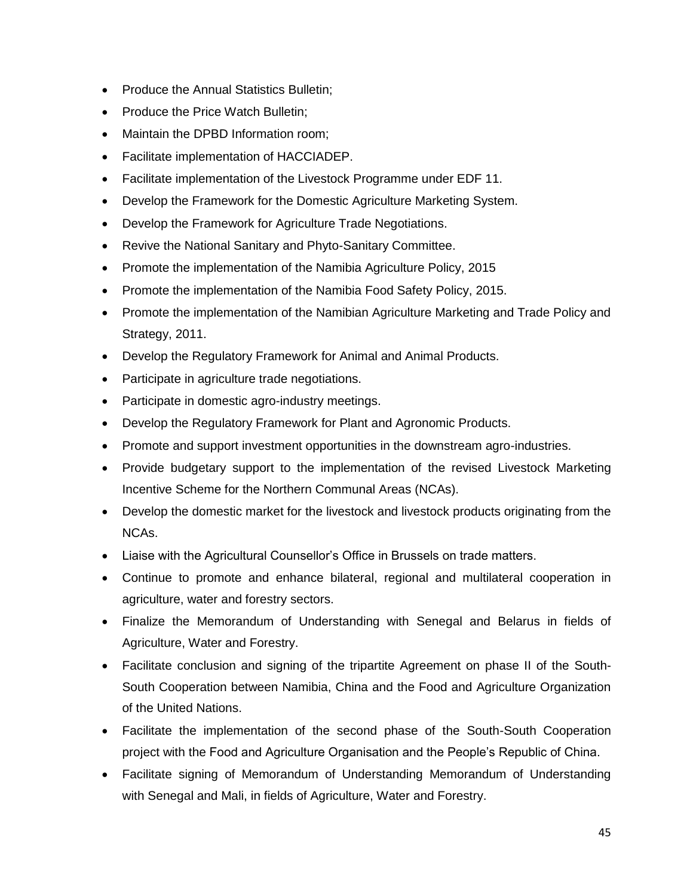- Produce the Annual Statistics Bulletin;
- Produce the Price Watch Bulletin;
- Maintain the DPBD Information room:
- Facilitate implementation of HACCIADEP.
- Facilitate implementation of the Livestock Programme under EDF 11.
- Develop the Framework for the Domestic Agriculture Marketing System.
- Develop the Framework for Agriculture Trade Negotiations.
- Revive the National Sanitary and Phyto-Sanitary Committee.
- Promote the implementation of the Namibia Agriculture Policy, 2015
- Promote the implementation of the Namibia Food Safety Policy, 2015.
- Promote the implementation of the Namibian Agriculture Marketing and Trade Policy and Strategy, 2011.
- Develop the Regulatory Framework for Animal and Animal Products.
- Participate in agriculture trade negotiations.
- Participate in domestic agro-industry meetings.
- Develop the Regulatory Framework for Plant and Agronomic Products.
- Promote and support investment opportunities in the downstream agro-industries.
- Provide budgetary support to the implementation of the revised Livestock Marketing Incentive Scheme for the Northern Communal Areas (NCAs).
- Develop the domestic market for the livestock and livestock products originating from the NCAs.
- Liaise with the Agricultural Counsellor's Office in Brussels on trade matters.
- Continue to promote and enhance bilateral, regional and multilateral cooperation in agriculture, water and forestry sectors.
- Finalize the Memorandum of Understanding with Senegal and Belarus in fields of Agriculture, Water and Forestry.
- Facilitate conclusion and signing of the tripartite Agreement on phase II of the South-South Cooperation between Namibia, China and the Food and Agriculture Organization of the United Nations.
- Facilitate the implementation of the second phase of the South-South Cooperation project with the Food and Agriculture Organisation and the People's Republic of China.
- Facilitate signing of Memorandum of Understanding Memorandum of Understanding with Senegal and Mali, in fields of Agriculture, Water and Forestry.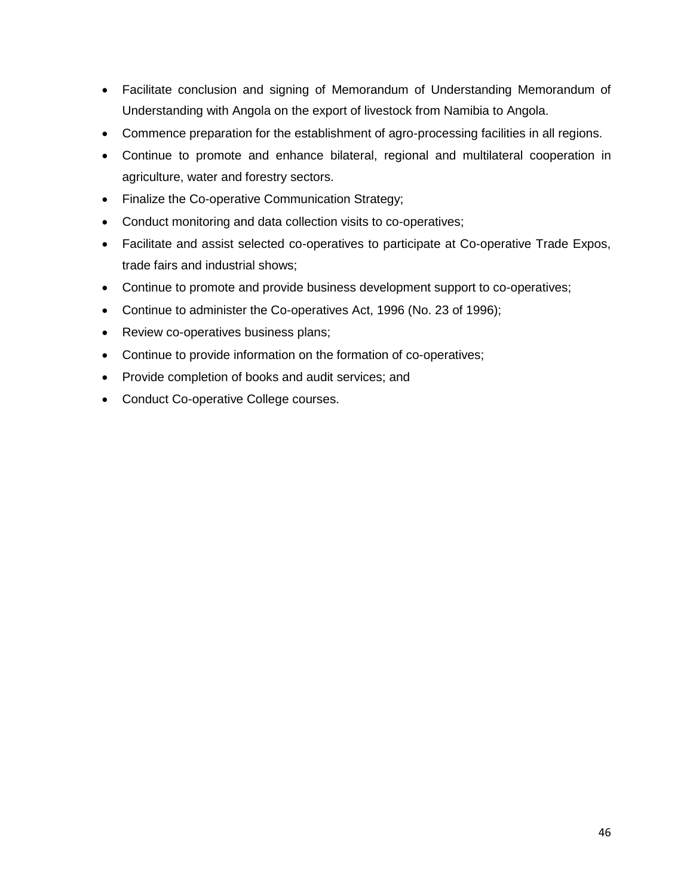- Facilitate conclusion and signing of Memorandum of Understanding Memorandum of Understanding with Angola on the export of livestock from Namibia to Angola.
- Commence preparation for the establishment of agro-processing facilities in all regions.
- Continue to promote and enhance bilateral, regional and multilateral cooperation in agriculture, water and forestry sectors.
- Finalize the Co-operative Communication Strategy;
- Conduct monitoring and data collection visits to co-operatives;
- Facilitate and assist selected co-operatives to participate at Co-operative Trade Expos, trade fairs and industrial shows;
- Continue to promote and provide business development support to co-operatives;
- Continue to administer the Co-operatives Act, 1996 (No. 23 of 1996);
- Review co-operatives business plans;
- Continue to provide information on the formation of co-operatives;
- Provide completion of books and audit services; and
- Conduct Co-operative College courses.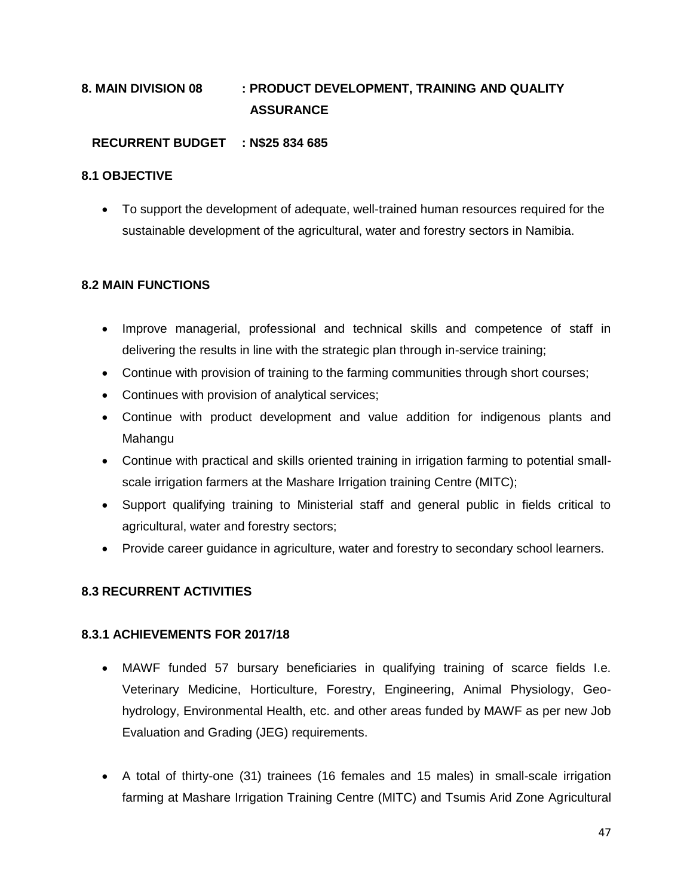# **8. MAIN DIVISION 08 : PRODUCT DEVELOPMENT, TRAINING AND QUALITY ASSURANCE**

# **RECURRENT BUDGET : N\$25 834 685**

# **8.1 OBJECTIVE**

 To support the development of adequate, well-trained human resources required for the sustainable development of the agricultural, water and forestry sectors in Namibia.

# **8.2 MAIN FUNCTIONS**

- Improve managerial, professional and technical skills and competence of staff in delivering the results in line with the strategic plan through in-service training;
- Continue with provision of training to the farming communities through short courses;
- Continues with provision of analytical services;
- Continue with product development and value addition for indigenous plants and Mahangu
- Continue with practical and skills oriented training in irrigation farming to potential smallscale irrigation farmers at the Mashare Irrigation training Centre (MITC);
- Support qualifying training to Ministerial staff and general public in fields critical to agricultural, water and forestry sectors;
- Provide career guidance in agriculture, water and forestry to secondary school learners.

### **8.3 RECURRENT ACTIVITIES**

### **8.3.1 ACHIEVEMENTS FOR 2017/18**

- MAWF funded 57 bursary beneficiaries in qualifying training of scarce fields I.e. Veterinary Medicine, Horticulture, Forestry, Engineering, Animal Physiology, Geohydrology, Environmental Health, etc. and other areas funded by MAWF as per new Job Evaluation and Grading (JEG) requirements.
- A total of thirty-one (31) trainees (16 females and 15 males) in small-scale irrigation farming at Mashare Irrigation Training Centre (MITC) and Tsumis Arid Zone Agricultural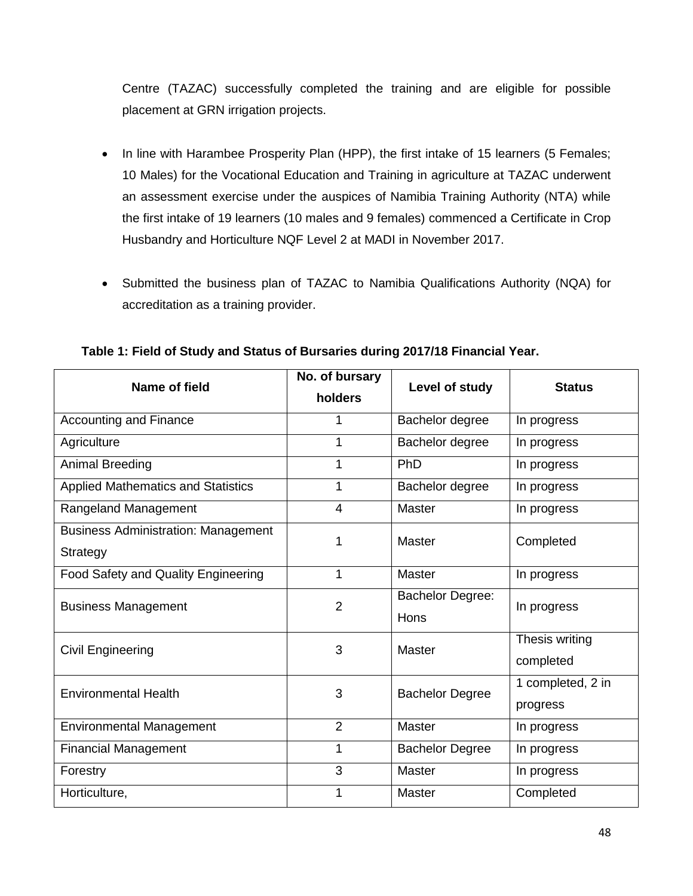Centre (TAZAC) successfully completed the training and are eligible for possible placement at GRN irrigation projects.

- In line with Harambee Prosperity Plan (HPP), the first intake of 15 learners (5 Females; 10 Males) for the Vocational Education and Training in agriculture at TAZAC underwent an assessment exercise under the auspices of Namibia Training Authority (NTA) while the first intake of 19 learners (10 males and 9 females) commenced a Certificate in Crop Husbandry and Horticulture NQF Level 2 at MADI in November 2017.
- Submitted the business plan of TAZAC to Namibia Qualifications Authority (NQA) for accreditation as a training provider.

| <b>Name of field</b>                       | No. of bursary<br>holders | Level of study          | <b>Status</b>     |  |
|--------------------------------------------|---------------------------|-------------------------|-------------------|--|
|                                            |                           |                         |                   |  |
| <b>Accounting and Finance</b>              | 1                         | Bachelor degree         | In progress       |  |
| Agriculture                                | 1                         | Bachelor degree         | In progress       |  |
| Animal Breeding                            | 1                         | PhD                     | In progress       |  |
| <b>Applied Mathematics and Statistics</b>  | 1                         | Bachelor degree         | In progress       |  |
| Rangeland Management                       | 4                         | <b>Master</b>           | In progress       |  |
| <b>Business Administration: Management</b> | 1                         | <b>Master</b>           | Completed         |  |
| Strategy                                   |                           |                         |                   |  |
| Food Safety and Quality Engineering        | 1                         | <b>Master</b>           | In progress       |  |
| <b>Business Management</b>                 | $\overline{2}$            | <b>Bachelor Degree:</b> | In progress       |  |
|                                            |                           | Hons                    |                   |  |
| <b>Civil Engineering</b>                   | 3                         | <b>Master</b>           | Thesis writing    |  |
|                                            |                           |                         | completed         |  |
| <b>Environmental Health</b>                | 3                         | <b>Bachelor Degree</b>  | 1 completed, 2 in |  |
|                                            |                           |                         | progress          |  |
| <b>Environmental Management</b>            | $\overline{2}$            | <b>Master</b>           | In progress       |  |
| <b>Financial Management</b>                | 1                         | <b>Bachelor Degree</b>  | In progress       |  |
| Forestry                                   | 3                         | <b>Master</b>           | In progress       |  |
| Horticulture,                              | 1                         | Master                  | Completed         |  |

**Table 1: Field of Study and Status of Bursaries during 2017/18 Financial Year.**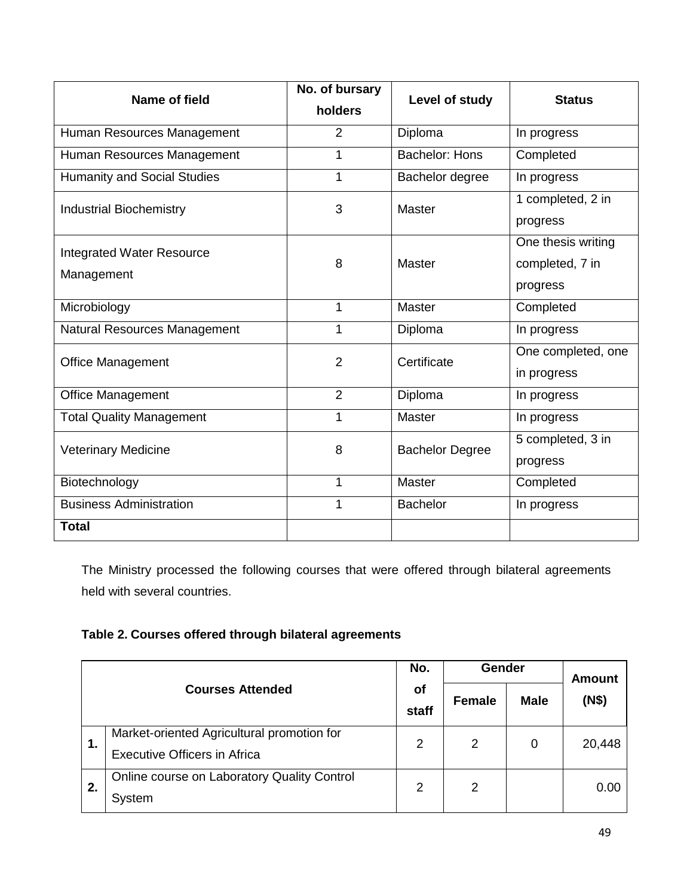| <b>Name of field</b>               | No. of bursary | Level of study         | <b>Status</b>      |  |
|------------------------------------|----------------|------------------------|--------------------|--|
|                                    | holders        |                        |                    |  |
| Human Resources Management         | $\overline{2}$ | Diploma                | In progress        |  |
| Human Resources Management         | 1              | Bachelor: Hons         | Completed          |  |
| <b>Humanity and Social Studies</b> | 1              | Bachelor degree        | In progress        |  |
| <b>Industrial Biochemistry</b>     | 3              | Master                 | 1 completed, 2 in  |  |
|                                    |                |                        | progress           |  |
| <b>Integrated Water Resource</b>   |                |                        | One thesis writing |  |
| Management                         | 8              |                        | completed, 7 in    |  |
|                                    |                |                        | progress           |  |
| Microbiology                       | 1              | <b>Master</b>          | Completed          |  |
| Natural Resources Management       | 1              | Diploma                | In progress        |  |
| <b>Office Management</b>           | $\overline{2}$ | Certificate            | One completed, one |  |
|                                    |                |                        | in progress        |  |
| <b>Office Management</b>           | $\overline{2}$ | Diploma                | In progress        |  |
| <b>Total Quality Management</b>    | 1              | Master                 | In progress        |  |
| <b>Veterinary Medicine</b>         | 8              | <b>Bachelor Degree</b> | 5 completed, 3 in  |  |
|                                    |                |                        | progress           |  |
| Biotechnology                      | 1              | <b>Master</b>          | Completed          |  |
| <b>Business Administration</b>     | 1              | <b>Bachelor</b>        | In progress        |  |
| <b>Total</b>                       |                |                        |                    |  |

The Ministry processed the following courses that were offered through bilateral agreements held with several countries.

# **Table 2. Courses offered through bilateral agreements**

|    |                                                                            | No.<br>Gender      |               | <b>Amount</b> |        |
|----|----------------------------------------------------------------------------|--------------------|---------------|---------------|--------|
|    | <b>Courses Attended</b>                                                    | <b>of</b><br>staff | <b>Female</b> | <b>Male</b>   | (N\$)  |
| 1. | Market-oriented Agricultural promotion for<br>Executive Officers in Africa | 2                  | 2             | 0             | 20,448 |
| 2. | Online course on Laboratory Quality Control<br>System                      | 2                  | 2             |               | 0.00   |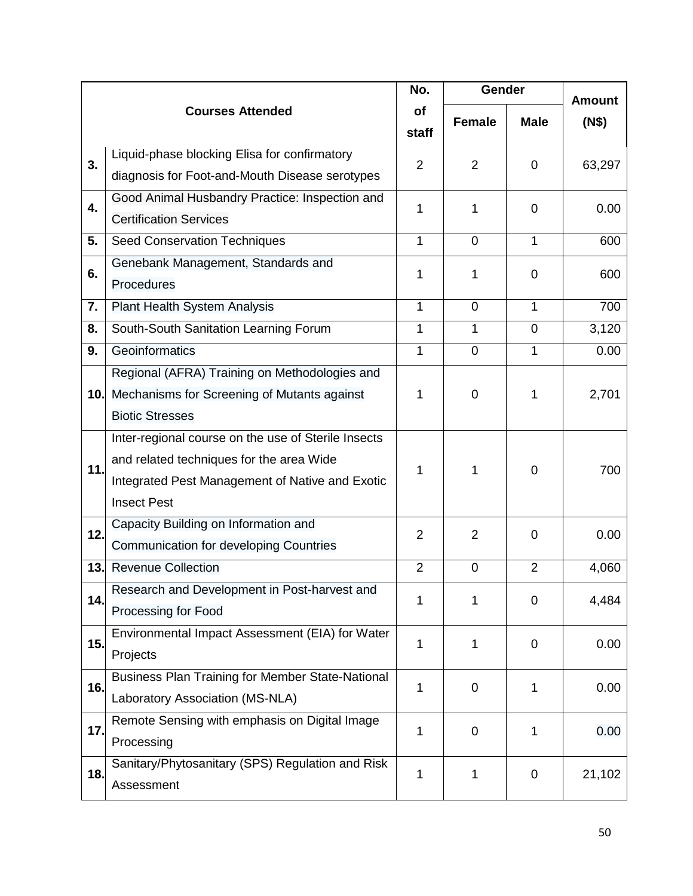|     |                                                                                                                                                                          | No.            | Gender         |                | <b>Amount</b> |
|-----|--------------------------------------------------------------------------------------------------------------------------------------------------------------------------|----------------|----------------|----------------|---------------|
|     | <b>Courses Attended</b>                                                                                                                                                  | of<br>staff    | <b>Female</b>  | <b>Male</b>    | (N\$)         |
| 3.  | Liquid-phase blocking Elisa for confirmatory<br>diagnosis for Foot-and-Mouth Disease serotypes                                                                           | $\overline{2}$ | 2              | 0              | 63,297        |
| 4.  | Good Animal Husbandry Practice: Inspection and<br><b>Certification Services</b>                                                                                          | 1              | 1              | 0              | 0.00          |
| 5.  | <b>Seed Conservation Techniques</b>                                                                                                                                      | 1              | $\overline{0}$ | 1              | 600           |
| 6.  | Genebank Management, Standards and<br>Procedures                                                                                                                         | 1              | 1              | 0              | 600           |
| 7.  | Plant Health System Analysis                                                                                                                                             | 1              | 0              | 1              | 700           |
| 8.  | South-South Sanitation Learning Forum                                                                                                                                    | 1              | 1              | 0              | 3,120         |
| 9.  | Geoinformatics                                                                                                                                                           | 1              | $\overline{0}$ | 1              | 0.00          |
| 10. | Regional (AFRA) Training on Methodologies and<br>Mechanisms for Screening of Mutants against<br><b>Biotic Stresses</b>                                                   | 1              | 0              | 1              | 2,701         |
| 11. | Inter-regional course on the use of Sterile Insects<br>and related techniques for the area Wide<br>Integrated Pest Management of Native and Exotic<br><b>Insect Pest</b> | 1              | 1              | 0              | 700           |
| 12. | Capacity Building on Information and<br><b>Communication for developing Countries</b>                                                                                    | $\overline{2}$ | $\overline{2}$ | $\Omega$       | 0.00          |
| 13. | <b>Revenue Collection</b>                                                                                                                                                | $\overline{2}$ | $\mathbf 0$    | $\overline{2}$ | 4,060         |
| 14. | Research and Development in Post-harvest and<br>Processing for Food                                                                                                      | 1              | 1              | $\mathbf 0$    | 4,484         |
| 15. | Environmental Impact Assessment (EIA) for Water<br>Projects                                                                                                              | 1              | 1              | 0              | 0.00          |
| 16. | <b>Business Plan Training for Member State-National</b><br>Laboratory Association (MS-NLA)                                                                               | 1              | $\mathbf 0$    | 1              | 0.00          |
| 17. | Remote Sensing with emphasis on Digital Image<br>Processing                                                                                                              | 1              | $\mathbf 0$    | 1              | 0.00          |
| 18. | Sanitary/Phytosanitary (SPS) Regulation and Risk<br>Assessment                                                                                                           | 1              | 1              | 0              | 21,102        |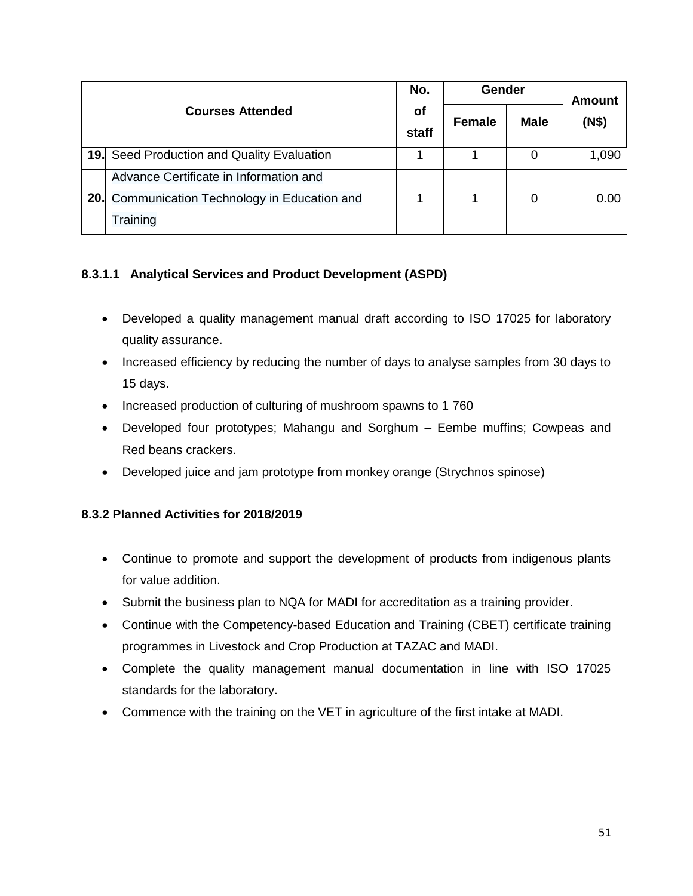|      |                                                   | No.<br>Gender      |               | <b>Amount</b> |       |
|------|---------------------------------------------------|--------------------|---------------|---------------|-------|
|      | <b>Courses Attended</b>                           | <b>of</b><br>staff | <b>Female</b> | <b>Male</b>   | (N\$) |
|      | <b>19.</b> Seed Production and Quality Evaluation |                    |               |               | 1,090 |
|      | Advance Certificate in Information and            |                    |               |               |       |
| 20.1 | Communication Technology in Education and         |                    |               |               | 0.00  |
|      | Training                                          |                    |               |               |       |

# **8.3.1.1 Analytical Services and Product Development (ASPD)**

- Developed a quality management manual draft according to ISO 17025 for laboratory quality assurance.
- Increased efficiency by reducing the number of days to analyse samples from 30 days to 15 days.
- Increased production of culturing of mushroom spawns to 1760
- Developed four prototypes; Mahangu and Sorghum Eembe muffins; Cowpeas and Red beans crackers.
- Developed juice and jam prototype from monkey orange (Strychnos spinose)

# **8.3.2 Planned Activities for 2018/2019**

- Continue to promote and support the development of products from indigenous plants for value addition.
- Submit the business plan to NQA for MADI for accreditation as a training provider.
- Continue with the Competency-based Education and Training (CBET) certificate training programmes in Livestock and Crop Production at TAZAC and MADI.
- Complete the quality management manual documentation in line with ISO 17025 standards for the laboratory.
- Commence with the training on the VET in agriculture of the first intake at MADI.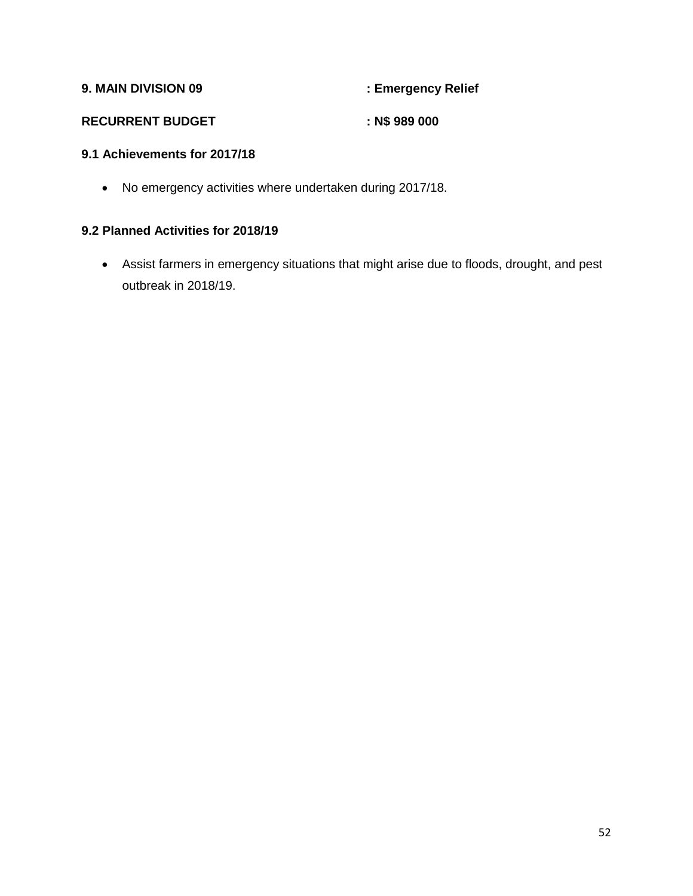| <b>9. MAIN DIVISION 09</b> | : Emergency Relief |
|----------------------------|--------------------|
| <b>RECURRENT BUDGET</b>    | : N\$ 989 000      |

# **9.1 Achievements for 2017/18**

No emergency activities where undertaken during 2017/18.

# **9.2 Planned Activities for 2018/19**

 Assist farmers in emergency situations that might arise due to floods, drought, and pest outbreak in 2018/19.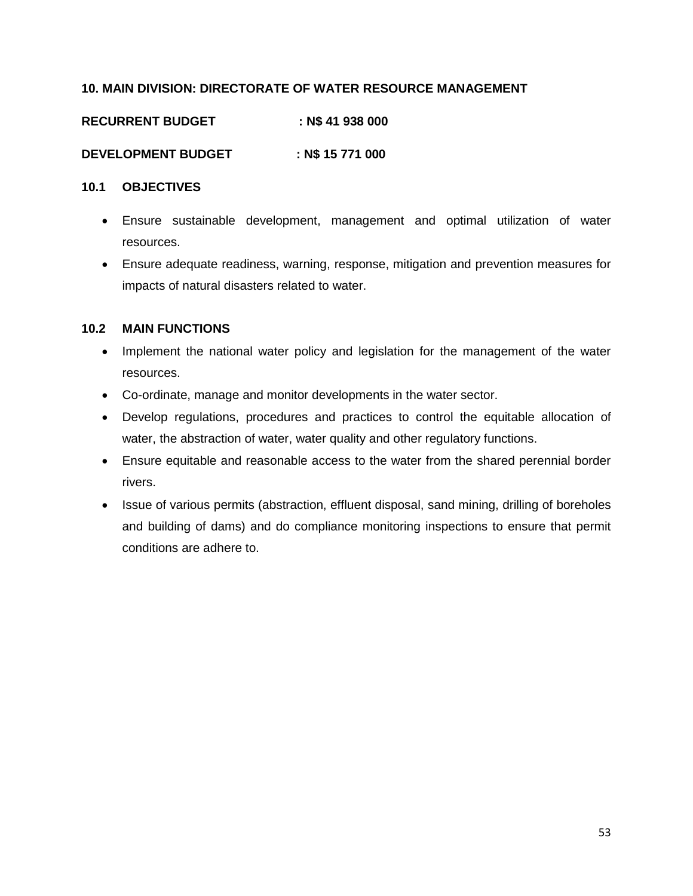# **10. MAIN DIVISION: DIRECTORATE OF WATER RESOURCE MANAGEMENT**

**RECURRENT BUDGET : N\$ 41 938 000**

**DEVELOPMENT BUDGET : N\$ 15 771 000**

#### **10.1 OBJECTIVES**

- Ensure sustainable development, management and optimal utilization of water resources.
- Ensure adequate readiness, warning, response, mitigation and prevention measures for impacts of natural disasters related to water.

#### **10.2 MAIN FUNCTIONS**

- Implement the national water policy and legislation for the management of the water resources.
- Co-ordinate, manage and monitor developments in the water sector.
- Develop regulations, procedures and practices to control the equitable allocation of water, the abstraction of water, water quality and other regulatory functions.
- Ensure equitable and reasonable access to the water from the shared perennial border rivers.
- Issue of various permits (abstraction, effluent disposal, sand mining, drilling of boreholes and building of dams) and do compliance monitoring inspections to ensure that permit conditions are adhere to.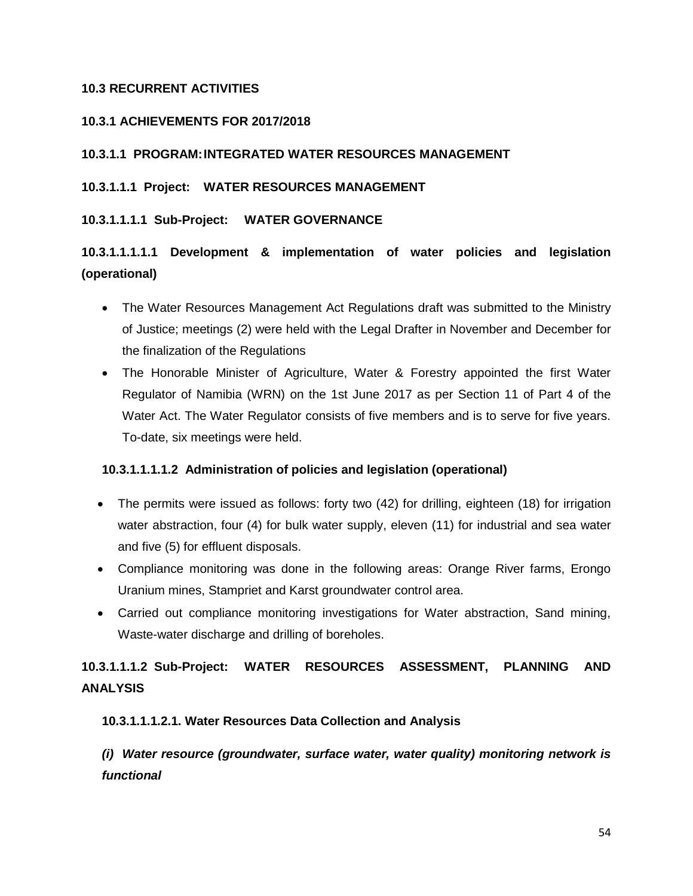# **10.3 RECURRENT ACTIVITIES**

# **10.3.1 ACHIEVEMENTS FOR 2017/2018**

# **10.3.1.1 PROGRAM:INTEGRATED WATER RESOURCES MANAGEMENT**

# **10.3.1.1.1 Project: WATER RESOURCES MANAGEMENT**

### **10.3.1.1.1.1 Sub-Project: WATER GOVERNANCE**

# **10.3.1.1.1.1.1 Development & implementation of water policies and legislation (operational)**

- The Water Resources Management Act Regulations draft was submitted to the Ministry of Justice; meetings (2) were held with the Legal Drafter in November and December for the finalization of the Regulations
- The Honorable Minister of Agriculture, Water & Forestry appointed the first Water Regulator of Namibia (WRN) on the 1st June 2017 as per Section 11 of Part 4 of the Water Act. The Water Regulator consists of five members and is to serve for five years. To-date, six meetings were held.

### **10.3.1.1.1.1.2 Administration of policies and legislation (operational)**

- The permits were issued as follows: forty two (42) for drilling, eighteen (18) for irrigation water abstraction, four (4) for bulk water supply, eleven (11) for industrial and sea water and five (5) for effluent disposals.
- Compliance monitoring was done in the following areas: Orange River farms, Erongo Uranium mines, Stampriet and Karst groundwater control area.
- Carried out compliance monitoring investigations for Water abstraction, Sand mining, Waste-water discharge and drilling of boreholes.

# **10.3.1.1.1.2 Sub-Project: WATER RESOURCES ASSESSMENT, PLANNING AND ANALYSIS**

### **10.3.1.1.1.2.1. Water Resources Data Collection and Analysis**

*(i) Water resource (groundwater, surface water, water quality) monitoring network is functional*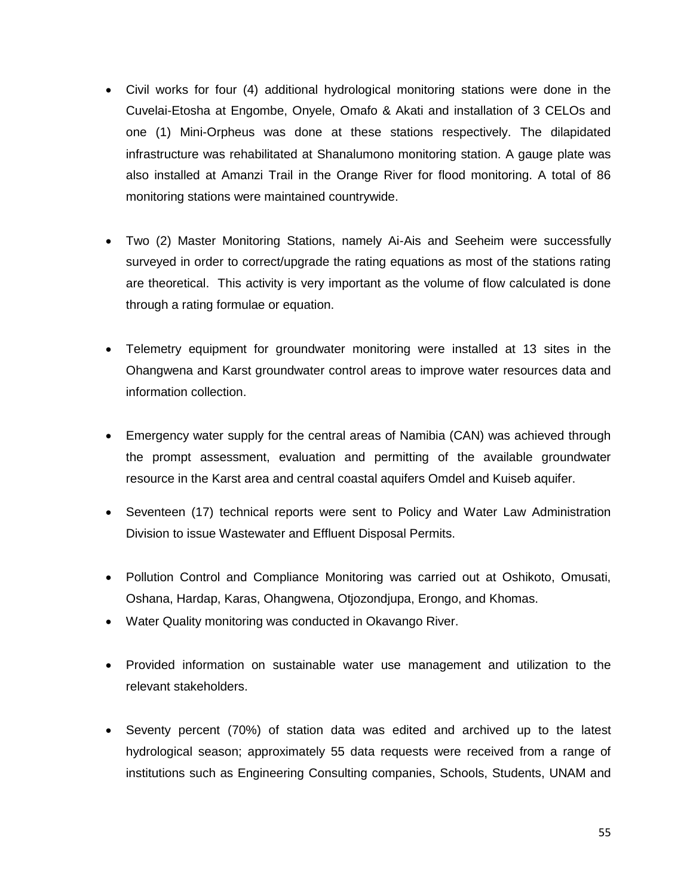- Civil works for four (4) additional hydrological monitoring stations were done in the Cuvelai-Etosha at Engombe, Onyele, Omafo & Akati and installation of 3 CELOs and one (1) Mini-Orpheus was done at these stations respectively. The dilapidated infrastructure was rehabilitated at Shanalumono monitoring station. A gauge plate was also installed at Amanzi Trail in the Orange River for flood monitoring. A total of 86 monitoring stations were maintained countrywide.
- Two (2) Master Monitoring Stations, namely Ai-Ais and Seeheim were successfully surveyed in order to correct/upgrade the rating equations as most of the stations rating are theoretical. This activity is very important as the volume of flow calculated is done through a rating formulae or equation.
- Telemetry equipment for groundwater monitoring were installed at 13 sites in the Ohangwena and Karst groundwater control areas to improve water resources data and information collection.
- Emergency water supply for the central areas of Namibia (CAN) was achieved through the prompt assessment, evaluation and permitting of the available groundwater resource in the Karst area and central coastal aquifers Omdel and Kuiseb aquifer.
- Seventeen (17) technical reports were sent to Policy and Water Law Administration Division to issue Wastewater and Effluent Disposal Permits.
- Pollution Control and Compliance Monitoring was carried out at Oshikoto, Omusati, Oshana, Hardap, Karas, Ohangwena, Otjozondjupa, Erongo, and Khomas.
- Water Quality monitoring was conducted in Okavango River.
- Provided information on sustainable water use management and utilization to the relevant stakeholders.
- Seventy percent (70%) of station data was edited and archived up to the latest hydrological season; approximately 55 data requests were received from a range of institutions such as Engineering Consulting companies, Schools, Students, UNAM and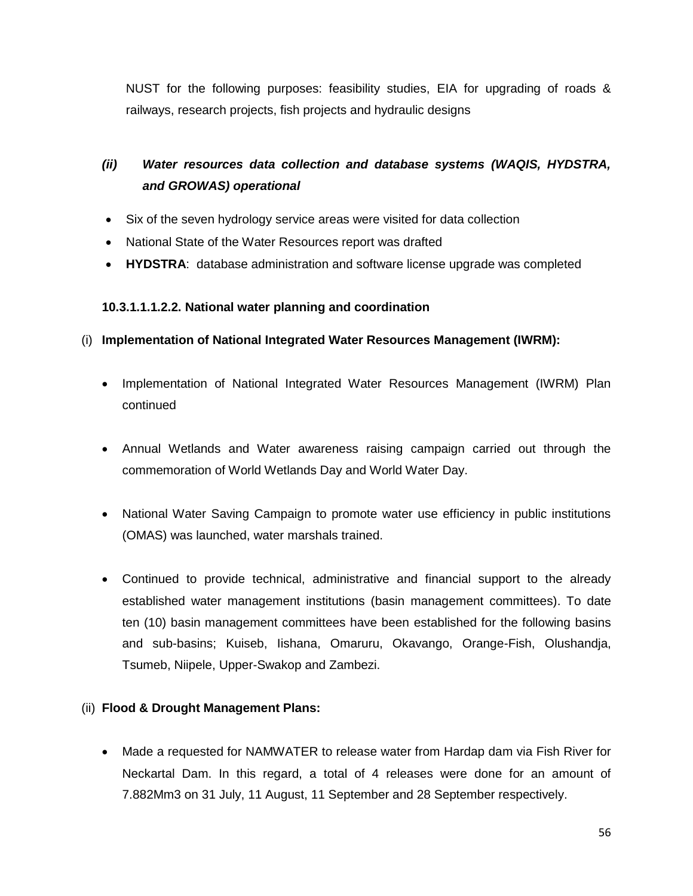NUST for the following purposes: feasibility studies, EIA for upgrading of roads & railways, research projects, fish projects and hydraulic designs

# *(ii) Water resources data collection and database systems (WAQIS, HYDSTRA, and GROWAS) operational*

- Six of the seven hydrology service areas were visited for data collection
- National State of the Water Resources report was drafted
- **HYDSTRA**: database administration and software license upgrade was completed

# **10.3.1.1.1.2.2. National water planning and coordination**

# (i) **Implementation of National Integrated Water Resources Management (IWRM):**

- Implementation of National Integrated Water Resources Management (IWRM) Plan continued
- Annual Wetlands and Water awareness raising campaign carried out through the commemoration of World Wetlands Day and World Water Day.
- National Water Saving Campaign to promote water use efficiency in public institutions (OMAS) was launched, water marshals trained.
- Continued to provide technical, administrative and financial support to the already established water management institutions (basin management committees). To date ten (10) basin management committees have been established for the following basins and sub-basins; Kuiseb, Iishana, Omaruru, Okavango, Orange-Fish, Olushandja, Tsumeb, Niipele, Upper-Swakop and Zambezi.

# (ii) **Flood & Drought Management Plans:**

 Made a requested for NAMWATER to release water from Hardap dam via Fish River for Neckartal Dam. In this regard, a total of 4 releases were done for an amount of 7.882Mm3 on 31 July, 11 August, 11 September and 28 September respectively.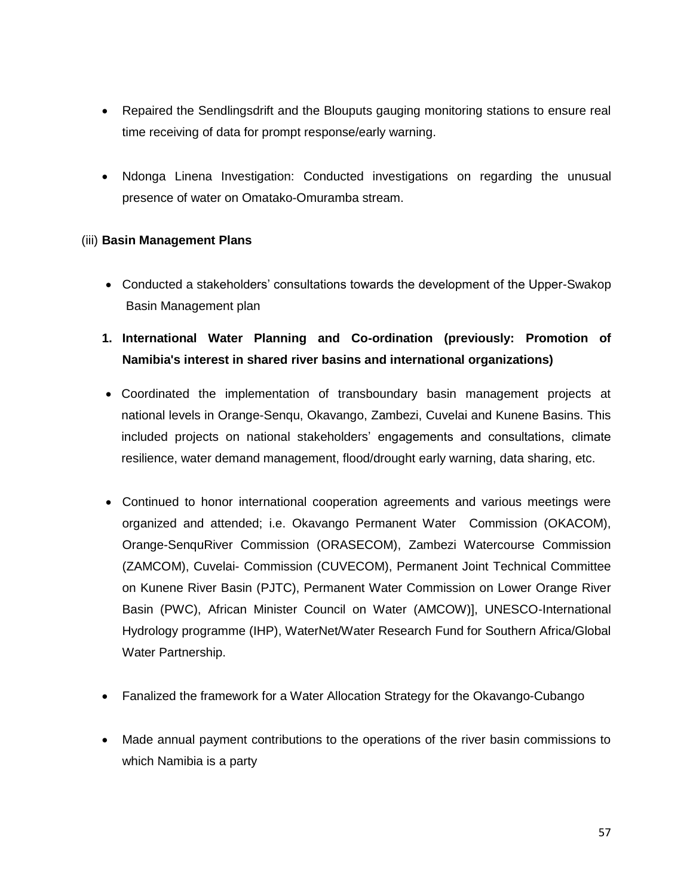- Repaired the Sendlingsdrift and the Blouputs gauging monitoring stations to ensure real time receiving of data for prompt response/early warning.
- Ndonga Linena Investigation: Conducted investigations on regarding the unusual presence of water on Omatako-Omuramba stream.

### (iii) **Basin Management Plans**

- Conducted a stakeholders' consultations towards the development of the Upper-Swakop Basin Management plan
- **1. International Water Planning and Co-ordination (previously: Promotion of Namibia's interest in shared river basins and international organizations)**
- Coordinated the implementation of transboundary basin management projects at national levels in Orange-Senqu, Okavango, Zambezi, Cuvelai and Kunene Basins. This included projects on national stakeholders' engagements and consultations, climate resilience, water demand management, flood/drought early warning, data sharing, etc.
- Continued to honor international cooperation agreements and various meetings were organized and attended; i.e. Okavango Permanent Water Commission (OKACOM), Orange-SenquRiver Commission (ORASECOM), Zambezi Watercourse Commission (ZAMCOM), Cuvelai- Commission (CUVECOM), Permanent Joint Technical Committee on Kunene River Basin (PJTC), Permanent Water Commission on Lower Orange River Basin (PWC), African Minister Council on Water (AMCOW)], UNESCO-International Hydrology programme (IHP), WaterNet/Water Research Fund for Southern Africa/Global Water Partnership.
- Fanalized the framework for a Water Allocation Strategy for the Okavango-Cubango
- Made annual payment contributions to the operations of the river basin commissions to which Namibia is a party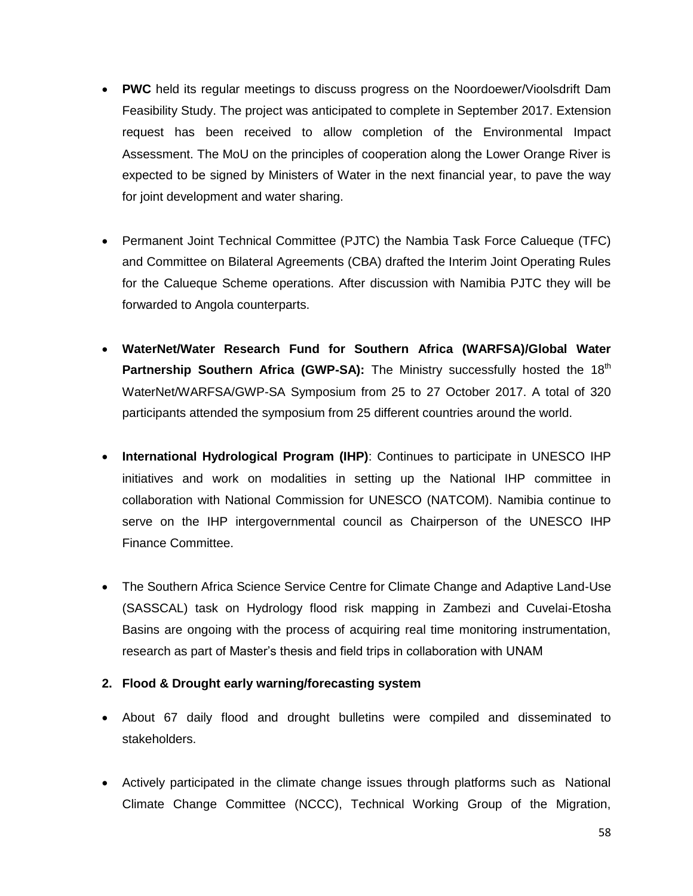- **PWC** held its regular meetings to discuss progress on the Noordoewer/Vioolsdrift Dam Feasibility Study. The project was anticipated to complete in September 2017. Extension request has been received to allow completion of the Environmental Impact Assessment. The MoU on the principles of cooperation along the Lower Orange River is expected to be signed by Ministers of Water in the next financial year, to pave the way for joint development and water sharing.
- Permanent Joint Technical Committee (PJTC) the Nambia Task Force Calueque (TFC) and Committee on Bilateral Agreements (CBA) drafted the Interim Joint Operating Rules for the Calueque Scheme operations. After discussion with Namibia PJTC they will be forwarded to Angola counterparts.
- **WaterNet/Water Research Fund for Southern Africa (WARFSA)/Global Water Partnership Southern Africa (GWP-SA):** The Ministry successfully hosted the 18<sup>th</sup> WaterNet/WARFSA/GWP-SA Symposium from 25 to 27 October 2017. A total of 320 participants attended the symposium from 25 different countries around the world.
- **International Hydrological Program (IHP)**: Continues to participate in UNESCO IHP initiatives and work on modalities in setting up the National IHP committee in collaboration with National Commission for UNESCO (NATCOM). Namibia continue to serve on the IHP intergovernmental council as Chairperson of the UNESCO IHP Finance Committee.
- The Southern Africa Science Service Centre for Climate Change and Adaptive Land-Use (SASSCAL) task on Hydrology flood risk mapping in Zambezi and Cuvelai-Etosha Basins are ongoing with the process of acquiring real time monitoring instrumentation, research as part of Master's thesis and field trips in collaboration with UNAM

### **2. Flood & Drought early warning/forecasting system**

- About 67 daily flood and drought bulletins were compiled and disseminated to stakeholders.
- Actively participated in the climate change issues through platforms such as National Climate Change Committee (NCCC), Technical Working Group of the Migration,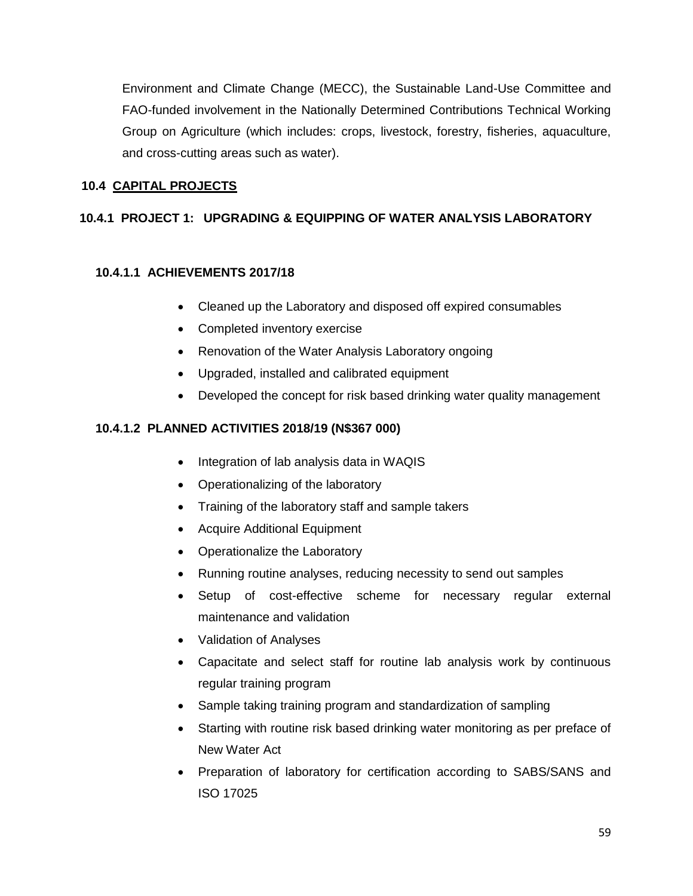Environment and Climate Change (MECC), the Sustainable Land-Use Committee and FAO-funded involvement in the Nationally Determined Contributions Technical Working Group on Agriculture (which includes: crops, livestock, forestry, fisheries, aquaculture, and cross-cutting areas such as water).

# **10.4 CAPITAL PROJECTS**

# **10.4.1 PROJECT 1: UPGRADING & EQUIPPING OF WATER ANALYSIS LABORATORY**

# **10.4.1.1 ACHIEVEMENTS 2017/18**

- Cleaned up the Laboratory and disposed off expired consumables
- Completed inventory exercise
- Renovation of the Water Analysis Laboratory ongoing
- Upgraded, installed and calibrated equipment
- Developed the concept for risk based drinking water quality management

# **10.4.1.2 PLANNED ACTIVITIES 2018/19 (N\$367 000)**

- Integration of lab analysis data in WAQIS
- Operationalizing of the laboratory
- Training of the laboratory staff and sample takers
- Acquire Additional Equipment
- Operationalize the Laboratory
- Running routine analyses, reducing necessity to send out samples
- Setup of cost-effective scheme for necessary regular external maintenance and validation
- Validation of Analyses
- Capacitate and select staff for routine lab analysis work by continuous regular training program
- Sample taking training program and standardization of sampling
- Starting with routine risk based drinking water monitoring as per preface of New Water Act
- Preparation of laboratory for certification according to SABS/SANS and ISO 17025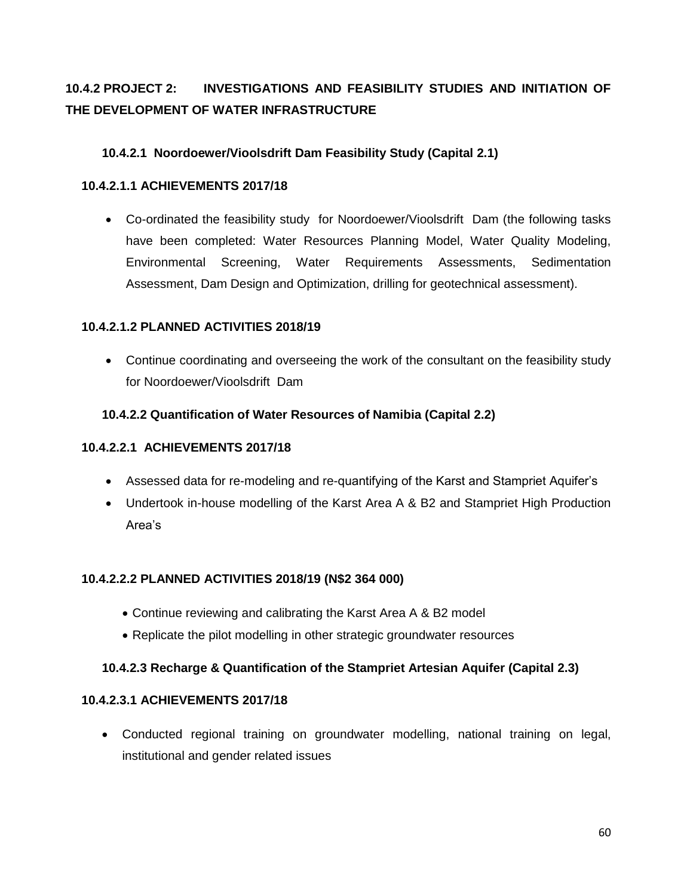# **10.4.2 PROJECT 2: INVESTIGATIONS AND FEASIBILITY STUDIES AND INITIATION OF THE DEVELOPMENT OF WATER INFRASTRUCTURE**

# **10.4.2.1 Noordoewer/Vioolsdrift Dam Feasibility Study (Capital 2.1)**

# **10.4.2.1.1 ACHIEVEMENTS 2017/18**

 Co-ordinated the feasibility study for Noordoewer/Vioolsdrift Dam (the following tasks have been completed: Water Resources Planning Model, Water Quality Modeling, Environmental Screening, Water Requirements Assessments, Sedimentation Assessment, Dam Design and Optimization, drilling for geotechnical assessment).

# **10.4.2.1.2 PLANNED ACTIVITIES 2018/19**

 Continue coordinating and overseeing the work of the consultant on the feasibility study for Noordoewer/Vioolsdrift Dam

# **10.4.2.2 Quantification of Water Resources of Namibia (Capital 2.2)**

# **10.4.2.2.1 ACHIEVEMENTS 2017/18**

- Assessed data for re-modeling and re-quantifying of the Karst and Stampriet Aquifer's
- Undertook in-house modelling of the Karst Area A & B2 and Stampriet High Production Area's

### **10.4.2.2.2 PLANNED ACTIVITIES 2018/19 (N\$2 364 000)**

- Continue reviewing and calibrating the Karst Area A & B2 model
- Replicate the pilot modelling in other strategic groundwater resources

# **10.4.2.3 Recharge & Quantification of the Stampriet Artesian Aquifer (Capital 2.3)**

### **10.4.2.3.1 ACHIEVEMENTS 2017/18**

 Conducted regional training on groundwater modelling, national training on legal, institutional and gender related issues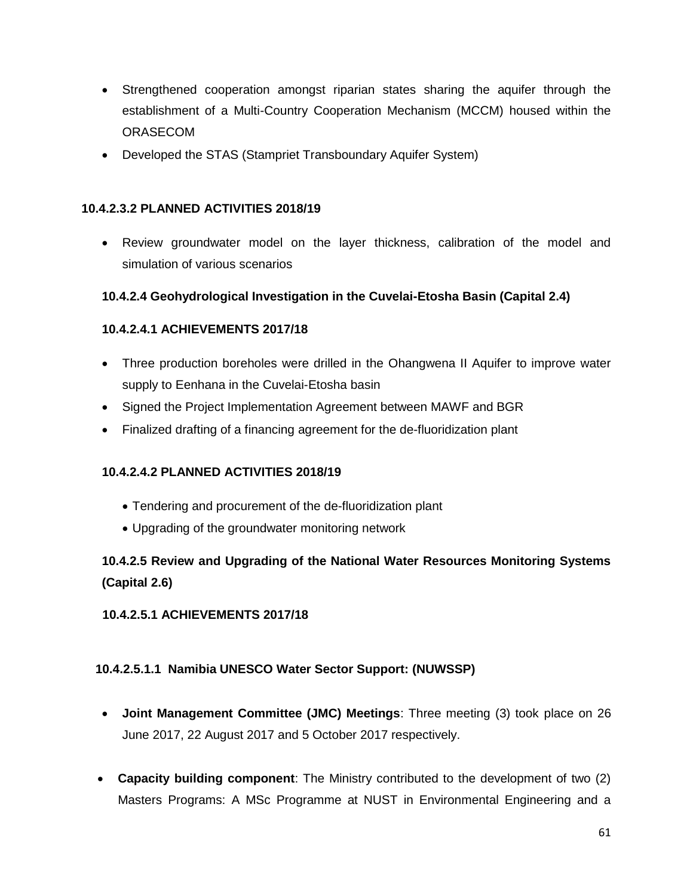- Strengthened cooperation amongst riparian states sharing the aquifer through the establishment of a Multi-Country Cooperation Mechanism (MCCM) housed within the **ORASECOM**
- Developed the STAS (Stampriet Transboundary Aquifer System)

# **10.4.2.3.2 PLANNED ACTIVITIES 2018/19**

 Review groundwater model on the layer thickness, calibration of the model and simulation of various scenarios

# **10.4.2.4 Geohydrological Investigation in the Cuvelai-Etosha Basin (Capital 2.4)**

# **10.4.2.4.1 ACHIEVEMENTS 2017/18**

- Three production boreholes were drilled in the Ohangwena II Aquifer to improve water supply to Eenhana in the Cuvelai-Etosha basin
- Signed the Project Implementation Agreement between MAWF and BGR
- Finalized drafting of a financing agreement for the de-fluoridization plant

# **10.4.2.4.2 PLANNED ACTIVITIES 2018/19**

- Tendering and procurement of the de-fluoridization plant
- Upgrading of the groundwater monitoring network

# **10.4.2.5 Review and Upgrading of the National Water Resources Monitoring Systems (Capital 2.6)**

### **10.4.2.5.1 ACHIEVEMENTS 2017/18**

### **10.4.2.5.1.1 Namibia UNESCO Water Sector Support: (NUWSSP)**

- **Joint Management Committee (JMC) Meetings**: Three meeting (3) took place on 26 June 2017, 22 August 2017 and 5 October 2017 respectively.
- **Capacity building component**: The Ministry contributed to the development of two (2) Masters Programs: A MSc Programme at NUST in Environmental Engineering and a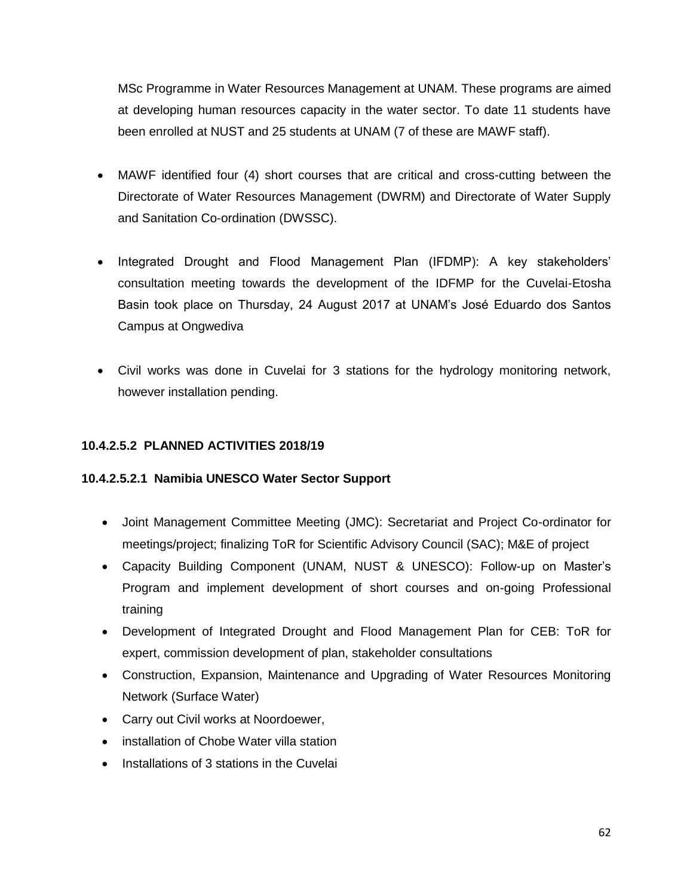MSc Programme in Water Resources Management at UNAM. These programs are aimed at developing human resources capacity in the water sector. To date 11 students have been enrolled at NUST and 25 students at UNAM (7 of these are MAWF staff).

- MAWF identified four (4) short courses that are critical and cross-cutting between the Directorate of Water Resources Management (DWRM) and Directorate of Water Supply and Sanitation Co-ordination (DWSSC).
- Integrated Drought and Flood Management Plan (IFDMP): A key stakeholders' consultation meeting towards the development of the IDFMP for the Cuvelai-Etosha Basin took place on Thursday, 24 August 2017 at UNAM's José Eduardo dos Santos Campus at Ongwediva
- Civil works was done in Cuvelai for 3 stations for the hydrology monitoring network, however installation pending.

# **10.4.2.5.2 PLANNED ACTIVITIES 2018/19**

### **10.4.2.5.2.1 Namibia UNESCO Water Sector Support**

- Joint Management Committee Meeting (JMC): Secretariat and Project Co-ordinator for meetings/project; finalizing ToR for Scientific Advisory Council (SAC); M&E of project
- Capacity Building Component (UNAM, NUST & UNESCO): Follow-up on Master's Program and implement development of short courses and on-going Professional training
- Development of Integrated Drought and Flood Management Plan for CEB: ToR for expert, commission development of plan, stakeholder consultations
- Construction, Expansion, Maintenance and Upgrading of Water Resources Monitoring Network (Surface Water)
- Carry out Civil works at Noordoewer,
- installation of Chobe Water villa station
- Installations of 3 stations in the Cuvelai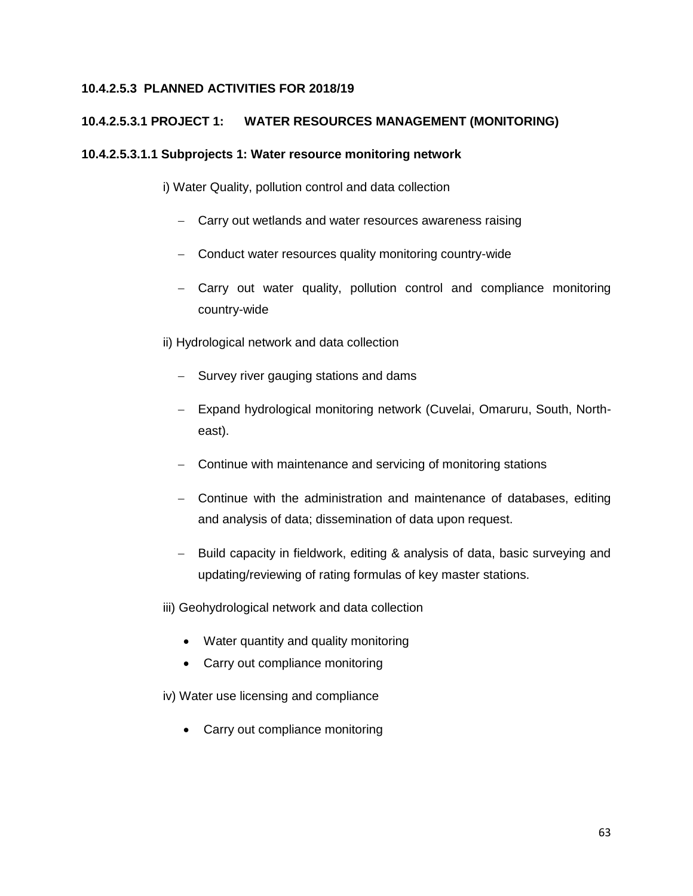### **10.4.2.5.3 PLANNED ACTIVITIES FOR 2018/19**

# **10.4.2.5.3.1 PROJECT 1: WATER RESOURCES MANAGEMENT (MONITORING)**

#### **10.4.2.5.3.1.1 Subprojects 1: Water resource monitoring network**

i) Water Quality, pollution control and data collection

- Carry out wetlands and water resources awareness raising
- Conduct water resources quality monitoring country-wide
- Carry out water quality, pollution control and compliance monitoring country-wide

ii) Hydrological network and data collection

- Survey river gauging stations and dams
- Expand hydrological monitoring network (Cuvelai, Omaruru, South, Northeast).
- Continue with maintenance and servicing of monitoring stations
- Continue with the administration and maintenance of databases, editing and analysis of data; dissemination of data upon request.
- Build capacity in fieldwork, editing & analysis of data, basic surveying and updating/reviewing of rating formulas of key master stations.

iii) Geohydrological network and data collection

- Water quantity and quality monitoring
- Carry out compliance monitoring

iv) Water use licensing and compliance

• Carry out compliance monitoring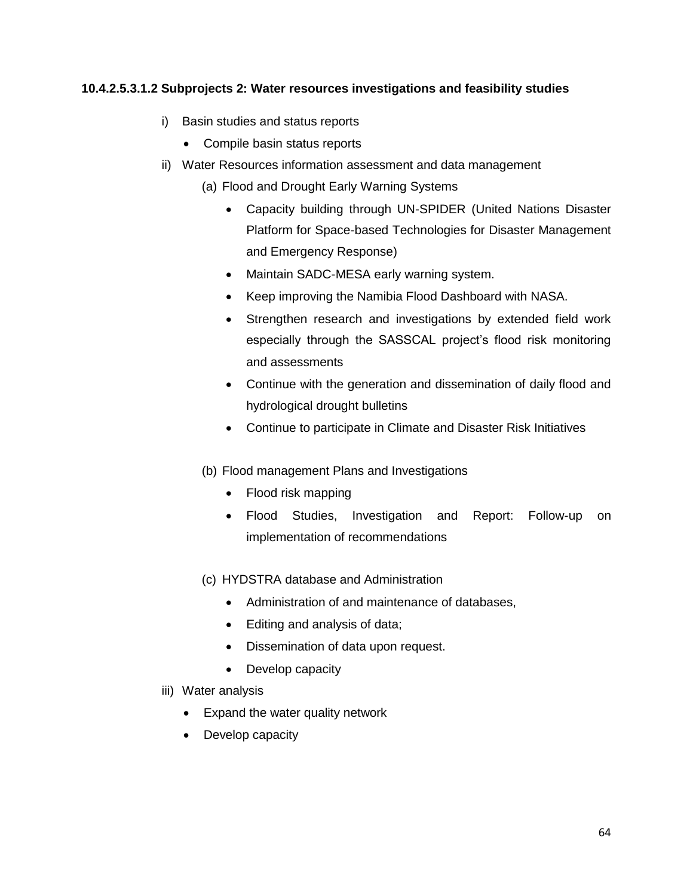# **10.4.2.5.3.1.2 Subprojects 2: Water resources investigations and feasibility studies**

- i) Basin studies and status reports
	- Compile basin status reports
- ii) Water Resources information assessment and data management
	- (a) Flood and Drought Early Warning Systems
		- Capacity building through UN-SPIDER (United Nations Disaster Platform for Space-based Technologies for Disaster Management and Emergency Response)
		- Maintain SADC-MESA early warning system.
		- Keep improving the Namibia Flood Dashboard with NASA.
		- Strengthen research and investigations by extended field work especially through the SASSCAL project's flood risk monitoring and assessments
		- Continue with the generation and dissemination of daily flood and hydrological drought bulletins
		- Continue to participate in Climate and Disaster Risk Initiatives
	- (b) Flood management Plans and Investigations
		- Flood risk mapping
		- Flood Studies, Investigation and Report: Follow-up on implementation of recommendations
	- (c) HYDSTRA database and Administration
		- Administration of and maintenance of databases,
		- Editing and analysis of data;
		- Dissemination of data upon request.
		- Develop capacity
- iii) Water analysis
	- Expand the water quality network
	- Develop capacity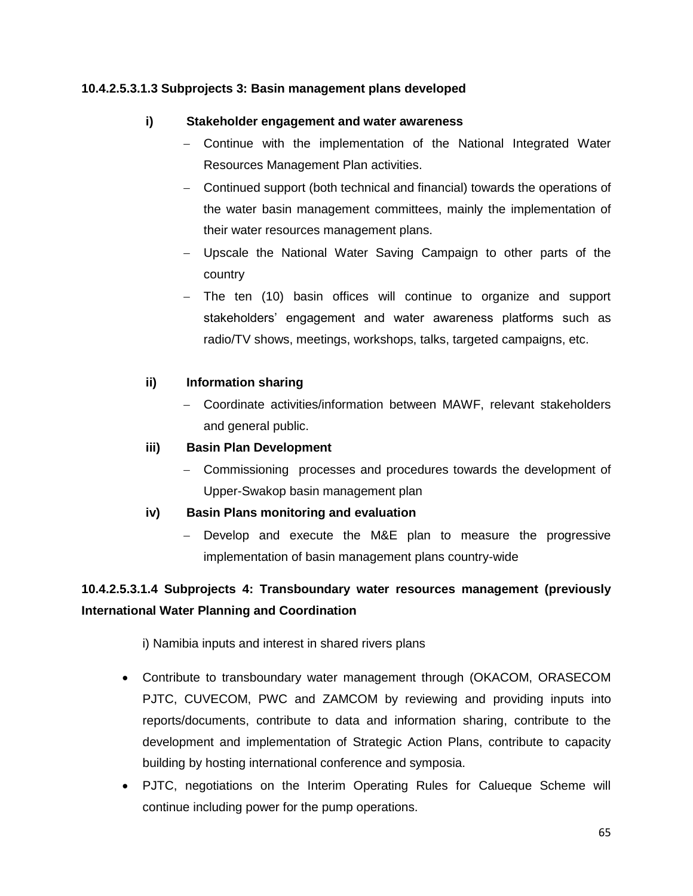# **10.4.2.5.3.1.3 Subprojects 3: Basin management plans developed**

### **i) Stakeholder engagement and water awareness**

- Continue with the implementation of the National Integrated Water Resources Management Plan activities.
- Continued support (both technical and financial) towards the operations of the water basin management committees, mainly the implementation of their water resources management plans.
- Upscale the National Water Saving Campaign to other parts of the country
- The ten (10) basin offices will continue to organize and support stakeholders' engagement and water awareness platforms such as radio/TV shows, meetings, workshops, talks, targeted campaigns, etc.

# **ii) Information sharing**

 Coordinate activities/information between MAWF, relevant stakeholders and general public.

# **iii) Basin Plan Development**

 Commissioning processes and procedures towards the development of Upper-Swakop basin management plan

### **iv) Basin Plans monitoring and evaluation**

 Develop and execute the M&E plan to measure the progressive implementation of basin management plans country-wide

# **10.4.2.5.3.1.4 Subprojects 4: Transboundary water resources management (previously International Water Planning and Coordination**

i) Namibia inputs and interest in shared rivers plans

- Contribute to transboundary water management through (OKACOM, ORASECOM PJTC, CUVECOM, PWC and ZAMCOM by reviewing and providing inputs into reports/documents, contribute to data and information sharing, contribute to the development and implementation of Strategic Action Plans, contribute to capacity building by hosting international conference and symposia.
- PJTC, negotiations on the Interim Operating Rules for Calueque Scheme will continue including power for the pump operations.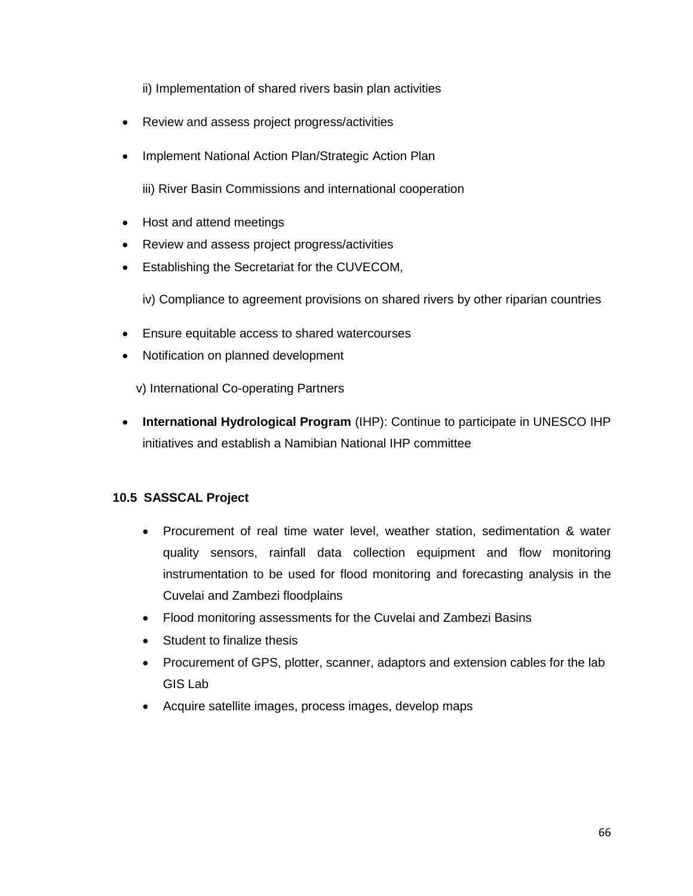ii) Implementation of shared rivers basin plan activities

- Review and assess project progress/activities
- Implement National Action Plan/Strategic Action Plan
	- iii) River Basin Commissions and international cooperation
- Host and attend meetings
- Review and assess project progress/activities
- Establishing the Secretariat for the CUVECOM,

iv) Compliance to agreement provisions on shared rivers by other riparian countries

- Ensure equitable access to shared watercourses
- Notification on planned development
	- v) International Co-operating Partners
- **International Hydrological Program** (IHP): Continue to participate in UNESCO IHP initiatives and establish a Namibian National IHP committee

# **10.5 SASSCAL Project**

- Procurement of real time water level, weather station, sedimentation & water quality sensors, rainfall data collection equipment and flow monitoring instrumentation to be used for flood monitoring and forecasting analysis in the Cuvelai and Zambezi floodplains
- Flood monitoring assessments for the Cuvelai and Zambezi Basins
- Student to finalize thesis
- Procurement of GPS, plotter, scanner, adaptors and extension cables for the lab GIS Lab
- Acquire satellite images, process images, develop maps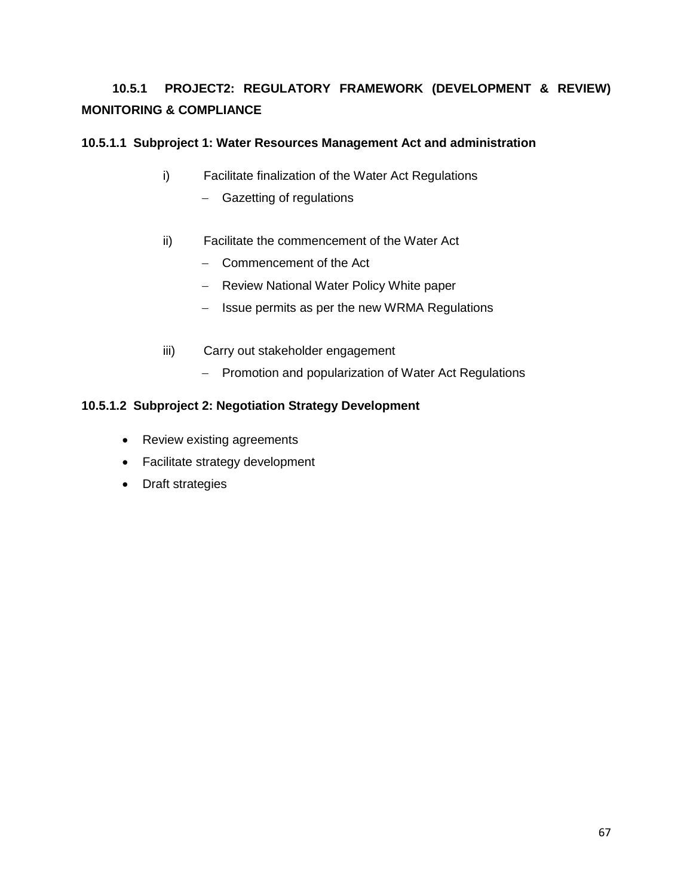# **10.5.1 PROJECT2: REGULATORY FRAMEWORK (DEVELOPMENT & REVIEW) MONITORING & COMPLIANCE**

# **10.5.1.1 Subproject 1: Water Resources Management Act and administration**

- i) Facilitate finalization of the Water Act Regulations
	- Gazetting of regulations
- ii) Facilitate the commencement of the Water Act
	- Commencement of the Act
	- Review National Water Policy White paper
	- $-$  Issue permits as per the new WRMA Regulations
- iii) Carry out stakeholder engagement
	- Promotion and popularization of Water Act Regulations

### **10.5.1.2 Subproject 2: Negotiation Strategy Development**

- Review existing agreements
- Facilitate strategy development
- Draft strategies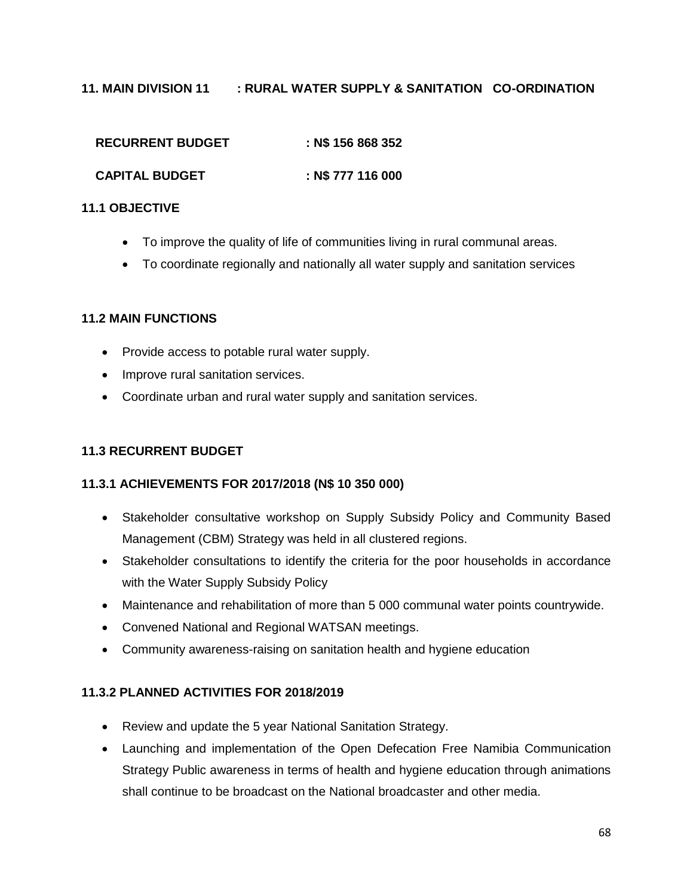# **11. MAIN DIVISION 11 : RURAL WATER SUPPLY & SANITATION CO-ORDINATION**

| <b>RECURRENT BUDGET</b> | : N\$ 156 868 352 |
|-------------------------|-------------------|
| <b>CAPITAL BUDGET</b>   | : N\$ 777 116 000 |

#### **11.1 OBJECTIVE**

- To improve the quality of life of communities living in rural communal areas.
- To coordinate regionally and nationally all water supply and sanitation services

#### **11.2 MAIN FUNCTIONS**

- Provide access to potable rural water supply.
- Improve rural sanitation services.
- Coordinate urban and rural water supply and sanitation services.

### **11.3 RECURRENT BUDGET**

### **11.3.1 ACHIEVEMENTS FOR 2017/2018 (N\$ 10 350 000)**

- Stakeholder consultative workshop on Supply Subsidy Policy and Community Based Management (CBM) Strategy was held in all clustered regions.
- Stakeholder consultations to identify the criteria for the poor households in accordance with the Water Supply Subsidy Policy
- Maintenance and rehabilitation of more than 5 000 communal water points countrywide.
- Convened National and Regional WATSAN meetings.
- Community awareness-raising on sanitation health and hygiene education

### **11.3.2 PLANNED ACTIVITIES FOR 2018/2019**

- Review and update the 5 year National Sanitation Strategy.
- Launching and implementation of the Open Defecation Free Namibia Communication Strategy Public awareness in terms of health and hygiene education through animations shall continue to be broadcast on the National broadcaster and other media.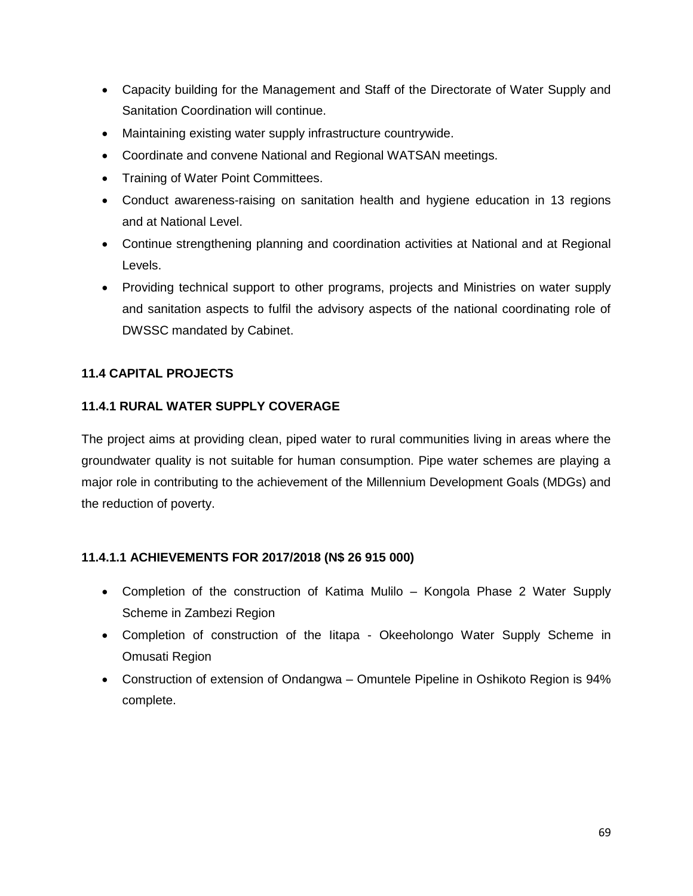- Capacity building for the Management and Staff of the Directorate of Water Supply and Sanitation Coordination will continue.
- Maintaining existing water supply infrastructure countrywide.
- Coordinate and convene National and Regional WATSAN meetings.
- Training of Water Point Committees.
- Conduct awareness-raising on sanitation health and hygiene education in 13 regions and at National Level.
- Continue strengthening planning and coordination activities at National and at Regional Levels.
- Providing technical support to other programs, projects and Ministries on water supply and sanitation aspects to fulfil the advisory aspects of the national coordinating role of DWSSC mandated by Cabinet.

# **11.4 CAPITAL PROJECTS**

# **11.4.1 RURAL WATER SUPPLY COVERAGE**

The project aims at providing clean, piped water to rural communities living in areas where the groundwater quality is not suitable for human consumption. Pipe water schemes are playing a major role in contributing to the achievement of the Millennium Development Goals (MDGs) and the reduction of poverty.

# **11.4.1.1 ACHIEVEMENTS FOR 2017/2018 (N\$ 26 915 000)**

- Completion of the construction of Katima Mulilo Kongola Phase 2 Water Supply Scheme in Zambezi Region
- Completion of construction of the Iitapa Okeeholongo Water Supply Scheme in Omusati Region
- Construction of extension of Ondangwa Omuntele Pipeline in Oshikoto Region is 94% complete.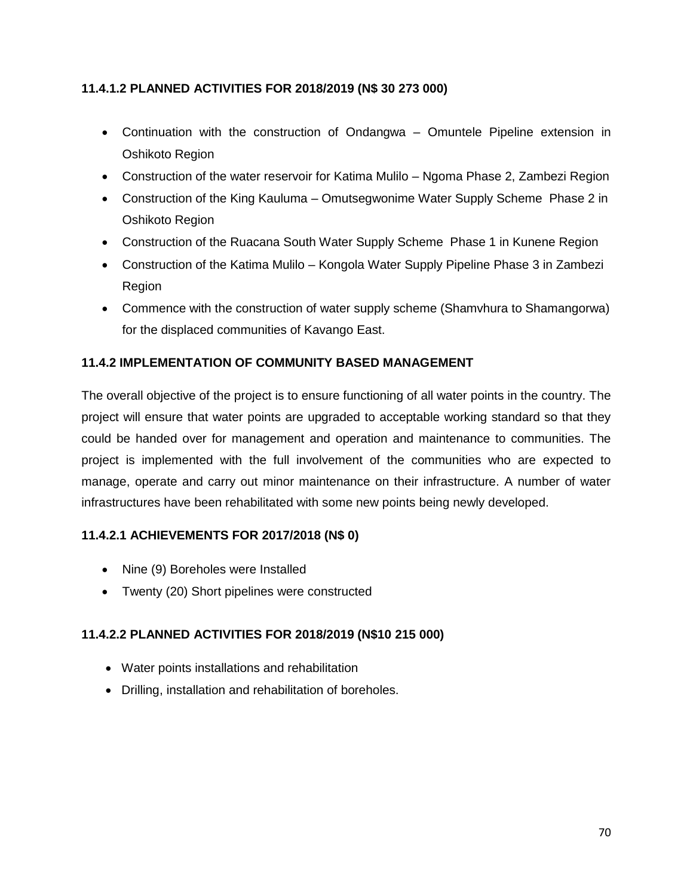# **11.4.1.2 PLANNED ACTIVITIES FOR 2018/2019 (N\$ 30 273 000)**

- Continuation with the construction of Ondangwa Omuntele Pipeline extension in Oshikoto Region
- Construction of the water reservoir for Katima Mulilo Ngoma Phase 2, Zambezi Region
- Construction of the King Kauluma Omutsegwonime Water Supply Scheme Phase 2 in Oshikoto Region
- Construction of the Ruacana South Water Supply Scheme Phase 1 in Kunene Region
- Construction of the Katima Mulilo Kongola Water Supply Pipeline Phase 3 in Zambezi Region
- Commence with the construction of water supply scheme (Shamvhura to Shamangorwa) for the displaced communities of Kavango East.

# **11.4.2 IMPLEMENTATION OF COMMUNITY BASED MANAGEMENT**

The overall objective of the project is to ensure functioning of all water points in the country. The project will ensure that water points are upgraded to acceptable working standard so that they could be handed over for management and operation and maintenance to communities. The project is implemented with the full involvement of the communities who are expected to manage, operate and carry out minor maintenance on their infrastructure. A number of water infrastructures have been rehabilitated with some new points being newly developed.

# **11.4.2.1 ACHIEVEMENTS FOR 2017/2018 (N\$ 0)**

- Nine (9) Boreholes were Installed
- Twenty (20) Short pipelines were constructed

# **11.4.2.2 PLANNED ACTIVITIES FOR 2018/2019 (N\$10 215 000)**

- Water points installations and rehabilitation
- Drilling, installation and rehabilitation of boreholes.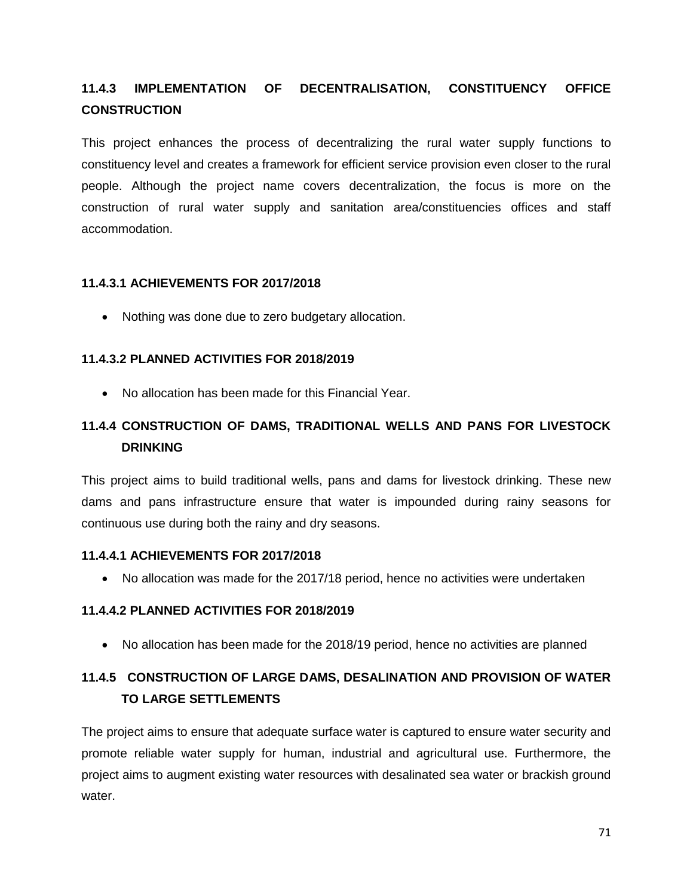# **11.4.3 IMPLEMENTATION OF DECENTRALISATION, CONSTITUENCY OFFICE CONSTRUCTION**

This project enhances the process of decentralizing the rural water supply functions to constituency level and creates a framework for efficient service provision even closer to the rural people. Although the project name covers decentralization, the focus is more on the construction of rural water supply and sanitation area/constituencies offices and staff accommodation.

### **11.4.3.1 ACHIEVEMENTS FOR 2017/2018**

• Nothing was done due to zero budgetary allocation.

# **11.4.3.2 PLANNED ACTIVITIES FOR 2018/2019**

No allocation has been made for this Financial Year.

# **11.4.4 CONSTRUCTION OF DAMS, TRADITIONAL WELLS AND PANS FOR LIVESTOCK DRINKING**

This project aims to build traditional wells, pans and dams for livestock drinking. These new dams and pans infrastructure ensure that water is impounded during rainy seasons for continuous use during both the rainy and dry seasons.

### **11.4.4.1 ACHIEVEMENTS FOR 2017/2018**

No allocation was made for the 2017/18 period, hence no activities were undertaken

### **11.4.4.2 PLANNED ACTIVITIES FOR 2018/2019**

No allocation has been made for the 2018/19 period, hence no activities are planned

# **11.4.5 CONSTRUCTION OF LARGE DAMS, DESALINATION AND PROVISION OF WATER TO LARGE SETTLEMENTS**

The project aims to ensure that adequate surface water is captured to ensure water security and promote reliable water supply for human, industrial and agricultural use. Furthermore, the project aims to augment existing water resources with desalinated sea water or brackish ground water.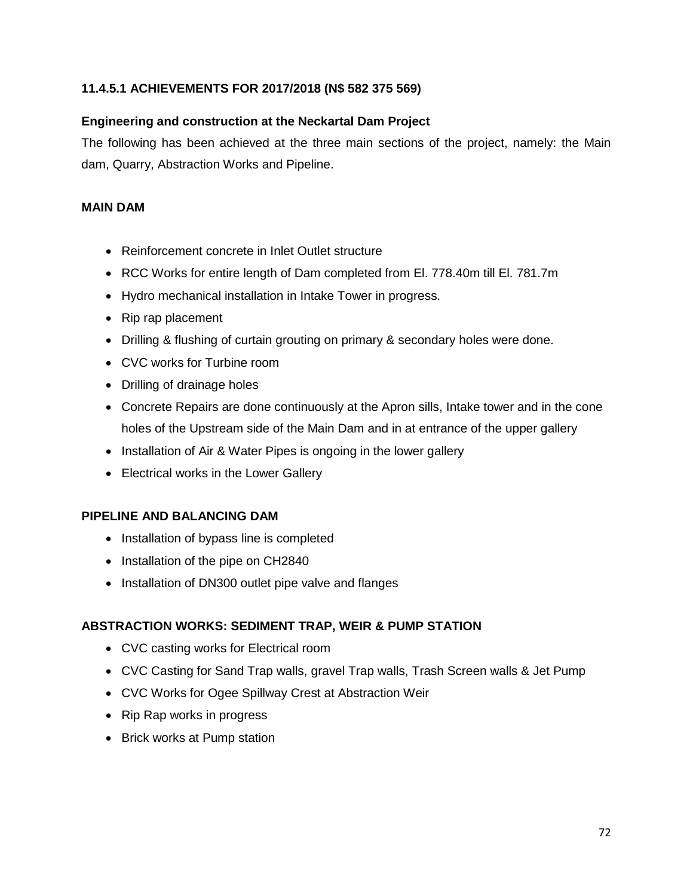## **11.4.5.1 ACHIEVEMENTS FOR 2017/2018 (N\$ 582 375 569)**

#### **Engineering and construction at the Neckartal Dam Project**

The following has been achieved at the three main sections of the project, namely: the Main dam, Quarry, Abstraction Works and Pipeline.

#### **MAIN DAM**

- Reinforcement concrete in Inlet Outlet structure
- RCC Works for entire length of Dam completed from El. 778.40m till El. 781.7m
- Hydro mechanical installation in Intake Tower in progress.
- Rip rap placement
- Drilling & flushing of curtain grouting on primary & secondary holes were done.
- CVC works for Turbine room
- Drilling of drainage holes
- Concrete Repairs are done continuously at the Apron sills, Intake tower and in the cone holes of the Upstream side of the Main Dam and in at entrance of the upper gallery
- Installation of Air & Water Pipes is ongoing in the lower gallery
- Electrical works in the Lower Gallery

#### **PIPELINE AND BALANCING DAM**

- Installation of bypass line is completed
- Installation of the pipe on CH2840
- Installation of DN300 outlet pipe valve and flanges

#### **ABSTRACTION WORKS: SEDIMENT TRAP, WEIR & PUMP STATION**

- CVC casting works for Electrical room
- CVC Casting for Sand Trap walls, gravel Trap walls, Trash Screen walls & Jet Pump
- CVC Works for Ogee Spillway Crest at Abstraction Weir
- Rip Rap works in progress
- Brick works at Pump station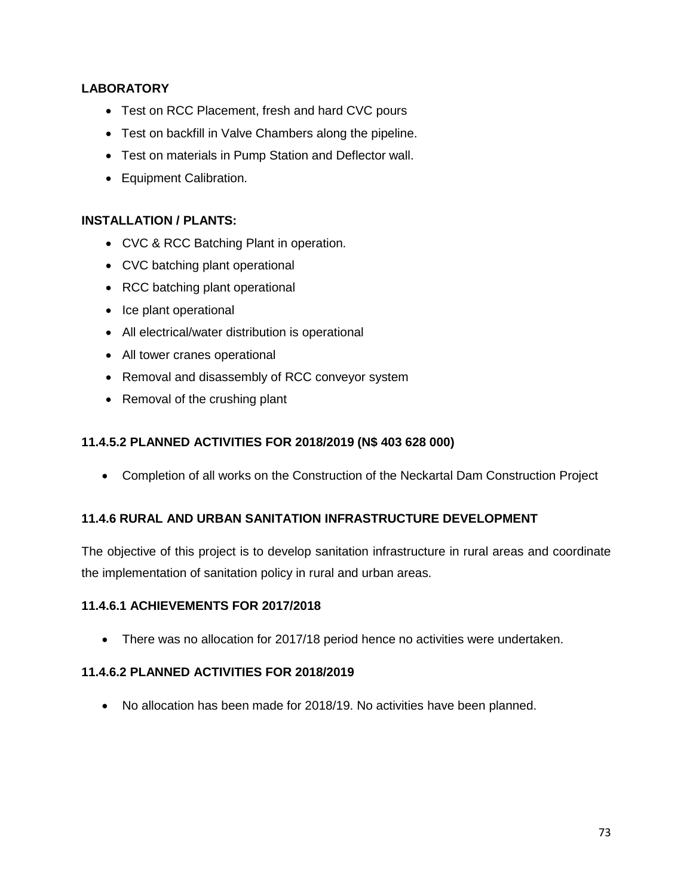## **LABORATORY**

- Test on RCC Placement, fresh and hard CVC pours
- Test on backfill in Valve Chambers along the pipeline.
- Test on materials in Pump Station and Deflector wall.
- Equipment Calibration.

## **INSTALLATION / PLANTS:**

- CVC & RCC Batching Plant in operation.
- CVC batching plant operational
- RCC batching plant operational
- Ice plant operational
- All electrical/water distribution is operational
- All tower cranes operational
- Removal and disassembly of RCC conveyor system
- Removal of the crushing plant

## **11.4.5.2 PLANNED ACTIVITIES FOR 2018/2019 (N\$ 403 628 000)**

Completion of all works on the Construction of the Neckartal Dam Construction Project

## **11.4.6 RURAL AND URBAN SANITATION INFRASTRUCTURE DEVELOPMENT**

The objective of this project is to develop sanitation infrastructure in rural areas and coordinate the implementation of sanitation policy in rural and urban areas.

## **11.4.6.1 ACHIEVEMENTS FOR 2017/2018**

There was no allocation for 2017/18 period hence no activities were undertaken.

## **11.4.6.2 PLANNED ACTIVITIES FOR 2018/2019**

No allocation has been made for 2018/19. No activities have been planned.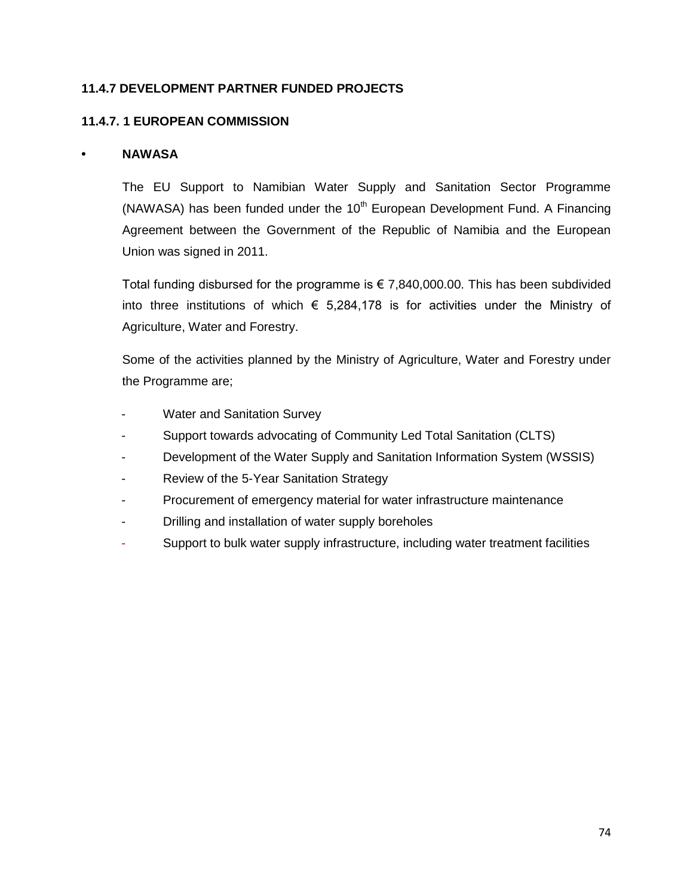#### **11.4.7 DEVELOPMENT PARTNER FUNDED PROJECTS**

#### **11.4.7. 1 EUROPEAN COMMISSION**

#### **• NAWASA**

The EU Support to Namibian Water Supply and Sanitation Sector Programme (NAWASA) has been funded under the  $10<sup>th</sup>$  European Development Fund. A Financing Agreement between the Government of the Republic of Namibia and the European Union was signed in 2011.

Total funding disbursed for the programme is  $\epsilon$  7,840,000.00. This has been subdivided into three institutions of which  $\epsilon$  5.284,178 is for activities under the Ministry of Agriculture, Water and Forestry.

Some of the activities planned by the Ministry of Agriculture, Water and Forestry under the Programme are;

- Water and Sanitation Survey
- Support towards advocating of Community Led Total Sanitation (CLTS)
- Development of the Water Supply and Sanitation Information System (WSSIS)
- Review of the 5-Year Sanitation Strategy
- Procurement of emergency material for water infrastructure maintenance
- Drilling and installation of water supply boreholes
- Support to bulk water supply infrastructure, including water treatment facilities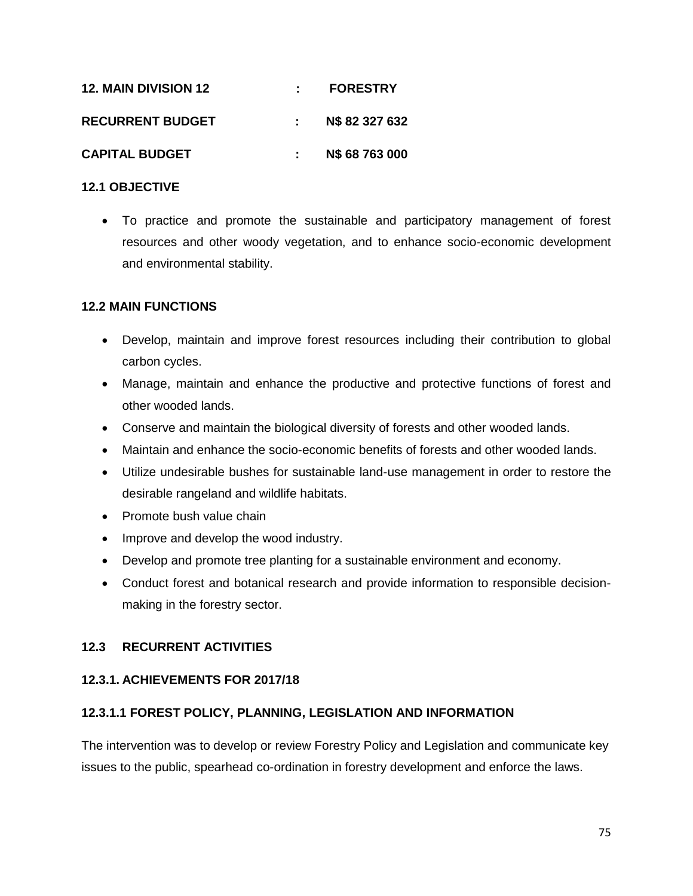| <b>12. MAIN DIVISION 12</b> | t in | <b>FORESTRY</b> |
|-----------------------------|------|-----------------|
| <b>RECURRENT BUDGET</b>     |      | N\$ 82 327 632  |
| <b>CAPITAL BUDGET</b>       |      | N\$ 68 763 000  |

#### **12.1 OBJECTIVE**

 To practice and promote the sustainable and participatory management of forest resources and other woody vegetation, and to enhance socio-economic development and environmental stability.

#### **12.2 MAIN FUNCTIONS**

- Develop, maintain and improve forest resources including their contribution to global carbon cycles.
- Manage, maintain and enhance the productive and protective functions of forest and other wooded lands.
- Conserve and maintain the biological diversity of forests and other wooded lands.
- Maintain and enhance the socio-economic benefits of forests and other wooded lands.
- Utilize undesirable bushes for sustainable land-use management in order to restore the desirable rangeland and wildlife habitats.
- Promote bush value chain
- Improve and develop the wood industry.
- Develop and promote tree planting for a sustainable environment and economy.
- Conduct forest and botanical research and provide information to responsible decisionmaking in the forestry sector.

#### **12.3 RECURRENT ACTIVITIES**

#### **12.3.1. ACHIEVEMENTS FOR 2017/18**

#### **12.3.1.1 FOREST POLICY, PLANNING, LEGISLATION AND INFORMATION**

The intervention was to develop or review Forestry Policy and Legislation and communicate key issues to the public, spearhead co-ordination in forestry development and enforce the laws.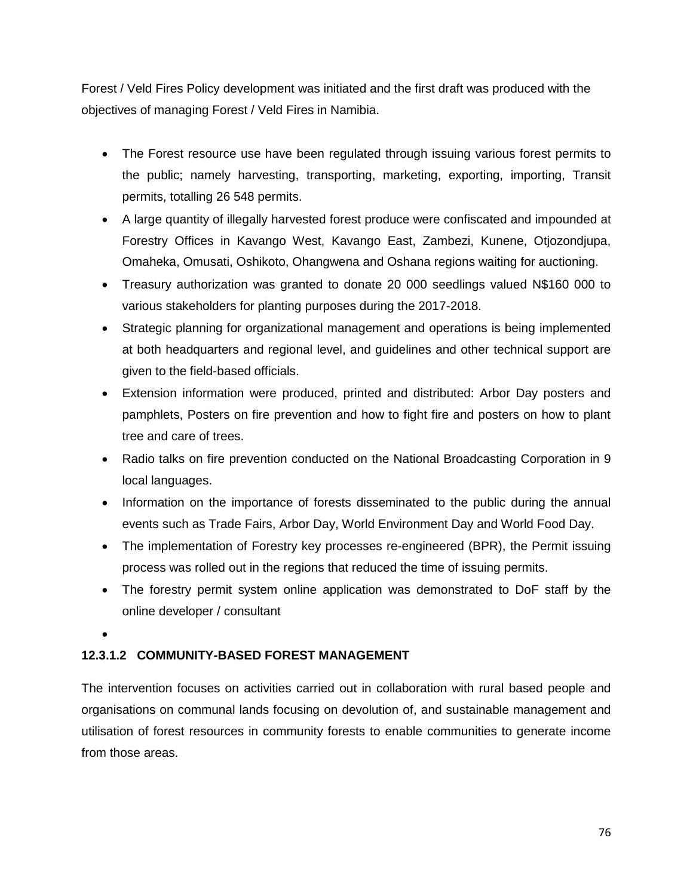Forest / Veld Fires Policy development was initiated and the first draft was produced with the objectives of managing Forest / Veld Fires in Namibia.

- The Forest resource use have been regulated through issuing various forest permits to the public; namely harvesting, transporting, marketing, exporting, importing, Transit permits, totalling 26 548 permits.
- A large quantity of illegally harvested forest produce were confiscated and impounded at Forestry Offices in Kavango West, Kavango East, Zambezi, Kunene, Otjozondjupa, Omaheka, Omusati, Oshikoto, Ohangwena and Oshana regions waiting for auctioning.
- Treasury authorization was granted to donate 20 000 seedlings valued N\$160 000 to various stakeholders for planting purposes during the 2017-2018.
- Strategic planning for organizational management and operations is being implemented at both headquarters and regional level, and guidelines and other technical support are given to the field-based officials.
- Extension information were produced, printed and distributed: Arbor Day posters and pamphlets, Posters on fire prevention and how to fight fire and posters on how to plant tree and care of trees.
- Radio talks on fire prevention conducted on the National Broadcasting Corporation in 9 local languages.
- Information on the importance of forests disseminated to the public during the annual events such as Trade Fairs, Arbor Day, World Environment Day and World Food Day.
- The implementation of Forestry key processes re-engineered (BPR), the Permit issuing process was rolled out in the regions that reduced the time of issuing permits.
- The forestry permit system online application was demonstrated to DoF staff by the online developer / consultant

 $\bullet$ 

## **12.3.1.2 COMMUNITY-BASED FOREST MANAGEMENT**

The intervention focuses on activities carried out in collaboration with rural based people and organisations on communal lands focusing on devolution of, and sustainable management and utilisation of forest resources in community forests to enable communities to generate income from those areas.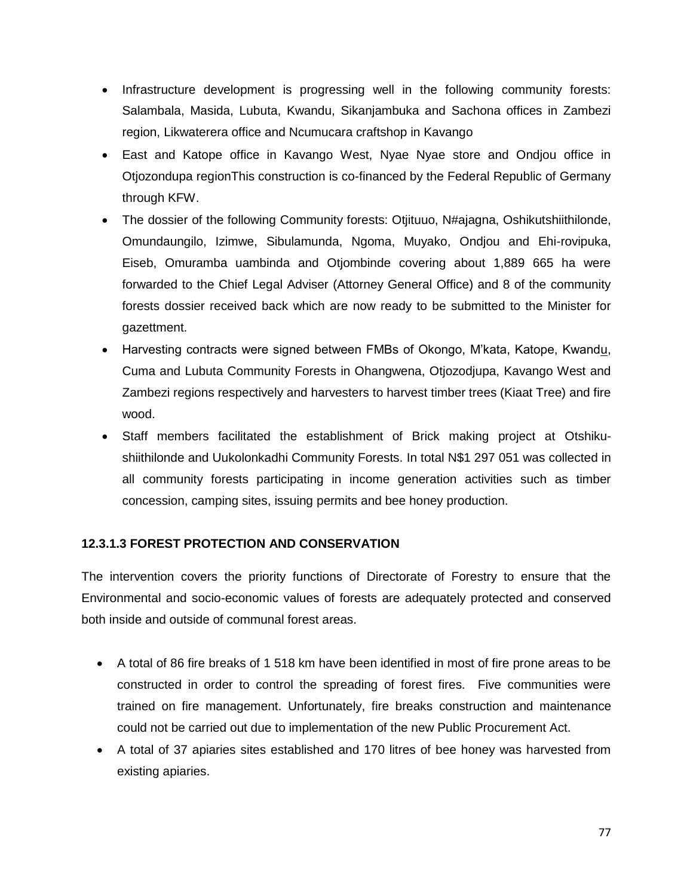- Infrastructure development is progressing well in the following community forests: Salambala, Masida, Lubuta, Kwandu, Sikanjambuka and Sachona offices in Zambezi region, Likwaterera office and Ncumucara craftshop in Kavango
- East and Katope office in Kavango West, Nyae Nyae store and Ondjou office in Otjozondupa regionThis construction is co-financed by the Federal Republic of Germany through KFW.
- The dossier of the following Community forests: Otjituuo, N#ajagna, Oshikutshiithilonde, Omundaungilo, Izimwe, Sibulamunda, Ngoma, Muyako, Ondjou and Ehi-rovipuka, Eiseb, Omuramba uambinda and Otjombinde covering about 1,889 665 ha were forwarded to the Chief Legal Adviser (Attorney General Office) and 8 of the community forests dossier received back which are now ready to be submitted to the Minister for gazettment.
- Harvesting contracts were signed between FMBs of Okongo, M'kata, Katope, Kwandu, Cuma and Lubuta Community Forests in Ohangwena, Otjozodjupa, Kavango West and Zambezi regions respectively and harvesters to harvest timber trees (Kiaat Tree) and fire wood.
- Staff members facilitated the establishment of Brick making project at Otshikushiithilonde and Uukolonkadhi Community Forests. In total N\$1 297 051 was collected in all community forests participating in income generation activities such as timber concession, camping sites, issuing permits and bee honey production.

## **12.3.1.3 FOREST PROTECTION AND CONSERVATION**

The intervention covers the priority functions of Directorate of Forestry to ensure that the Environmental and socio-economic values of forests are adequately protected and conserved both inside and outside of communal forest areas.

- A total of 86 fire breaks of 1 518 km have been identified in most of fire prone areas to be constructed in order to control the spreading of forest fires. Five communities were trained on fire management. Unfortunately, fire breaks construction and maintenance could not be carried out due to implementation of the new Public Procurement Act.
- A total of 37 apiaries sites established and 170 litres of bee honey was harvested from existing apiaries.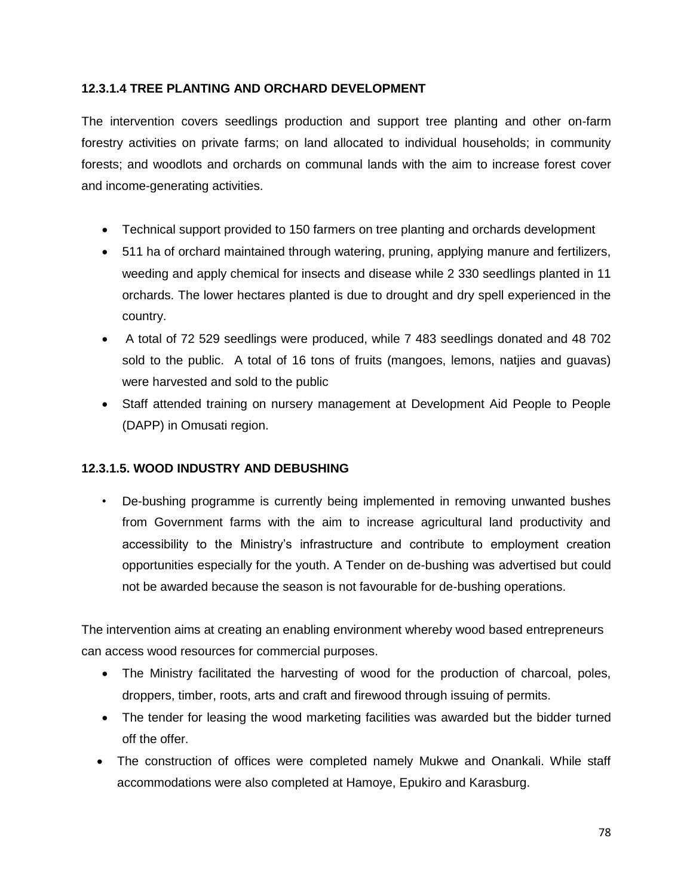#### **12.3.1.4 TREE PLANTING AND ORCHARD DEVELOPMENT**

The intervention covers seedlings production and support tree planting and other on-farm forestry activities on private farms; on land allocated to individual households; in community forests; and woodlots and orchards on communal lands with the aim to increase forest cover and income-generating activities.

- Technical support provided to 150 farmers on tree planting and orchards development
- 511 ha of orchard maintained through watering, pruning, applying manure and fertilizers, weeding and apply chemical for insects and disease while 2 330 seedlings planted in 11 orchards. The lower hectares planted is due to drought and dry spell experienced in the country.
- A total of 72 529 seedlings were produced, while 7 483 seedlings donated and 48 702 sold to the public. A total of 16 tons of fruits (mangoes, lemons, natjies and guavas) were harvested and sold to the public
- Staff attended training on nursery management at Development Aid People to People (DAPP) in Omusati region.

#### **12.3.1.5. WOOD INDUSTRY AND DEBUSHING**

• De-bushing programme is currently being implemented in removing unwanted bushes from Government farms with the aim to increase agricultural land productivity and accessibility to the Ministry's infrastructure and contribute to employment creation opportunities especially for the youth. A Tender on de-bushing was advertised but could not be awarded because the season is not favourable for de-bushing operations.

The intervention aims at creating an enabling environment whereby wood based entrepreneurs can access wood resources for commercial purposes.

- The Ministry facilitated the harvesting of wood for the production of charcoal, poles, droppers, timber, roots, arts and craft and firewood through issuing of permits.
- The tender for leasing the wood marketing facilities was awarded but the bidder turned off the offer.
- The construction of offices were completed namely Mukwe and Onankali. While staff accommodations were also completed at Hamoye, Epukiro and Karasburg.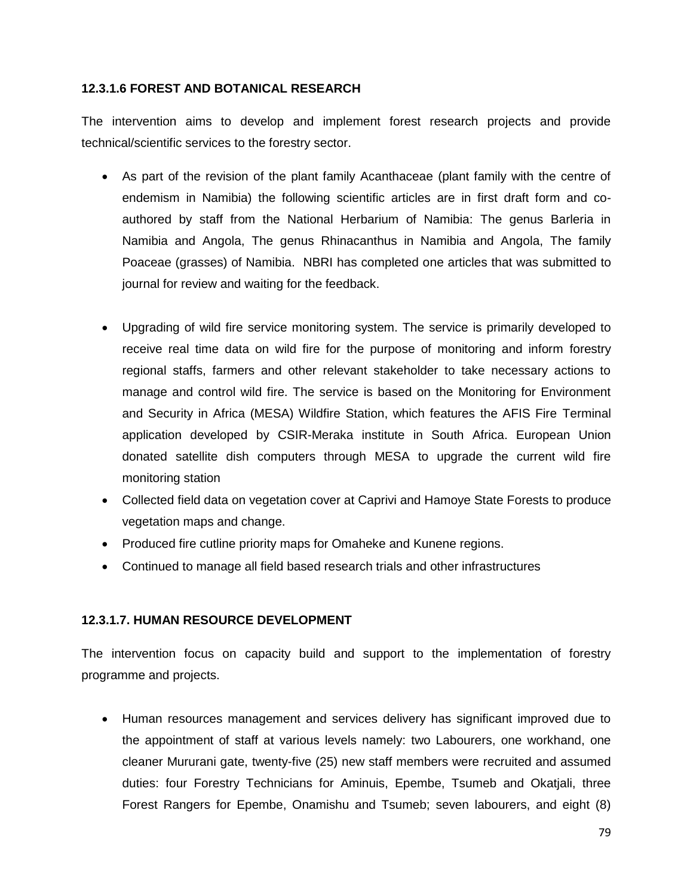#### **12.3.1.6 FOREST AND BOTANICAL RESEARCH**

The intervention aims to develop and implement forest research projects and provide technical/scientific services to the forestry sector.

- As part of the revision of the plant family Acanthaceae (plant family with the centre of endemism in Namibia) the following scientific articles are in first draft form and coauthored by staff from the National Herbarium of Namibia: The genus Barleria in Namibia and Angola, The genus Rhinacanthus in Namibia and Angola, The family Poaceae (grasses) of Namibia. NBRI has completed one articles that was submitted to journal for review and waiting for the feedback.
- Upgrading of wild fire service monitoring system. The service is primarily developed to receive real time data on wild fire for the purpose of monitoring and inform forestry regional staffs, farmers and other relevant stakeholder to take necessary actions to manage and control wild fire. The service is based on the Monitoring for Environment and Security in Africa (MESA) Wildfire Station, which features the AFIS Fire Terminal application developed by CSIR-Meraka institute in South Africa. European Union donated satellite dish computers through MESA to upgrade the current wild fire monitoring station
- Collected field data on vegetation cover at Caprivi and Hamoye State Forests to produce vegetation maps and change.
- Produced fire cutline priority maps for Omaheke and Kunene regions.
- Continued to manage all field based research trials and other infrastructures

## **12.3.1.7. HUMAN RESOURCE DEVELOPMENT**

The intervention focus on capacity build and support to the implementation of forestry programme and projects.

 Human resources management and services delivery has significant improved due to the appointment of staff at various levels namely: two Labourers, one workhand, one cleaner Mururani gate, twenty-five (25) new staff members were recruited and assumed duties: four Forestry Technicians for Aminuis, Epembe, Tsumeb and Okatjali, three Forest Rangers for Epembe, Onamishu and Tsumeb; seven labourers, and eight (8)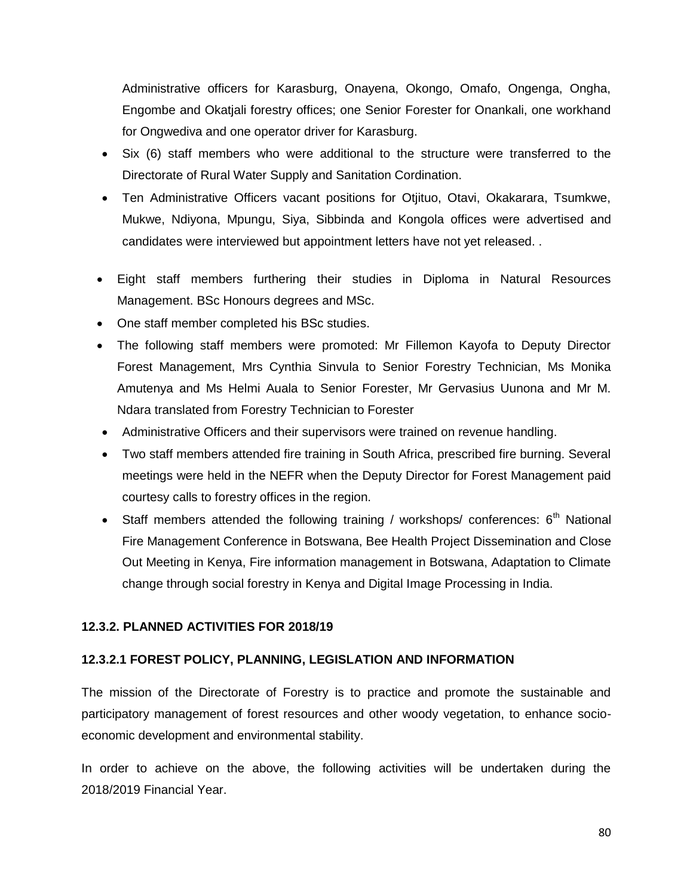Administrative officers for Karasburg, Onayena, Okongo, Omafo, Ongenga, Ongha, Engombe and Okatjali forestry offices; one Senior Forester for Onankali, one workhand for Ongwediva and one operator driver for Karasburg.

- Six (6) staff members who were additional to the structure were transferred to the Directorate of Rural Water Supply and Sanitation Cordination.
- Ten Administrative Officers vacant positions for Otjituo, Otavi, Okakarara, Tsumkwe, Mukwe, Ndiyona, Mpungu, Siya, Sibbinda and Kongola offices were advertised and candidates were interviewed but appointment letters have not yet released. .
- Eight staff members furthering their studies in Diploma in Natural Resources Management. BSc Honours degrees and MSc.
- One staff member completed his BSc studies.
- The following staff members were promoted: Mr Fillemon Kayofa to Deputy Director Forest Management, Mrs Cynthia Sinvula to Senior Forestry Technician, Ms Monika Amutenya and Ms Helmi Auala to Senior Forester, Mr Gervasius Uunona and Mr M. Ndara translated from Forestry Technician to Forester
- Administrative Officers and their supervisors were trained on revenue handling.
- Two staff members attended fire training in South Africa, prescribed fire burning. Several meetings were held in the NEFR when the Deputy Director for Forest Management paid courtesy calls to forestry offices in the region.
- Staff members attended the following training / workshops/ conferences:  $6<sup>th</sup>$  National Fire Management Conference in Botswana, Bee Health Project Dissemination and Close Out Meeting in Kenya, Fire information management in Botswana, Adaptation to Climate change through social forestry in Kenya and Digital Image Processing in India.

#### **12.3.2. PLANNED ACTIVITIES FOR 2018/19**

#### **12.3.2.1 FOREST POLICY, PLANNING, LEGISLATION AND INFORMATION**

The mission of the Directorate of Forestry is to practice and promote the sustainable and participatory management of forest resources and other woody vegetation, to enhance socioeconomic development and environmental stability.

In order to achieve on the above, the following activities will be undertaken during the 2018/2019 Financial Year.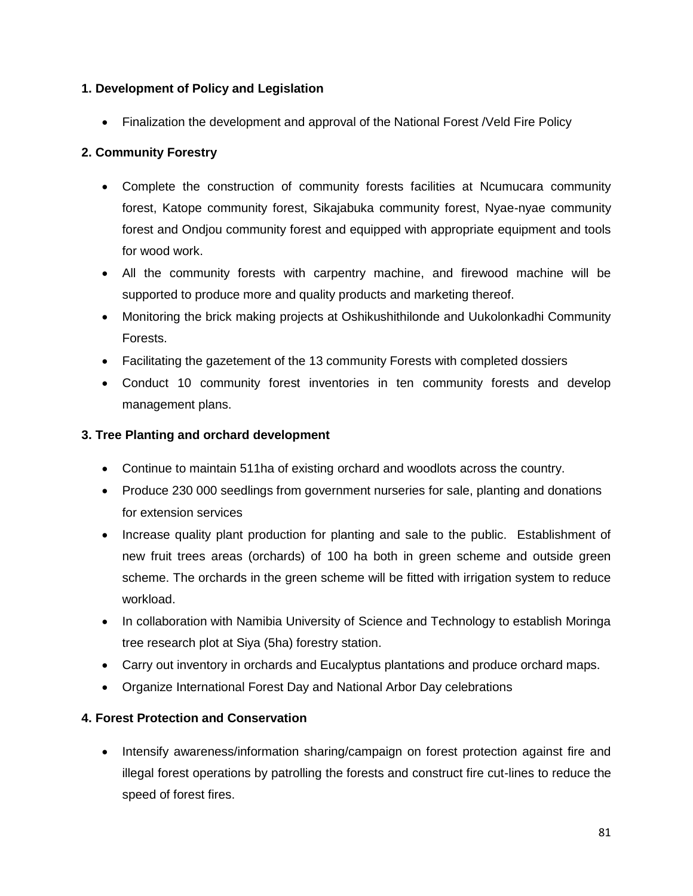## **1. Development of Policy and Legislation**

• Finalization the development and approval of the National Forest /Veld Fire Policy

## **2. Community Forestry**

- Complete the construction of community forests facilities at Ncumucara community forest, Katope community forest, Sikajabuka community forest, Nyae-nyae community forest and Ondjou community forest and equipped with appropriate equipment and tools for wood work.
- All the community forests with carpentry machine, and firewood machine will be supported to produce more and quality products and marketing thereof.
- Monitoring the brick making projects at Oshikushithilonde and Uukolonkadhi Community Forests.
- Facilitating the gazetement of the 13 community Forests with completed dossiers
- Conduct 10 community forest inventories in ten community forests and develop management plans.

## **3. Tree Planting and orchard development**

- Continue to maintain 511ha of existing orchard and woodlots across the country.
- Produce 230 000 seedlings from government nurseries for sale, planting and donations for extension services
- Increase quality plant production for planting and sale to the public. Establishment of new fruit trees areas (orchards) of 100 ha both in green scheme and outside green scheme. The orchards in the green scheme will be fitted with irrigation system to reduce workload.
- In collaboration with Namibia University of Science and Technology to establish Moringa tree research plot at Siya (5ha) forestry station.
- Carry out inventory in orchards and Eucalyptus plantations and produce orchard maps.
- Organize International Forest Day and National Arbor Day celebrations

## **4. Forest Protection and Conservation**

• Intensify awareness/information sharing/campaign on forest protection against fire and illegal forest operations by patrolling the forests and construct fire cut-lines to reduce the speed of forest fires.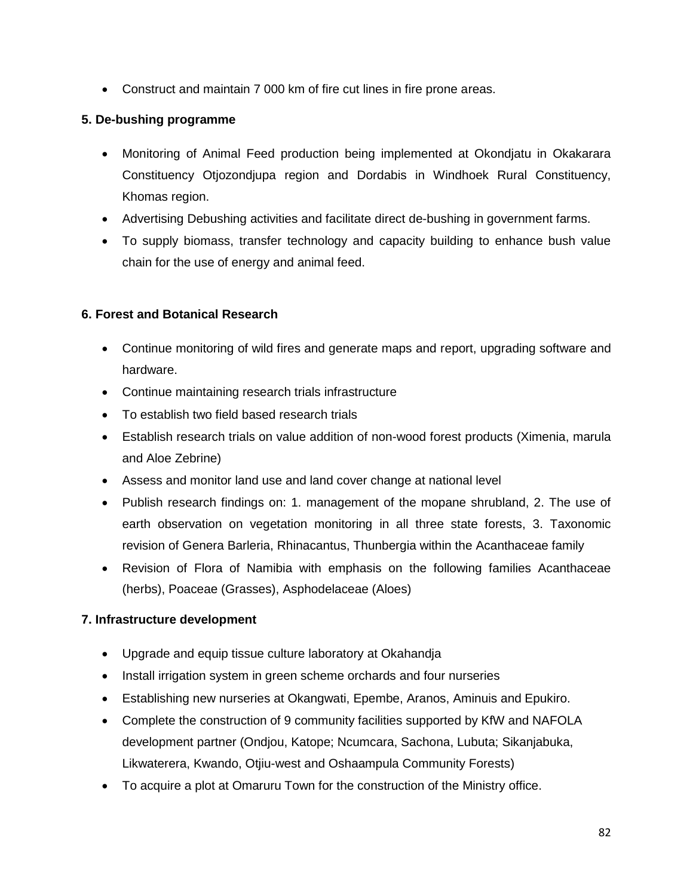Construct and maintain 7 000 km of fire cut lines in fire prone areas.

## **5. De-bushing programme**

- Monitoring of Animal Feed production being implemented at Okondjatu in Okakarara Constituency Otjozondjupa region and Dordabis in Windhoek Rural Constituency, Khomas region.
- Advertising Debushing activities and facilitate direct de-bushing in government farms.
- To supply biomass, transfer technology and capacity building to enhance bush value chain for the use of energy and animal feed.

## **6. Forest and Botanical Research**

- Continue monitoring of wild fires and generate maps and report, upgrading software and hardware.
- Continue maintaining research trials infrastructure
- To establish two field based research trials
- Establish research trials on value addition of non-wood forest products (Ximenia, marula and Aloe Zebrine)
- Assess and monitor land use and land cover change at national level
- Publish research findings on: 1. management of the mopane shrubland, 2. The use of earth observation on vegetation monitoring in all three state forests, 3. Taxonomic revision of Genera Barleria, Rhinacantus, Thunbergia within the Acanthaceae family
- Revision of Flora of Namibia with emphasis on the following families Acanthaceae (herbs), Poaceae (Grasses), Asphodelaceae (Aloes)

## **7. Infrastructure development**

- Upgrade and equip tissue culture laboratory at Okahandja
- Install irrigation system in green scheme orchards and four nurseries
- Establishing new nurseries at Okangwati, Epembe, Aranos, Aminuis and Epukiro.
- Complete the construction of 9 community facilities supported by KfW and NAFOLA development partner (Ondjou, Katope; Ncumcara, Sachona, Lubuta; Sikanjabuka, Likwaterera, Kwando, Otjiu-west and Oshaampula Community Forests)
- To acquire a plot at Omaruru Town for the construction of the Ministry office.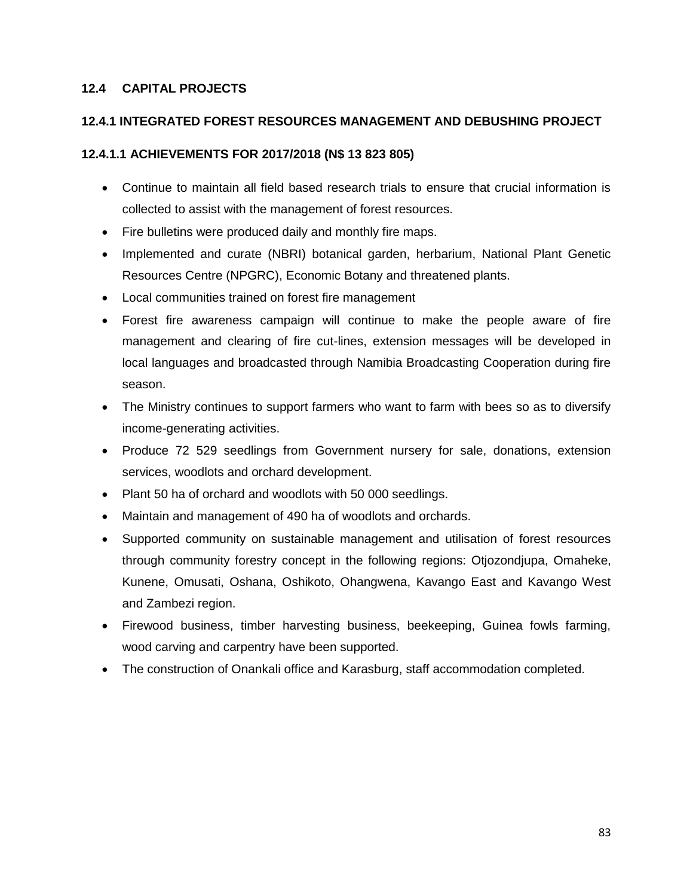#### **12.4 CAPITAL PROJECTS**

#### **12.4.1 INTEGRATED FOREST RESOURCES MANAGEMENT AND DEBUSHING PROJECT**

#### **12.4.1.1 ACHIEVEMENTS FOR 2017/2018 (N\$ 13 823 805)**

- Continue to maintain all field based research trials to ensure that crucial information is collected to assist with the management of forest resources.
- Fire bulletins were produced daily and monthly fire maps.
- Implemented and curate (NBRI) botanical garden, herbarium, National Plant Genetic Resources Centre (NPGRC), Economic Botany and threatened plants.
- Local communities trained on forest fire management
- Forest fire awareness campaign will continue to make the people aware of fire management and clearing of fire cut-lines, extension messages will be developed in local languages and broadcasted through Namibia Broadcasting Cooperation during fire season.
- The Ministry continues to support farmers who want to farm with bees so as to diversify income-generating activities.
- Produce 72 529 seedlings from Government nursery for sale, donations, extension services, woodlots and orchard development.
- Plant 50 ha of orchard and woodlots with 50 000 seedlings.
- Maintain and management of 490 ha of woodlots and orchards.
- Supported community on sustainable management and utilisation of forest resources through community forestry concept in the following regions: Otjozondjupa, Omaheke, Kunene, Omusati, Oshana, Oshikoto, Ohangwena, Kavango East and Kavango West and Zambezi region.
- Firewood business, timber harvesting business, beekeeping, Guinea fowls farming, wood carving and carpentry have been supported.
- The construction of Onankali office and Karasburg, staff accommodation completed.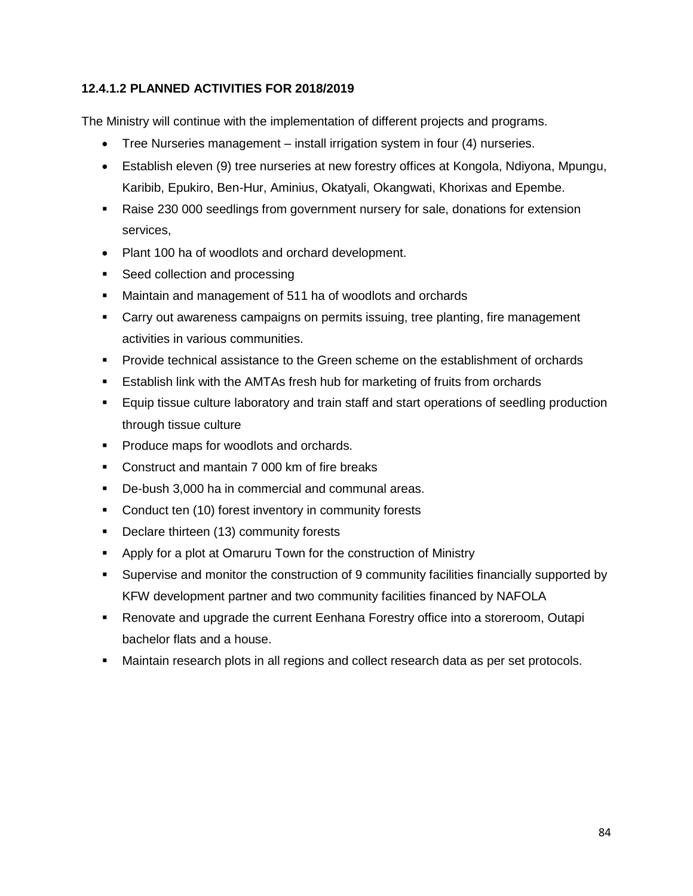## **12.4.1.2 PLANNED ACTIVITIES FOR 2018/2019**

The Ministry will continue with the implementation of different projects and programs.

- Tree Nurseries management install irrigation system in four (4) nurseries.
- Establish eleven (9) tree nurseries at new forestry offices at Kongola, Ndiyona, Mpungu, Karibib, Epukiro, Ben-Hur, Aminius, Okatyali, Okangwati, Khorixas and Epembe.
- Raise 230 000 seedlings from government nursery for sale, donations for extension services,
- Plant 100 ha of woodlots and orchard development.
- Seed collection and processing
- Maintain and management of 511 ha of woodlots and orchards
- **EXT** Carry out awareness campaigns on permits issuing, tree planting, fire management activities in various communities.
- Provide technical assistance to the Green scheme on the establishment of orchards
- Establish link with the AMTAs fresh hub for marketing of fruits from orchards
- Equip tissue culture laboratory and train staff and start operations of seedling production through tissue culture
- **Produce maps for woodlots and orchards.**
- Construct and mantain 7 000 km of fire breaks
- De-bush 3,000 ha in commercial and communal areas.
- **Conduct ten (10) forest inventory in community forests**
- **•** Declare thirteen (13) community forests
- **-** Apply for a plot at Omaruru Town for the construction of Ministry
- Supervise and monitor the construction of 9 community facilities financially supported by KFW development partner and two community facilities financed by NAFOLA
- Renovate and upgrade the current Eenhana Forestry office into a storeroom, Outapi bachelor flats and a house.
- Maintain research plots in all regions and collect research data as per set protocols.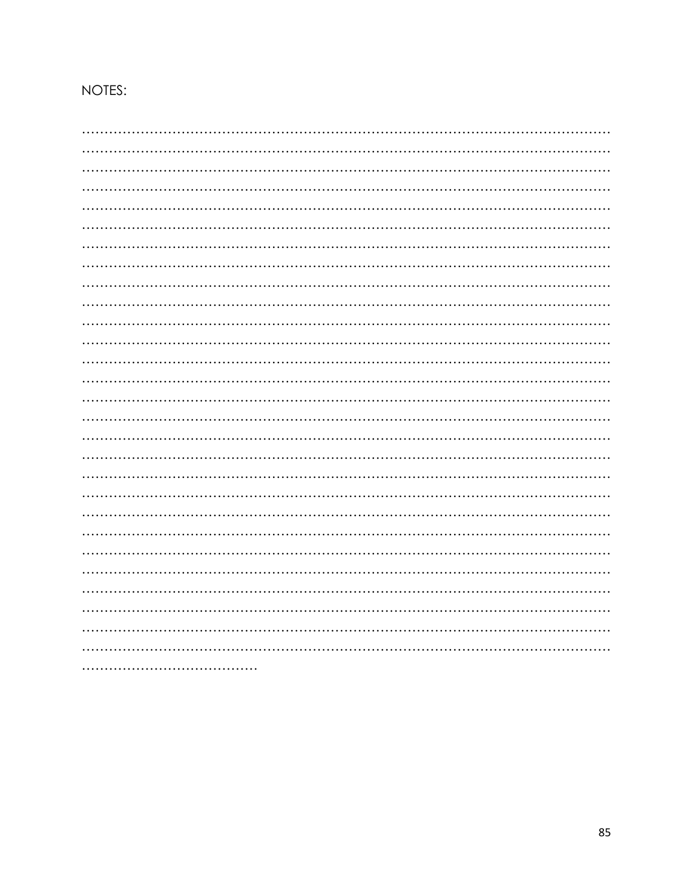# NOTES: